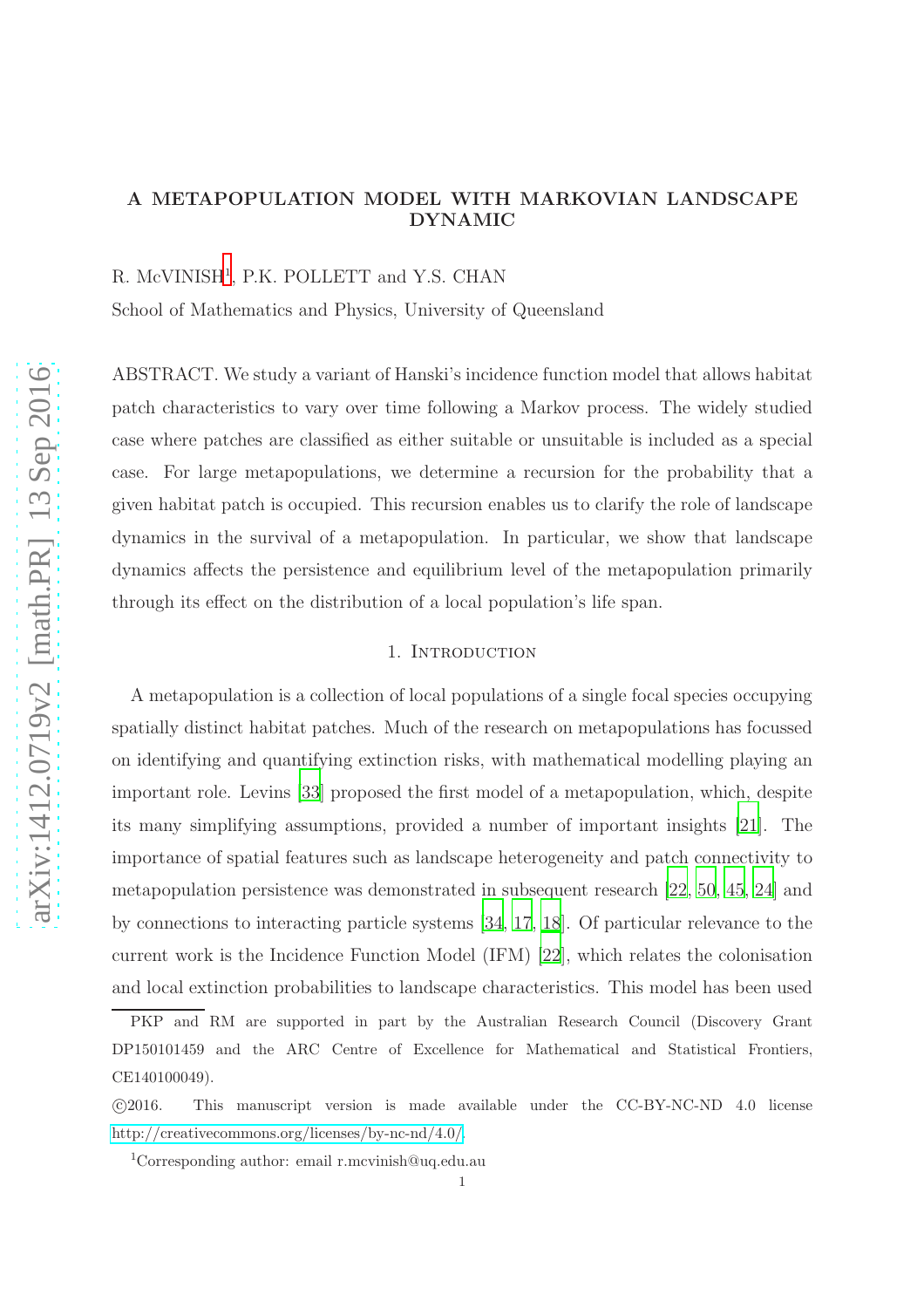# A METAPOPULATION MODEL WITH MARKOVIAN LANDSCAPE DYNAMIC

R. McVINISH<sup>[1](#page-0-0)</sup>, P.K. POLLETT and Y.S. CHAN

School of Mathematics and Physics, University of Queensland

ABSTRACT. We study a variant of Hanski's incidence function model that allows habitat patch characteristics to vary over time following a Markov process. The widely studied case where patches are classified as either suitable or unsuitable is included as a special case. For large metapopulations, we determine a recursion for the probability that a given habitat patch is occupied. This recursion enables us to clarify the role of landscape dynamics in the survival of a metapopulation. In particular, we show that landscape dynamics affects the persistence and equilibrium level of the metapopulation primarily through its effect on the distribution of a local population's life span.

## 1. INTRODUCTION

A metapopulation is a collection of local populations of a single focal species occupying spatially distinct habitat patches. Much of the research on metapopulations has focussed on identifying and quantifying extinction risks, with mathematical modelling playing an important role. Levins [\[33](#page-42-0)] proposed the first model of a metapopulation, which, despite its many simplifying assumptions, provided a number of important insights [\[21](#page-41-0)]. The importance of spatial features such as landscape heterogeneity and patch connectivity to metapopulation persistence was demonstrated in subsequent research [\[22,](#page-41-1) [50,](#page-43-0) [45](#page-43-1), [24\]](#page-41-2) and by connections to interacting particle systems [\[34,](#page-42-1) [17](#page-41-3), [18](#page-41-4)]. Of particular relevance to the current work is the Incidence Function Model (IFM) [\[22](#page-41-1)], which relates the colonisation and local extinction probabilities to landscape characteristics. This model has been used

PKP and RM are supported in part by the Australian Research Council (Discovery Grant DP150101459 and the ARC Centre of Excellence for Mathematical and Statistical Frontiers, CE140100049).

c 2016. This manuscript version is made available under the CC-BY-NC-ND 4.0 license [http://creativecommons.org/licenses/by-nc-nd/4.0/.](http://creativecommons.org/licenses/by-nc-nd/4.0/)

<span id="page-0-0"></span><sup>1</sup>Corresponding author: email r.mcvinish@uq.edu.au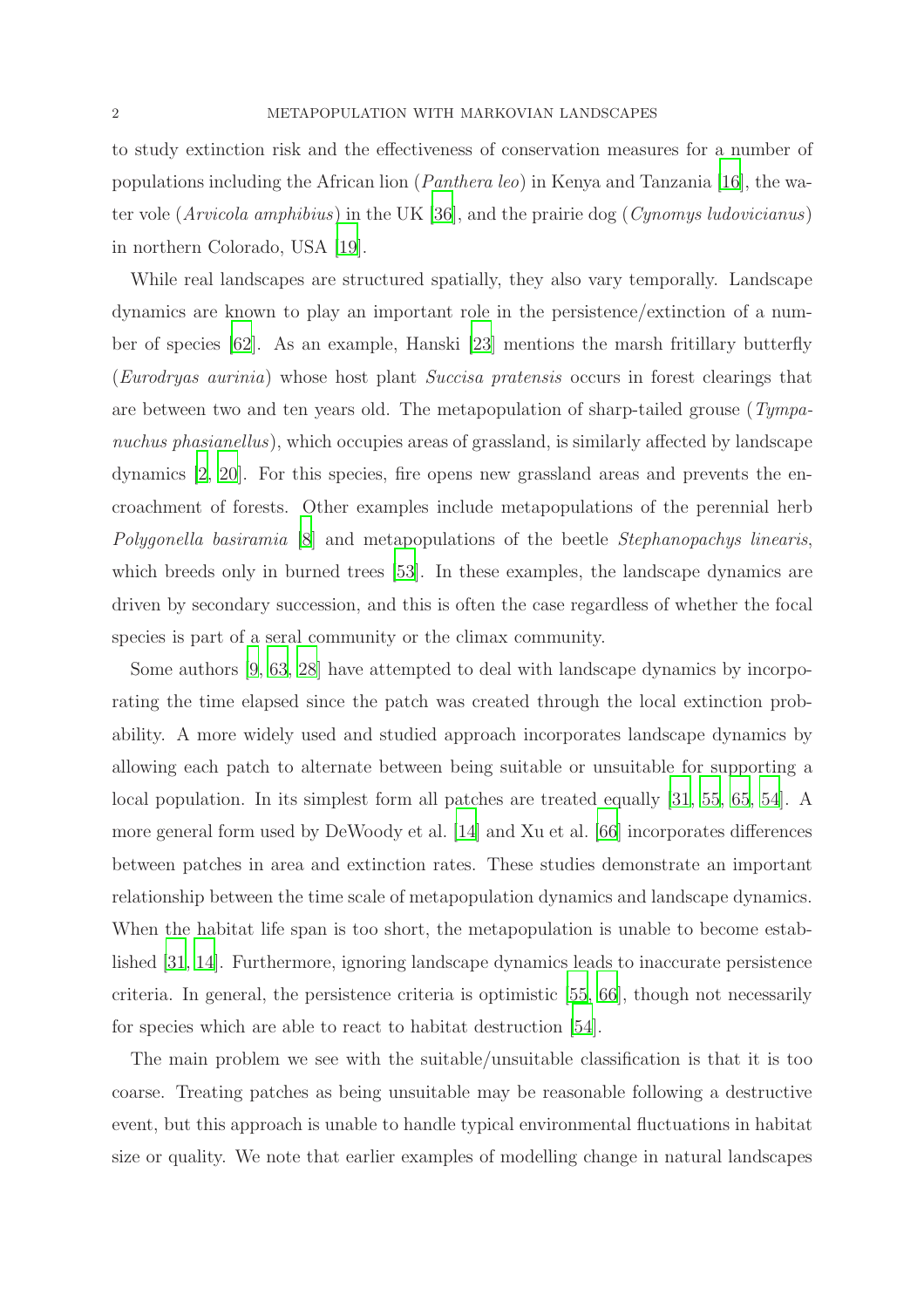to study extinction risk and the effectiveness of conservation measures for a number of populations including the African lion (*Panthera leo*) in Kenya and Tanzania [\[16\]](#page-41-5), the water vole (*Arvicola amphibius*) in the UK [\[36](#page-42-2)], and the prairie dog (*Cynomys ludovicianus*) in northern Colorado, USA [\[19](#page-41-6)].

While real landscapes are structured spatially, they also vary temporally. Landscape dynamics are known to play an important role in the persistence/extinction of a number of species [\[62\]](#page-44-0). As an example, Hanski [\[23](#page-41-7)] mentions the marsh fritillary butterfly (*Eurodryas aurinia*) whose host plant *Succisa pratensis* occurs in forest clearings that are between two and ten years old. The metapopulation of sharp-tailed grouse (*Tympanuchus phasianellus*), which occupies areas of grassland, is similarly affected by landscape dynamics [\[2,](#page-40-0) [20](#page-41-8)]. For this species, fire opens new grassland areas and prevents the encroachment of forests. Other examples include metapopulations of the perennial herb *Polygonella basiramia* [\[8\]](#page-40-1) and metapopulations of the beetle *Stephanopachys linearis*, which breeds only in burned trees [\[53](#page-43-2)]. In these examples, the landscape dynamics are driven by secondary succession, and this is often the case regardless of whether the focal species is part of a seral community or the climax community.

Some authors [\[9](#page-40-2), [63](#page-44-1), [28](#page-42-3)] have attempted to deal with landscape dynamics by incorporating the time elapsed since the patch was created through the local extinction probability. A more widely used and studied approach incorporates landscape dynamics by allowing each patch to alternate between being suitable or unsuitable for supporting a local population. In its simplest form all patches are treated equally [\[31](#page-42-4), [55,](#page-44-2) [65,](#page-44-3) [54\]](#page-43-3). A more general form used by DeWoody et al. [\[14\]](#page-41-9) and Xu et al. [\[66\]](#page-44-4) incorporates differences between patches in area and extinction rates. These studies demonstrate an important relationship between the time scale of metapopulation dynamics and landscape dynamics. When the habitat life span is too short, the metapopulation is unable to become established [\[31,](#page-42-4) [14\]](#page-41-9). Furthermore, ignoring landscape dynamics leads to inaccurate persistence criteria. In general, the persistence criteria is optimistic [\[55](#page-44-2), [66](#page-44-4)], though not necessarily for species which are able to react to habitat destruction [\[54](#page-43-3)].

The main problem we see with the suitable/unsuitable classification is that it is too coarse. Treating patches as being unsuitable may be reasonable following a destructive event, but this approach is unable to handle typical environmental fluctuations in habitat size or quality. We note that earlier examples of modelling change in natural landscapes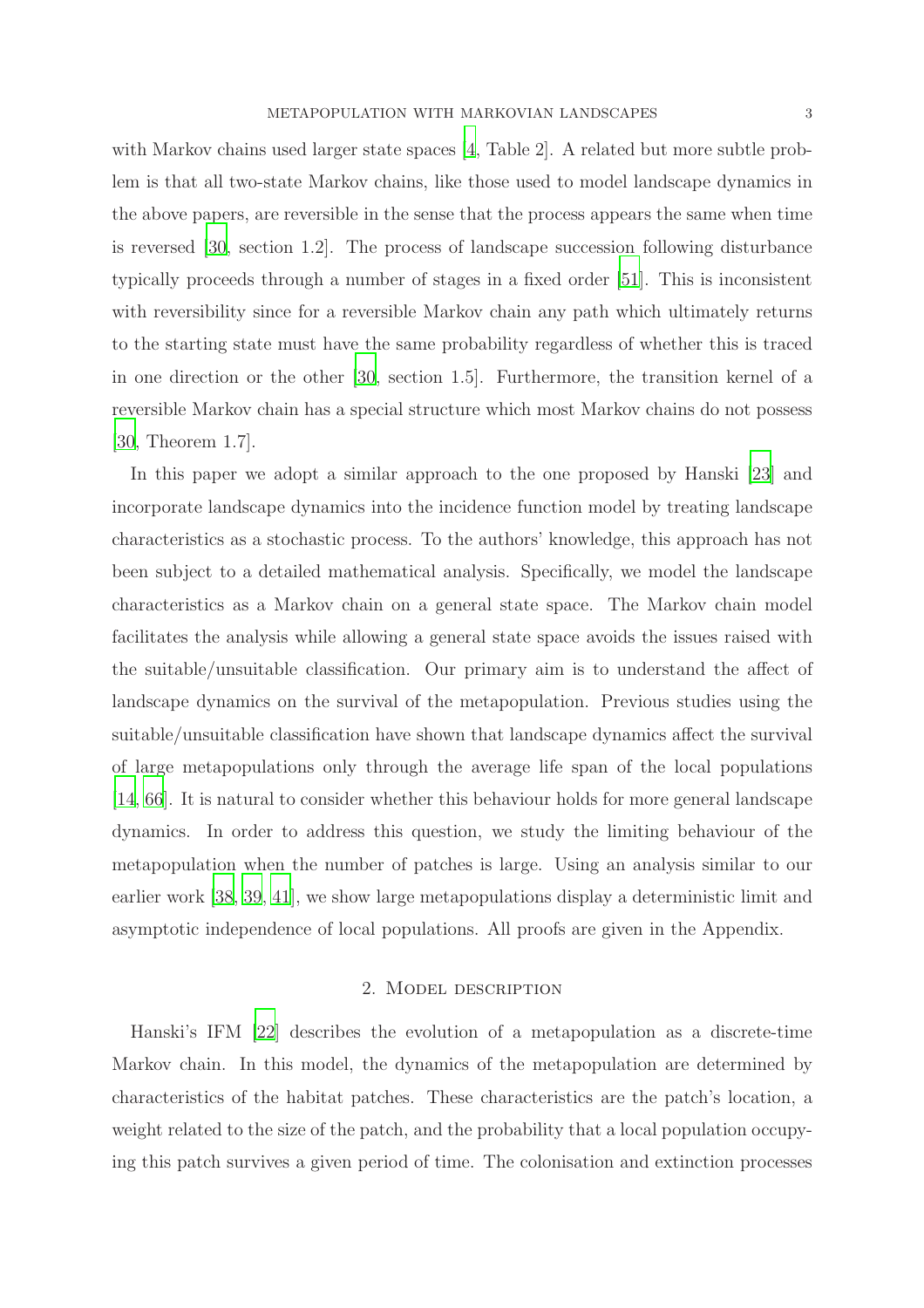with Markov chains used larger state spaces [\[4](#page-40-3), Table 2]. A related but more subtle problem is that all two-state Markov chains, like those used to model landscape dynamics in the above papers, are reversible in the sense that the process appears the same when time is reversed [\[30,](#page-42-5) section 1.2]. The process of landscape succession following disturbance typically proceeds through a number of stages in a fixed order [\[51\]](#page-43-4). This is inconsistent with reversibility since for a reversible Markov chain any path which ultimately returns to the starting state must have the same probability regardless of whether this is traced in one direction or the other [\[30,](#page-42-5) section 1.5]. Furthermore, the transition kernel of a reversible Markov chain has a special structure which most Markov chains do not possess [\[30,](#page-42-5) Theorem 1.7].

In this paper we adopt a similar approach to the one proposed by Hanski [\[23](#page-41-7)] and incorporate landscape dynamics into the incidence function model by treating landscape characteristics as a stochastic process. To the authors' knowledge, this approach has not been subject to a detailed mathematical analysis. Specifically, we model the landscape characteristics as a Markov chain on a general state space. The Markov chain model facilitates the analysis while allowing a general state space avoids the issues raised with the suitable/unsuitable classification. Our primary aim is to understand the affect of landscape dynamics on the survival of the metapopulation. Previous studies using the suitable/unsuitable classification have shown that landscape dynamics affect the survival of large metapopulations only through the average life span of the local populations [\[14,](#page-41-9) [66](#page-44-4)]. It is natural to consider whether this behaviour holds for more general landscape dynamics. In order to address this question, we study the limiting behaviour of the metapopulation when the number of patches is large. Using an analysis similar to our earlier work [\[38](#page-42-6), [39,](#page-42-7) [41](#page-42-8)], we show large metapopulations display a deterministic limit and asymptotic independence of local populations. All proofs are given in the Appendix.

#### 2. Model description

Hanski's IFM [\[22\]](#page-41-1) describes the evolution of a metapopulation as a discrete-time Markov chain. In this model, the dynamics of the metapopulation are determined by characteristics of the habitat patches. These characteristics are the patch's location, a weight related to the size of the patch, and the probability that a local population occupying this patch survives a given period of time. The colonisation and extinction processes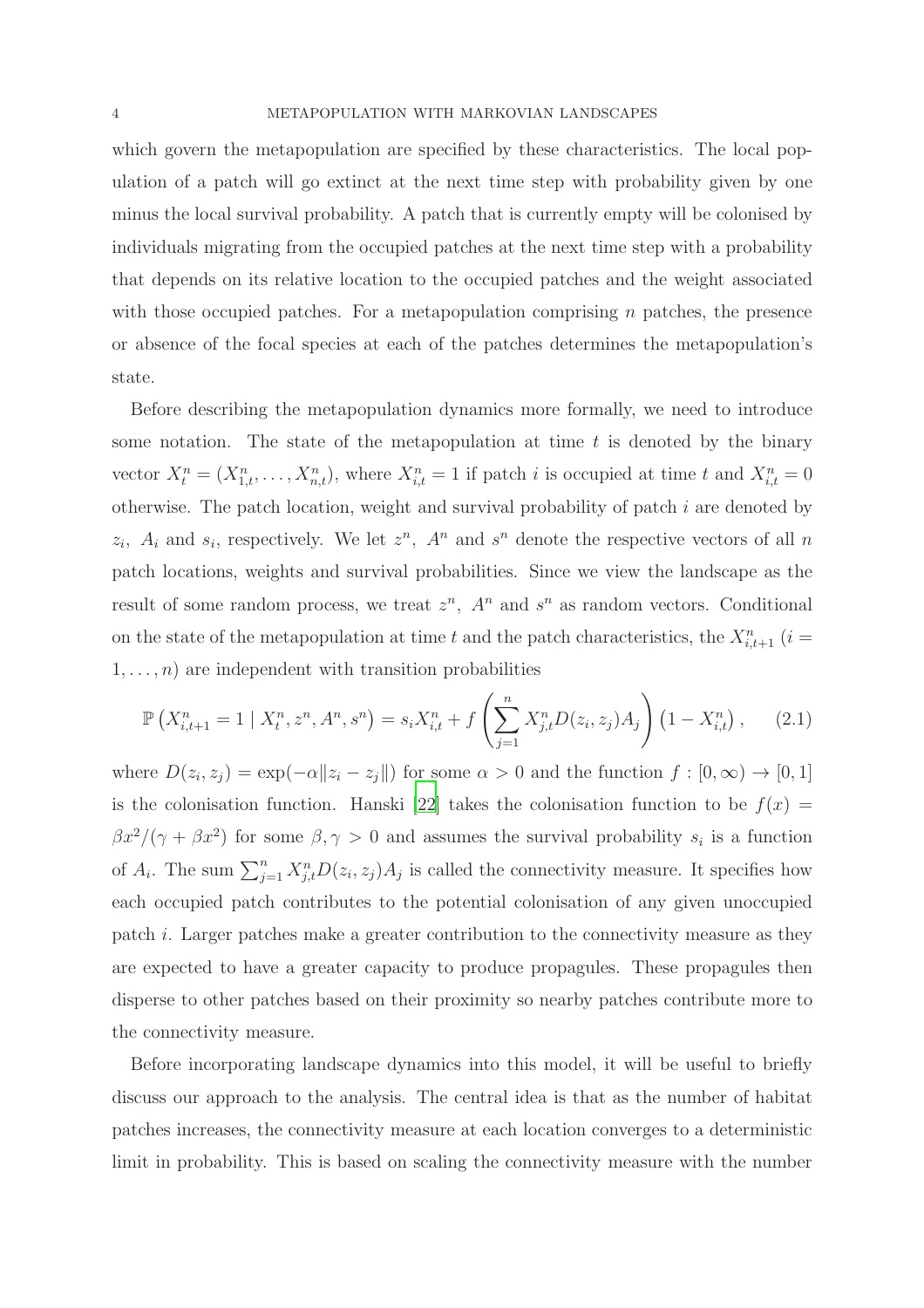which govern the metapopulation are specified by these characteristics. The local population of a patch will go extinct at the next time step with probability given by one minus the local survival probability. A patch that is currently empty will be colonised by individuals migrating from the occupied patches at the next time step with a probability that depends on its relative location to the occupied patches and the weight associated with those occupied patches. For a metapopulation comprising  $n$  patches, the presence or absence of the focal species at each of the patches determines the metapopulation's state.

Before describing the metapopulation dynamics more formally, we need to introduce some notation. The state of the metapopulation at time  $t$  is denoted by the binary vector  $X_t^n = (X_{1,t}^n, \ldots, X_{n,t}^n)$ , where  $X_{i,t}^n = 1$  if patch i is occupied at time t and  $X_{i,t}^n = 0$ otherwise. The patch location, weight and survival probability of patch i are denoted by  $z_i$ ,  $A_i$  and  $s_i$ , respectively. We let  $z^n$ ,  $A^n$  and  $s^n$  denote the respective vectors of all n patch locations, weights and survival probabilities. Since we view the landscape as the result of some random process, we treat  $z^n$ ,  $A^n$  and  $s^n$  as random vectors. Conditional on the state of the metapopulation at time t and the patch characteristics, the  $X_{i,t+1}^n$  (i =  $1, \ldots, n$  are independent with transition probabilities

<span id="page-3-0"></span>
$$
\mathbb{P}\left(X_{i,t+1}^n = 1 \mid X_t^n, z^n, A^n, s^n\right) = s_i X_{i,t}^n + f\left(\sum_{j=1}^n X_{j,t}^n D(z_i, z_j) A_j\right) \left(1 - X_{i,t}^n\right),\tag{2.1}
$$

where  $D(z_i, z_j) = \exp(-\alpha ||z_i - z_j||)$  for some  $\alpha > 0$  and the function  $f : [0, \infty) \to [0, 1]$ is the colonisation function. Hanski [\[22\]](#page-41-1) takes the colonisation function to be  $f(x) =$  $\beta x^2/(\gamma + \beta x^2)$  for some  $\beta, \gamma > 0$  and assumes the survival probability  $s_i$  is a function of  $A_i$ . The sum  $\sum_{j=1}^n X_{j,t}^n D(z_i, z_j) A_j$  is called the connectivity measure. It specifies how each occupied patch contributes to the potential colonisation of any given unoccupied patch i. Larger patches make a greater contribution to the connectivity measure as they are expected to have a greater capacity to produce propagules. These propagules then disperse to other patches based on their proximity so nearby patches contribute more to the connectivity measure.

Before incorporating landscape dynamics into this model, it will be useful to briefly discuss our approach to the analysis. The central idea is that as the number of habitat patches increases, the connectivity measure at each location converges to a deterministic limit in probability. This is based on scaling the connectivity measure with the number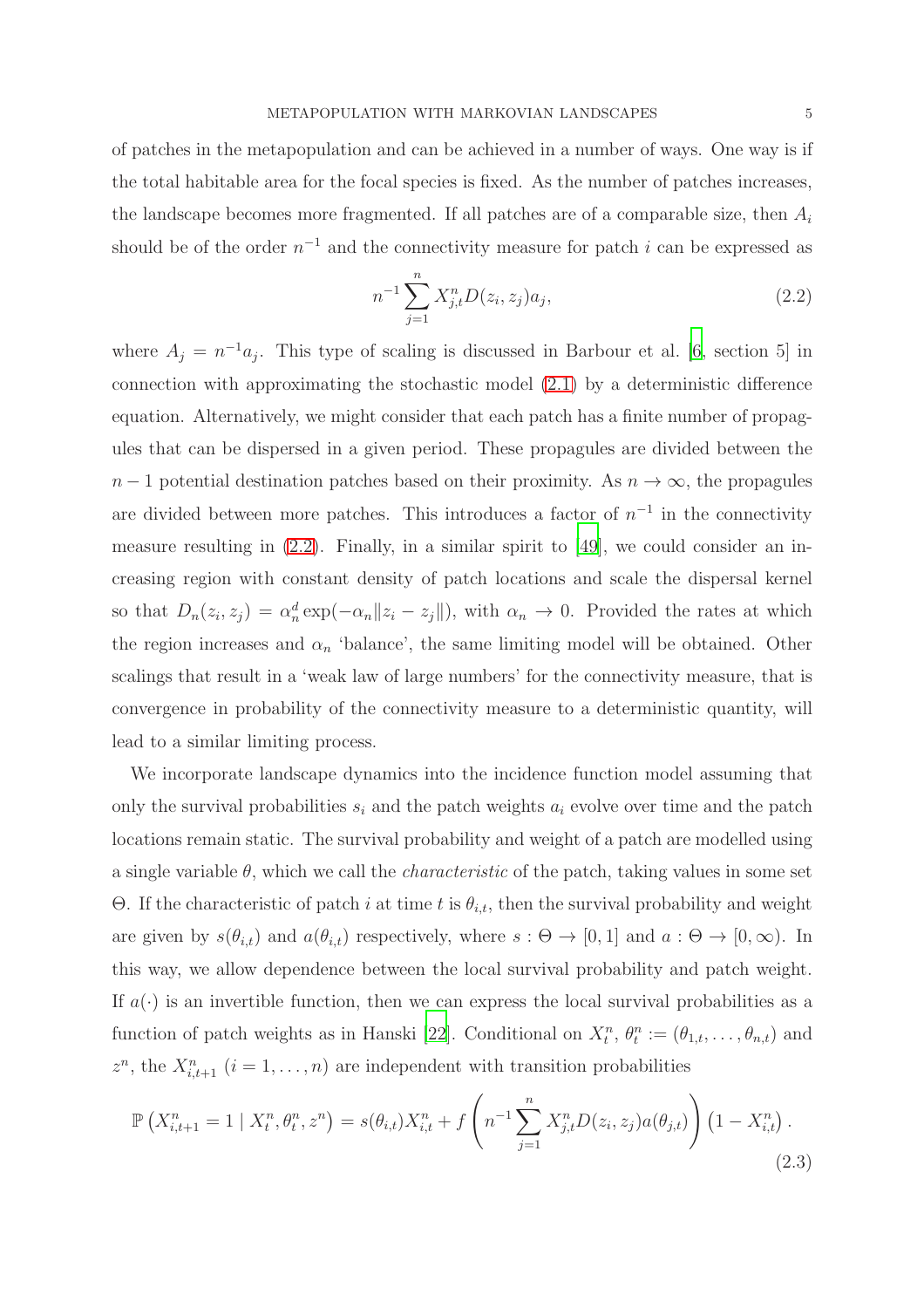of patches in the metapopulation and can be achieved in a number of ways. One way is if the total habitable area for the focal species is fixed. As the number of patches increases, the landscape becomes more fragmented. If all patches are of a comparable size, then  $A_i$ should be of the order  $n^{-1}$  and the connectivity measure for patch i can be expressed as

<span id="page-4-0"></span>
$$
n^{-1} \sum_{j=1}^{n} X_{j,t}^{n} D(z_i, z_j) a_j,
$$
\n(2.2)

where  $A_j = n^{-1}a_j$ . This type of scaling is discussed in Barbour et al. [\[6,](#page-40-4) section 5] in connection with approximating the stochastic model [\(2.1\)](#page-3-0) by a deterministic difference equation. Alternatively, we might consider that each patch has a finite number of propagules that can be dispersed in a given period. These propagules are divided between the  $n-1$  potential destination patches based on their proximity. As  $n \to \infty$ , the propagules are divided between more patches. This introduces a factor of  $n^{-1}$  in the connectivity measure resulting in  $(2.2)$ . Finally, in a similar spirit to [\[49\]](#page-43-5), we could consider an increasing region with constant density of patch locations and scale the dispersal kernel so that  $D_n(z_i, z_j) = \alpha_n^d \exp(-\alpha_n ||z_i - z_j||)$ , with  $\alpha_n \to 0$ . Provided the rates at which the region increases and  $\alpha_n$  'balance', the same limiting model will be obtained. Other scalings that result in a 'weak law of large numbers' for the connectivity measure, that is convergence in probability of the connectivity measure to a deterministic quantity, will lead to a similar limiting process.

We incorporate landscape dynamics into the incidence function model assuming that only the survival probabilities  $s_i$  and the patch weights  $a_i$  evolve over time and the patch locations remain static. The survival probability and weight of a patch are modelled using a single variable  $\theta$ , which we call the *characteristic* of the patch, taking values in some set Θ. If the characteristic of patch *i* at time *t* is  $θ_{i,t}$ , then the survival probability and weight are given by  $s(\theta_{i,t})$  and  $a(\theta_{i,t})$  respectively, where  $s : \Theta \to [0,1]$  and  $a : \Theta \to [0,\infty)$ . In this way, we allow dependence between the local survival probability and patch weight. If  $a(\cdot)$  is an invertible function, then we can express the local survival probabilities as a function of patch weights as in Hanski [\[22](#page-41-1)]. Conditional on  $X_t^n$ ,  $\theta_t^n := (\theta_{1,t}, \dots, \theta_{n,t})$  and  $z^n$ , the  $X_{i,t+1}^n$   $(i = 1, \ldots, n)$  are independent with transition probabilities

<span id="page-4-1"></span>
$$
\mathbb{P}\left(X_{i,t+1}^{n} = 1 \mid X_{t}^{n}, \theta_{t}^{n}, z^{n}\right) = s(\theta_{i,t})X_{i,t}^{n} + f\left(n^{-1}\sum_{j=1}^{n} X_{j,t}^{n} D(z_{i}, z_{j}) a(\theta_{j,t})\right) \left(1 - X_{i,t}^{n}\right).
$$
\n(2.3)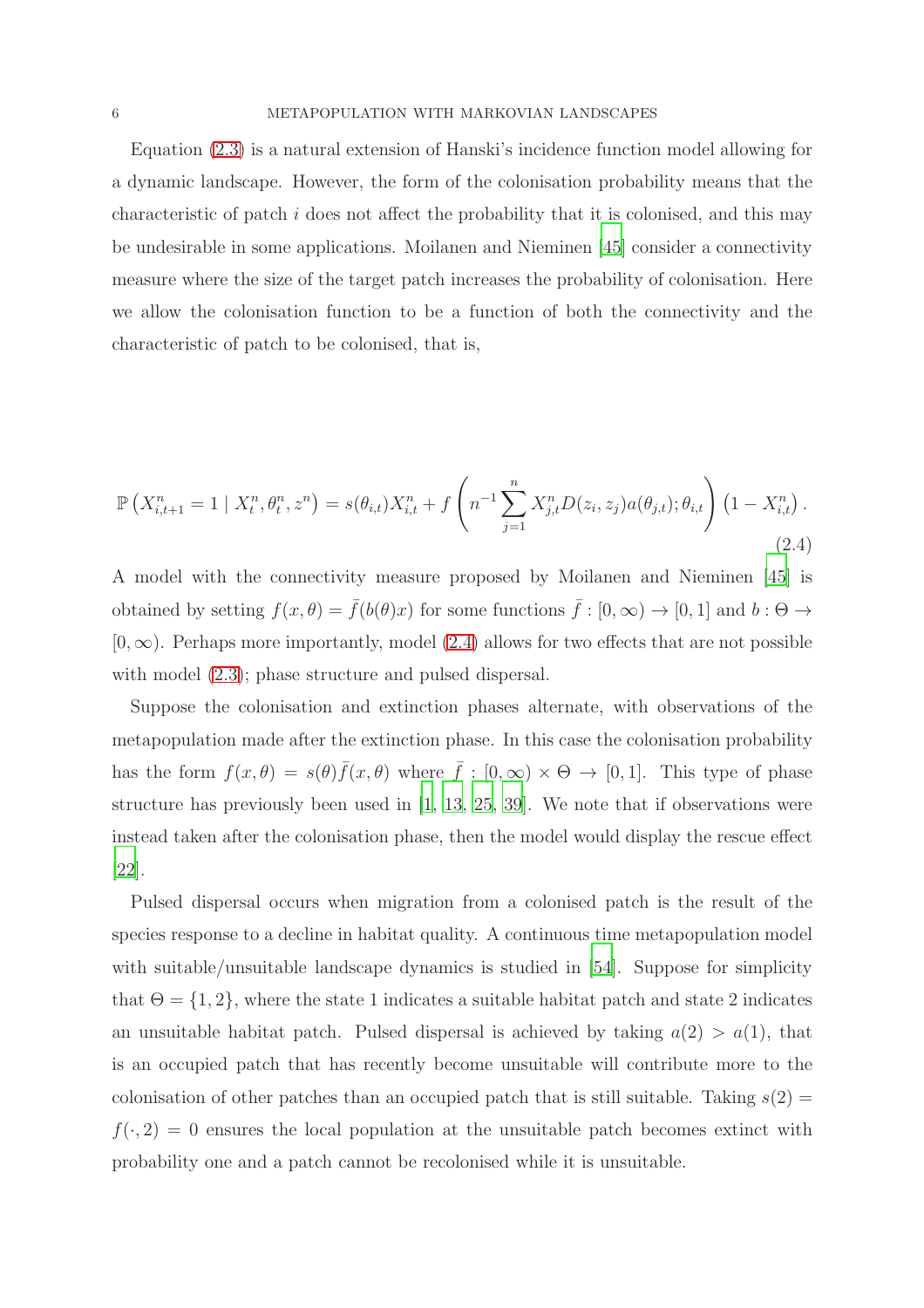Equation [\(2.3\)](#page-4-1) is a natural extension of Hanski's incidence function model allowing for a dynamic landscape. However, the form of the colonisation probability means that the characteristic of patch  $i$  does not affect the probability that it is colonised, and this may be undesirable in some applications. Moilanen and Nieminen [\[45](#page-43-1)] consider a connectivity measure where the size of the target patch increases the probability of colonisation. Here we allow the colonisation function to be a function of both the connectivity and the characteristic of patch to be colonised, that is,

<span id="page-5-0"></span>
$$
\mathbb{P}\left(X_{i,t+1}^n = 1 \mid X_t^n, \theta_t^n, z^n\right) = s(\theta_{i,t})X_{i,t}^n + f\left(n^{-1} \sum_{j=1}^n X_{j,t}^n D(z_i, z_j) a(\theta_{j,t}); \theta_{i,t}\right) \left(1 - X_{i,t}^n\right).
$$
\n(2.4)

A model with the connectivity measure proposed by Moilanen and Nieminen [\[45](#page-43-1)] is obtained by setting  $f(x, \theta) = \bar{f}(b(\theta)x)$  for some functions  $\bar{f} : [0, \infty) \to [0, 1]$  and  $b : \Theta \to$  $[0, \infty)$ . Perhaps more importantly, model  $(2.4)$  allows for two effects that are not possible with model  $(2.3)$ ; phase structure and pulsed dispersal.

Suppose the colonisation and extinction phases alternate, with observations of the metapopulation made after the extinction phase. In this case the colonisation probability has the form  $f(x,\theta) = s(\theta)\bar{f}(x,\theta)$  where  $\bar{f} : [0,\infty) \times \Theta \to [0,1]$ . This type of phase structure has previously been used in [\[1,](#page-40-5) [13,](#page-41-10) [25](#page-41-11), [39](#page-42-7)]. We note that if observations were instead taken after the colonisation phase, then the model would display the rescue effect [\[22\]](#page-41-1).

Pulsed dispersal occurs when migration from a colonised patch is the result of the species response to a decline in habitat quality. A continuous time metapopulation model with suitable/unsuitable landscape dynamics is studied in [\[54\]](#page-43-3). Suppose for simplicity that  $\Theta = \{1, 2\}$ , where the state 1 indicates a suitable habitat patch and state 2 indicates an unsuitable habitat patch. Pulsed dispersal is achieved by taking  $a(2) > a(1)$ , that is an occupied patch that has recently become unsuitable will contribute more to the colonisation of other patches than an occupied patch that is still suitable. Taking  $s(2)$  =  $f(\cdot, 2) = 0$  ensures the local population at the unsuitable patch becomes extinct with probability one and a patch cannot be recolonised while it is unsuitable.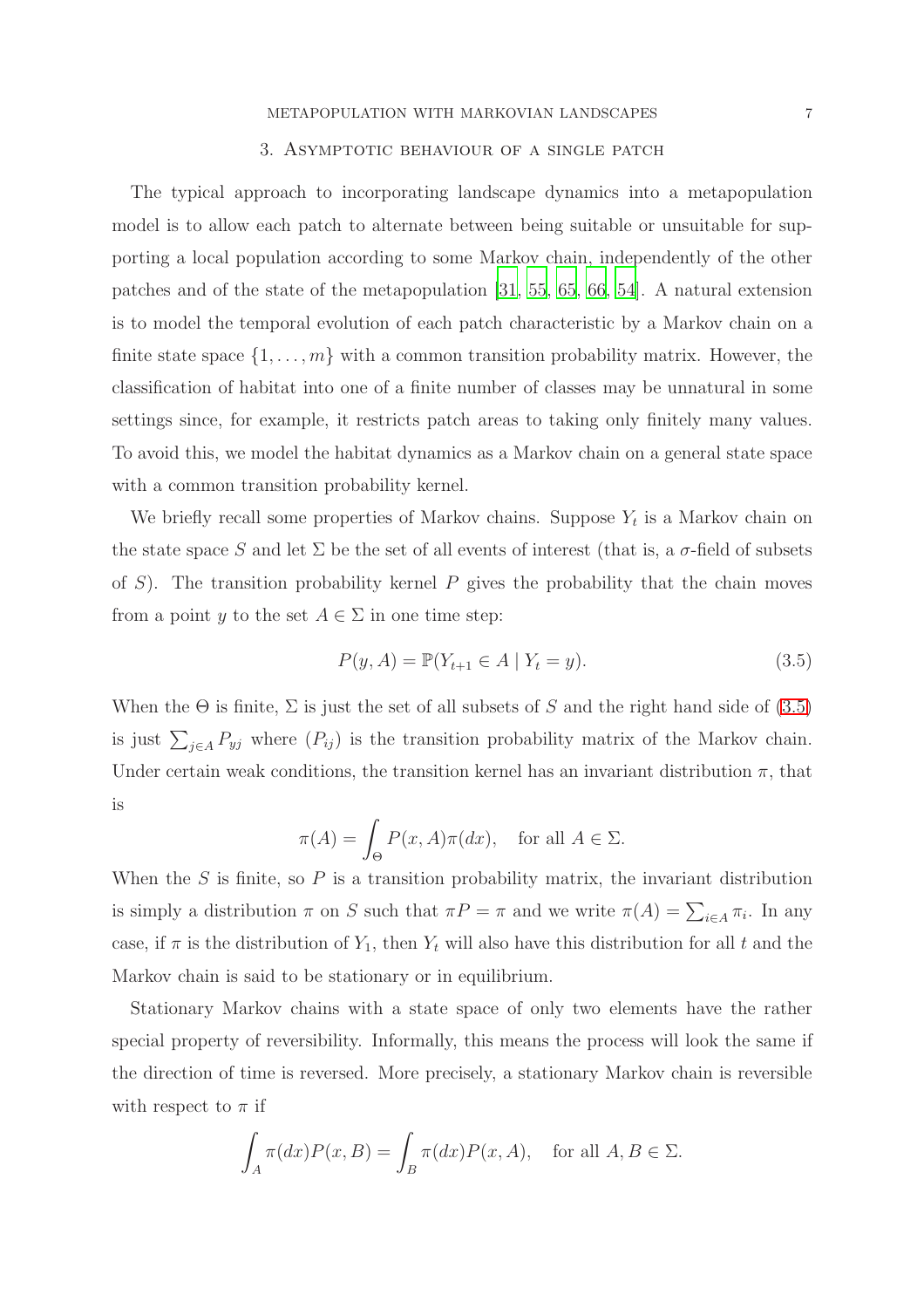## 3. Asymptotic behaviour of a single patch

<span id="page-6-1"></span>The typical approach to incorporating landscape dynamics into a metapopulation model is to allow each patch to alternate between being suitable or unsuitable for supporting a local population according to some Markov chain, independently of the other patches and of the state of the metapopulation [\[31,](#page-42-4) [55](#page-44-2), [65](#page-44-3), [66](#page-44-4), [54](#page-43-3)]. A natural extension is to model the temporal evolution of each patch characteristic by a Markov chain on a finite state space  $\{1, \ldots, m\}$  with a common transition probability matrix. However, the classification of habitat into one of a finite number of classes may be unnatural in some settings since, for example, it restricts patch areas to taking only finitely many values. To avoid this, we model the habitat dynamics as a Markov chain on a general state space with a common transition probability kernel.

We briefly recall some properties of Markov chains. Suppose  $Y_t$  is a Markov chain on the state space S and let  $\Sigma$  be the set of all events of interest (that is, a  $\sigma$ -field of subsets of S). The transition probability kernel P gives the probability that the chain moves from a point y to the set  $A \in \Sigma$  in one time step:

<span id="page-6-0"></span>
$$
P(y, A) = \mathbb{P}(Y_{t+1} \in A \mid Y_t = y).
$$
\n(3.5)

When the  $\Theta$  is finite,  $\Sigma$  is just the set of all subsets of S and the right hand side of [\(3.5\)](#page-6-0) is just  $\sum_{j\in A} P_{yj}$  where  $(P_{ij})$  is the transition probability matrix of the Markov chain. Under certain weak conditions, the transition kernel has an invariant distribution  $\pi$ , that is

$$
\pi(A) = \int_{\Theta} P(x, A)\pi(dx), \text{ for all } A \in \Sigma.
$$

When the  $S$  is finite, so  $P$  is a transition probability matrix, the invariant distribution is simply a distribution  $\pi$  on S such that  $\pi P = \pi$  and we write  $\pi(A) = \sum_{i \in A} \pi_i$ . In any case, if  $\pi$  is the distribution of  $Y_1$ , then  $Y_t$  will also have this distribution for all t and the Markov chain is said to be stationary or in equilibrium.

Stationary Markov chains with a state space of only two elements have the rather special property of reversibility. Informally, this means the process will look the same if the direction of time is reversed. More precisely, a stationary Markov chain is reversible with respect to  $\pi$  if

$$
\int_{A} \pi(dx) P(x, B) = \int_{B} \pi(dx) P(x, A), \text{ for all } A, B \in \Sigma.
$$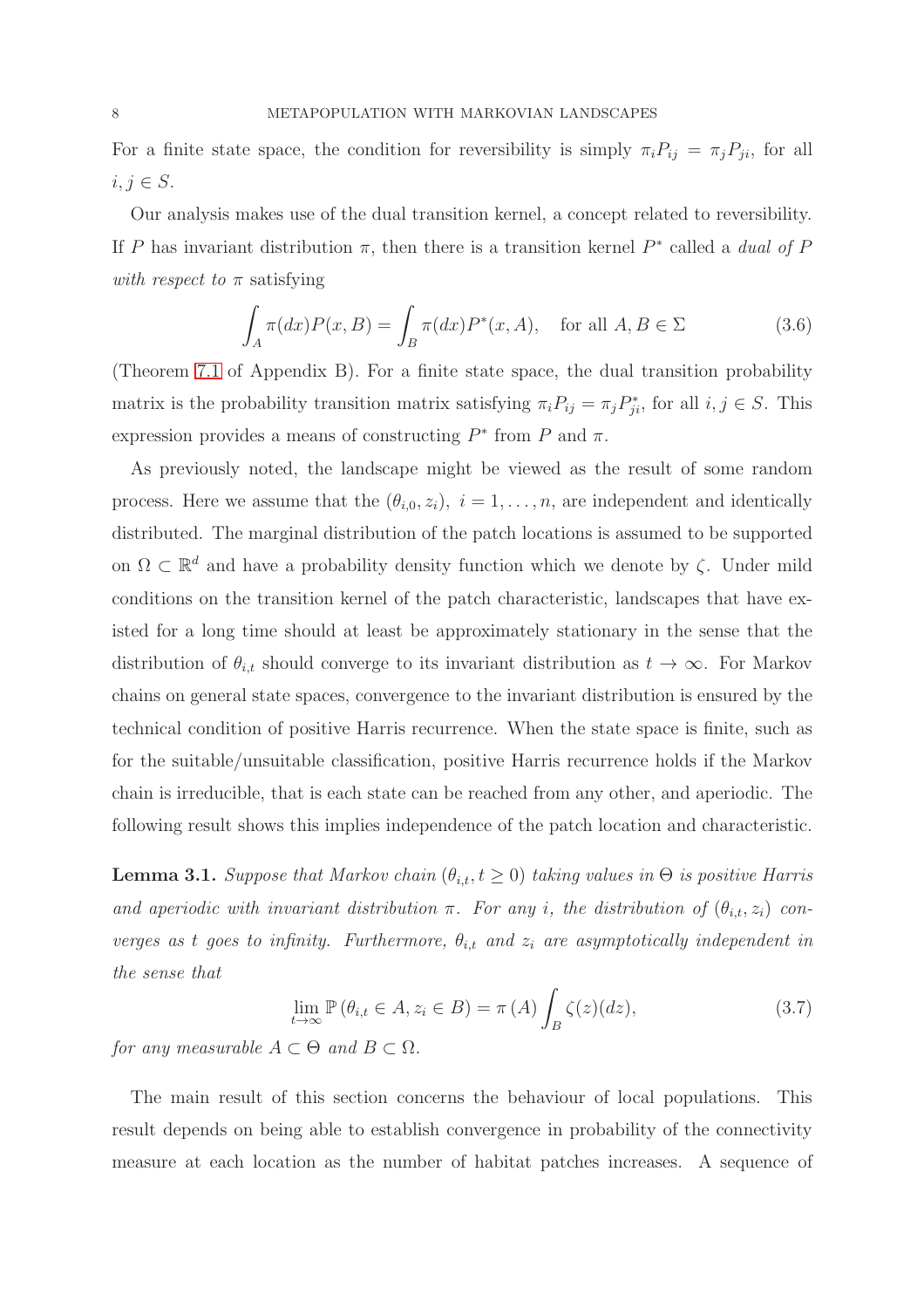For a finite state space, the condition for reversibility is simply  $\pi_i P_{ij} = \pi_j P_{ji}$ , for all  $i, j \in S$ .

Our analysis makes use of the dual transition kernel, a concept related to reversibility. If P has invariant distribution  $\pi$ , then there is a transition kernel  $P^*$  called a *dual of* P *with respect to*  $\pi$  satisfying

$$
\int_{A} \pi(dx) P(x, B) = \int_{B} \pi(dx) P^{*}(x, A), \quad \text{for all } A, B \in \Sigma
$$
\n(3.6)

(Theorem [7.1](#page-30-0) of Appendix B). For a finite state space, the dual transition probability matrix is the probability transition matrix satisfying  $\pi_i P_{ij} = \pi_j P_{ji}^*$ , for all  $i, j \in S$ . This expression provides a means of constructing  $P^*$  from P and  $\pi$ .

As previously noted, the landscape might be viewed as the result of some random process. Here we assume that the  $(\theta_{i,0}, z_i)$ ,  $i = 1, \ldots, n$ , are independent and identically distributed. The marginal distribution of the patch locations is assumed to be supported on  $\Omega \subset \mathbb{R}^d$  and have a probability density function which we denote by  $\zeta$ . Under mild conditions on the transition kernel of the patch characteristic, landscapes that have existed for a long time should at least be approximately stationary in the sense that the distribution of  $\theta_{i,t}$  should converge to its invariant distribution as  $t \to \infty$ . For Markov chains on general state spaces, convergence to the invariant distribution is ensured by the technical condition of positive Harris recurrence. When the state space is finite, such as for the suitable/unsuitable classification, positive Harris recurrence holds if the Markov chain is irreducible, that is each state can be reached from any other, and aperiodic. The following result shows this implies independence of the patch location and characteristic.

<span id="page-7-0"></span>**Lemma 3.1.** *Suppose that Markov chain*  $(\theta_{i,t}, t \geq 0)$  *taking values in*  $\Theta$  *is positive Harris and aperiodic with invariant distribution*  $\pi$ . For any *i*, the distribution of  $(\theta_{i,t}, z_i)$  con*verges as t goes to infinity. Furthermore,*  $\theta_{i,t}$  *and*  $z_i$  *are asymptotically independent in the sense that*

<span id="page-7-1"></span>
$$
\lim_{t \to \infty} \mathbb{P}\left(\theta_{i,t} \in A, z_i \in B\right) = \pi\left(A\right) \int_B \zeta(z) (dz),\tag{3.7}
$$

*for any measurable*  $A \subset \Theta$  *and*  $B \subset \Omega$ *.* 

The main result of this section concerns the behaviour of local populations. This result depends on being able to establish convergence in probability of the connectivity measure at each location as the number of habitat patches increases. A sequence of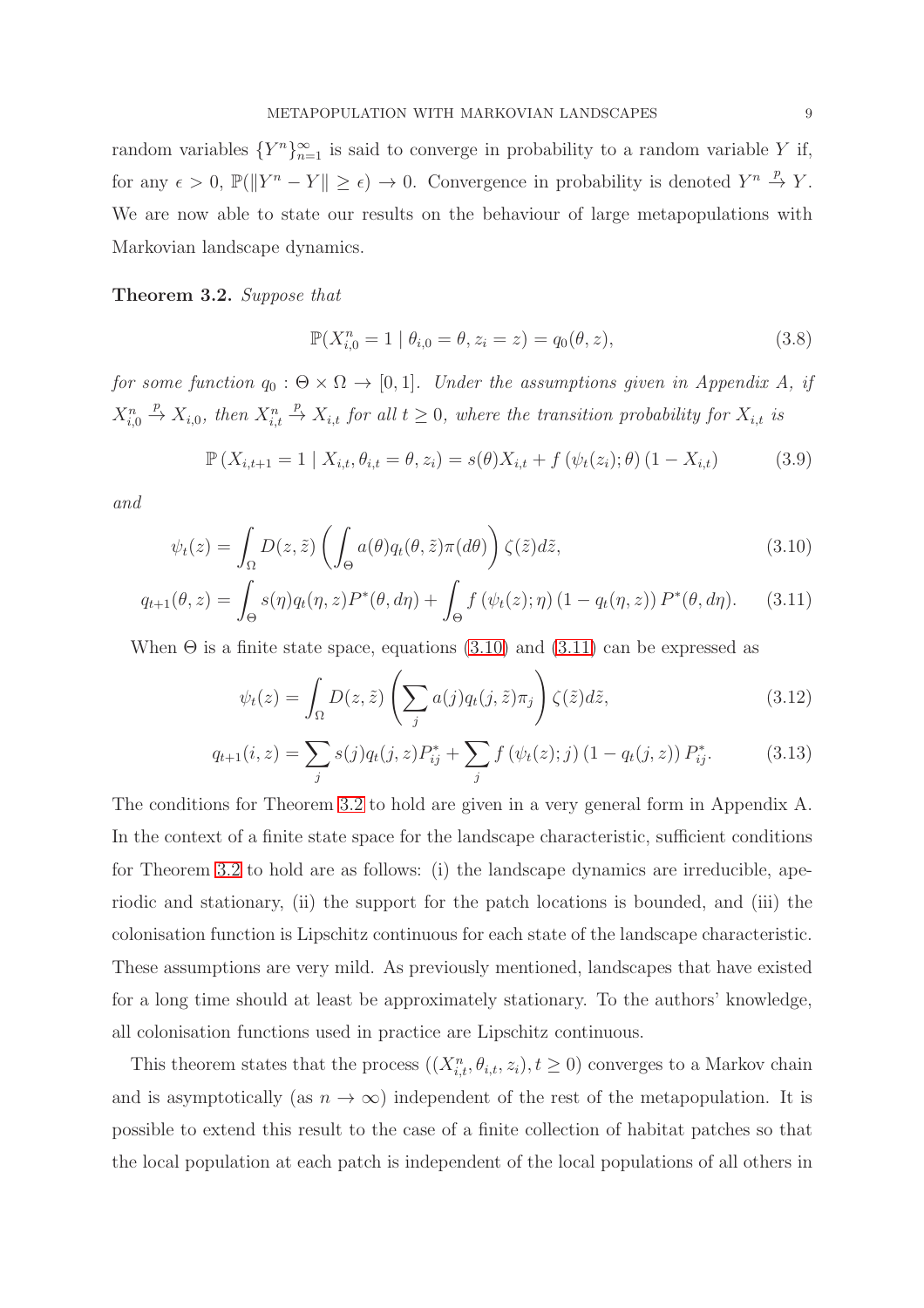random variables  ${Y^n}_{n=1}^{\infty}$  is said to converge in probability to a random variable Y if, for any  $\epsilon > 0$ ,  $\mathbb{P}(\|Y^n - Y\| \geq \epsilon) \to 0$ . Convergence in probability is denoted  $Y^n \stackrel{p}{\to} Y$ . We are now able to state our results on the behaviour of large metapopulations with Markovian landscape dynamics.

<span id="page-8-2"></span>Theorem 3.2. *Suppose that*

<span id="page-8-6"></span><span id="page-8-1"></span><span id="page-8-0"></span>
$$
\mathbb{P}(X_{i,0}^n = 1 \mid \theta_{i,0} = \theta, z_i = z) = q_0(\theta, z),\tag{3.8}
$$

*for some function*  $q_0 : \Theta \times \Omega \to [0, 1]$ *. Under the assumptions given in Appendix A, if*  $X_{i,0}^n \stackrel{p}{\to} X_{i,0}$ , then  $X_{i,t}^n \stackrel{p}{\to} X_{i,t}$  for all  $t \geq 0$ , where the transition probability for  $X_{i,t}$  is

<span id="page-8-3"></span>
$$
\mathbb{P}\left(X_{i,t+1} = 1 \mid X_{i,t}, \theta_{i,t} = \theta, z_i\right) = s(\theta)X_{i,t} + f\left(\psi_t(z_i); \theta\right) (1 - X_{i,t})\tag{3.9}
$$

*and*

$$
\psi_t(z) = \int_{\Omega} D(z, \tilde{z}) \left( \int_{\Theta} a(\theta) q_t(\theta, \tilde{z}) \pi(d\theta) \right) \zeta(\tilde{z}) d\tilde{z},\tag{3.10}
$$

$$
q_{t+1}(\theta, z) = \int_{\Theta} s(\eta) q_t(\eta, z) P^*(\theta, d\eta) + \int_{\Theta} f(\psi_t(z); \eta) (1 - q_t(\eta, z)) P^*(\theta, d\eta). \tag{3.11}
$$

When  $\Theta$  is a finite state space, equations [\(3.10\)](#page-8-0) and [\(3.11\)](#page-8-1) can be expressed as

<span id="page-8-5"></span><span id="page-8-4"></span>
$$
\psi_t(z) = \int_{\Omega} D(z, \tilde{z}) \left( \sum_j a(j) q_t(j, \tilde{z}) \pi_j \right) \zeta(\tilde{z}) d\tilde{z}, \tag{3.12}
$$

$$
q_{t+1}(i, z) = \sum_{j} s(j) q_t(j, z) P_{ij}^* + \sum_{j} f(\psi_t(z); j) (1 - q_t(j, z)) P_{ij}^*.
$$
 (3.13)

The conditions for Theorem [3.2](#page-8-2) to hold are given in a very general form in Appendix A. In the context of a finite state space for the landscape characteristic, sufficient conditions for Theorem [3.2](#page-8-2) to hold are as follows: (i) the landscape dynamics are irreducible, aperiodic and stationary, (ii) the support for the patch locations is bounded, and (iii) the colonisation function is Lipschitz continuous for each state of the landscape characteristic. These assumptions are very mild. As previously mentioned, landscapes that have existed for a long time should at least be approximately stationary. To the authors' knowledge, all colonisation functions used in practice are Lipschitz continuous.

This theorem states that the process  $((X_{i,t}^n, \theta_{i,t}, z_i), t \geq 0)$  converges to a Markov chain and is asymptotically (as  $n \to \infty$ ) independent of the rest of the metapopulation. It is possible to extend this result to the case of a finite collection of habitat patches so that the local population at each patch is independent of the local populations of all others in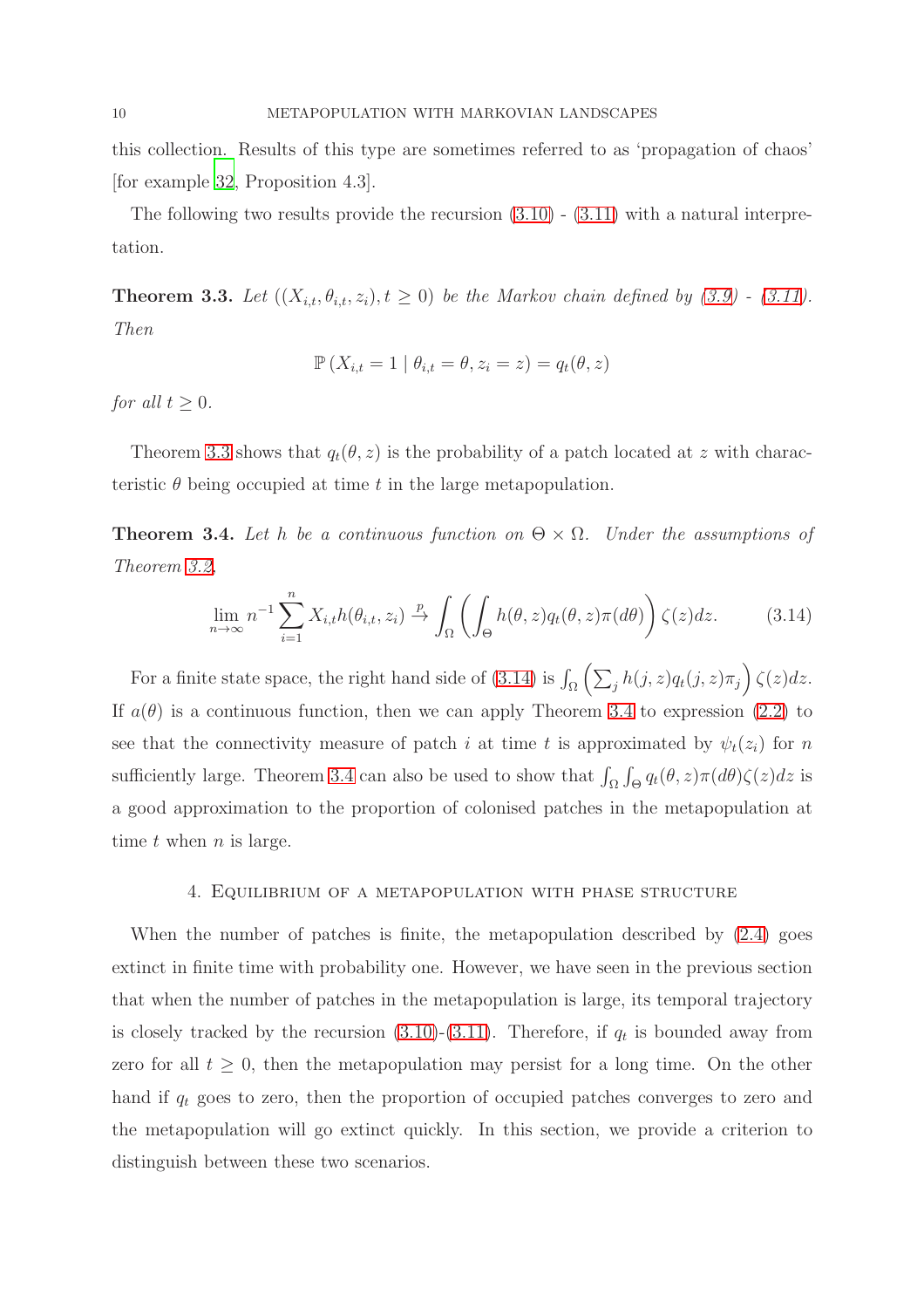this collection. Results of this type are sometimes referred to as 'propagation of chaos' [for example [32,](#page-42-9) Proposition 4.3].

The following two results provide the recursion  $(3.10)$  -  $(3.11)$  with a natural interpretation.

<span id="page-9-0"></span>**Theorem 3.3.** Let  $((X_{i,t}, \theta_{i,t}, z_i), t \geq 0)$  be the Markov chain defined by  $(3.9)$  -  $(3.11)$ *. Then*

$$
\mathbb{P}\left(X_{i,t}=1 \mid \theta_{i,t}=\theta, z_i=z\right)=q_t(\theta, z)
$$

*for all*  $t > 0$ *.* 

Theorem [3.3](#page-9-0) shows that  $q_t(\theta, z)$  is the probability of a patch located at z with characteristic  $\theta$  being occupied at time t in the large metapopulation.

<span id="page-9-2"></span>**Theorem 3.4.** Let h be a continuous function on  $\Theta \times \Omega$ . Under the assumptions of *Theorem [3.2,](#page-8-2)*

<span id="page-9-1"></span>
$$
\lim_{n \to \infty} n^{-1} \sum_{i=1}^{n} X_{i,t} h(\theta_{i,t}, z_i) \xrightarrow{p} \int_{\Omega} \left( \int_{\Theta} h(\theta, z) q_t(\theta, z) \pi(d\theta) \right) \zeta(z) dz.
$$
 (3.14)

For a finite state space, the right hand side of [\(3.14\)](#page-9-1) is  $\int_{\Omega} \left( \sum_{j} h(j,z) q_t(j,z) \pi_j \right) \zeta(z) dz$ . If  $a(\theta)$  is a continuous function, then we can apply Theorem [3.4](#page-9-2) to expression [\(2.2\)](#page-4-0) to see that the connectivity measure of patch i at time t is approximated by  $\psi_t(z_i)$  for n sufficiently large. Theorem [3.4](#page-9-2) can also be used to show that  $\int_{\Omega} \int_{\Theta} q_t(\theta, z) \pi(d\theta) \zeta(z) dz$  is a good approximation to the proportion of colonised patches in the metapopulation at time  $t$  when  $n$  is large.

## <span id="page-9-3"></span>4. Equilibrium of a metapopulation with phase structure

When the number of patches is finite, the metapopulation described by  $(2.4)$  goes extinct in finite time with probability one. However, we have seen in the previous section that when the number of patches in the metapopulation is large, its temporal trajectory is closely tracked by the recursion  $(3.10)-(3.11)$  $(3.10)-(3.11)$ . Therefore, if  $q_t$  is bounded away from zero for all  $t \geq 0$ , then the metapopulation may persist for a long time. On the other hand if  $q_t$  goes to zero, then the proportion of occupied patches converges to zero and the metapopulation will go extinct quickly. In this section, we provide a criterion to distinguish between these two scenarios.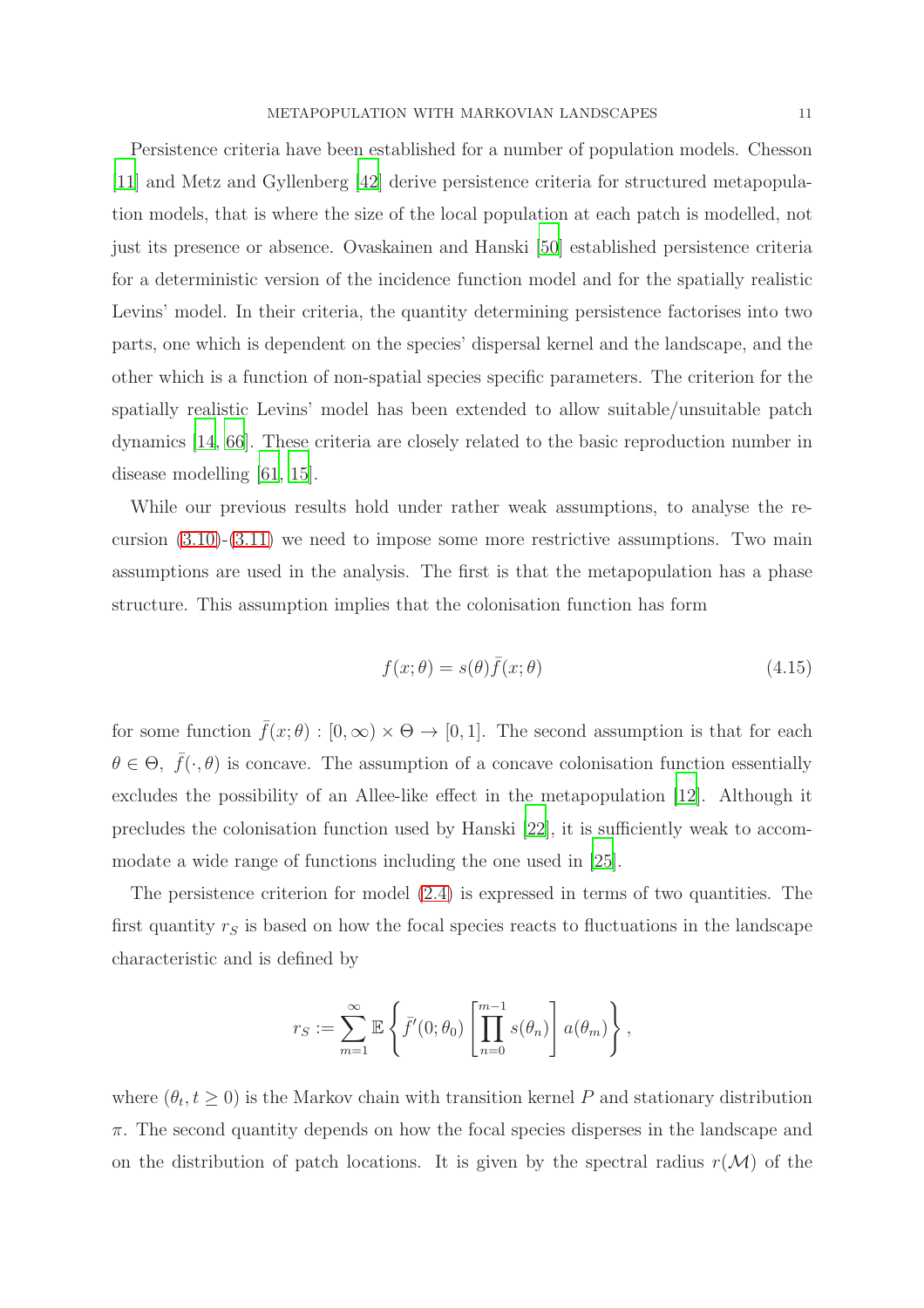Persistence criteria have been established for a number of population models. Chesson [\[11\]](#page-40-6) and Metz and Gyllenberg [\[42](#page-43-6)] derive persistence criteria for structured metapopulation models, that is where the size of the local population at each patch is modelled, not just its presence or absence. Ovaskainen and Hanski [\[50\]](#page-43-0) established persistence criteria for a deterministic version of the incidence function model and for the spatially realistic Levins' model. In their criteria, the quantity determining persistence factorises into two parts, one which is dependent on the species' dispersal kernel and the landscape, and the other which is a function of non-spatial species specific parameters. The criterion for the spatially realistic Levins' model has been extended to allow suitable/unsuitable patch dynamics [\[14,](#page-41-9) [66](#page-44-4)]. These criteria are closely related to the basic reproduction number in disease modelling [\[61,](#page-44-5) [15\]](#page-41-12).

While our previous results hold under rather weak assumptions, to analyse the recursion  $(3.10)-(3.11)$  $(3.10)-(3.11)$  we need to impose some more restrictive assumptions. Two main assumptions are used in the analysis. The first is that the metapopulation has a phase structure. This assumption implies that the colonisation function has form

<span id="page-10-0"></span>
$$
f(x; \theta) = s(\theta)\bar{f}(x; \theta)
$$
\n(4.15)

for some function  $\bar{f}(x;\theta) : [0,\infty) \times \Theta \to [0,1]$ . The second assumption is that for each  $\theta \in \Theta$ ,  $\bar{f}(\cdot, \theta)$  is concave. The assumption of a concave colonisation function essentially excludes the possibility of an Allee-like effect in the metapopulation [\[12](#page-40-7)]. Although it precludes the colonisation function used by Hanski [\[22](#page-41-1)], it is sufficiently weak to accommodate a wide range of functions including the one used in [\[25](#page-41-11)].

The persistence criterion for model [\(2.4\)](#page-5-0) is expressed in terms of two quantities. The first quantity  $r<sub>S</sub>$  is based on how the focal species reacts to fluctuations in the landscape characteristic and is defined by

$$
r_S := \sum_{m=1}^{\infty} \mathbb{E} \left\{ \bar{f}'(0; \theta_0) \left[ \prod_{n=0}^{m-1} s(\theta_n) \right] a(\theta_m) \right\},\,
$$

where  $(\theta_t, t \ge 0)$  is the Markov chain with transition kernel P and stationary distribution  $\pi$ . The second quantity depends on how the focal species disperses in the landscape and on the distribution of patch locations. It is given by the spectral radius  $r(\mathcal{M})$  of the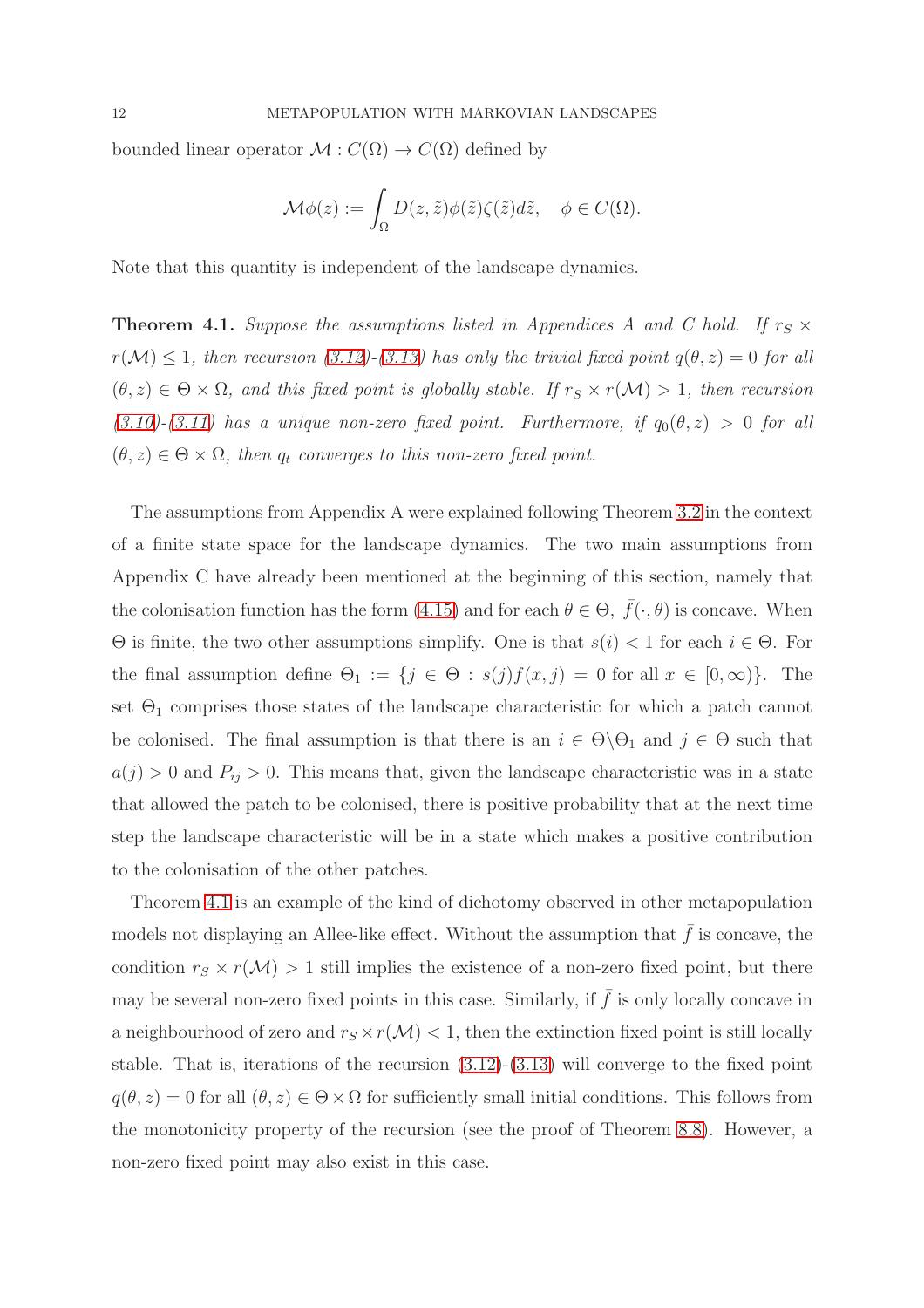bounded linear operator  $\mathcal{M}: C(\Omega) \to C(\Omega)$  defined by

$$
\mathcal{M}\phi(z) := \int_{\Omega} D(z,\tilde{z})\phi(\tilde{z})\zeta(\tilde{z})d\tilde{z}, \quad \phi \in C(\Omega).
$$

Note that this quantity is independent of the landscape dynamics.

<span id="page-11-0"></span>**Theorem 4.1.** Suppose the assumptions listed in Appendices A and C hold. If  $r_S \times$  $r(\mathcal{M}) \leq 1$ , then recursion [\(3.12\)](#page-8-4)<sup>-</sup>[\(3.13\)](#page-8-5) has only the trivial fixed point  $q(\theta, z) = 0$  for all  $(\theta, z) \in \Theta \times \Omega$ , and this fixed point is globally stable. If  $r_S \times r(\mathcal{M}) > 1$ , then recursion  $(3.10)-(3.11)$  $(3.10)-(3.11)$  $(3.10)-(3.11)$  has a unique non-zero fixed point. Furthermore, if  $q_0(\theta, z) > 0$  for all  $(\theta, z) \in \Theta \times \Omega$ , then  $q_t$  converges to this non-zero fixed point.

The assumptions from Appendix A were explained following Theorem [3.2](#page-8-2) in the context of a finite state space for the landscape dynamics. The two main assumptions from Appendix C have already been mentioned at the beginning of this section, namely that the colonisation function has the form [\(4.15\)](#page-10-0) and for each  $\theta \in \Theta$ ,  $\bar{f}(\cdot, \theta)$  is concave. When Θ is finite, the two other assumptions simplify. One is that s(i) < 1 for each i ∈ Θ. For the final assumption define  $\Theta_1 := \{j \in \Theta : s(j)f(x, j) = 0 \text{ for all } x \in [0, \infty)\}.$  The set  $\Theta_1$  comprises those states of the landscape characteristic for which a patch cannot be colonised. The final assumption is that there is an  $i \in \Theta \backslash \Theta_1$  and  $j \in \Theta$  such that  $a(j) > 0$  and  $P_{ij} > 0$ . This means that, given the landscape characteristic was in a state that allowed the patch to be colonised, there is positive probability that at the next time step the landscape characteristic will be in a state which makes a positive contribution to the colonisation of the other patches.

Theorem [4.1](#page-11-0) is an example of the kind of dichotomy observed in other metapopulation models not displaying an Allee-like effect. Without the assumption that  $\bar{f}$  is concave, the condition  $r_S \times r(M) > 1$  still implies the existence of a non-zero fixed point, but there may be several non-zero fixed points in this case. Similarly, if  $\bar{f}$  is only locally concave in a neighbourhood of zero and  $r_S \times r(M) < 1$ , then the extinction fixed point is still locally stable. That is, iterations of the recursion [\(3.12\)](#page-8-4)-[\(3.13\)](#page-8-5) will converge to the fixed point  $q(\theta, z) = 0$  for all  $(\theta, z) \in \Theta \times \Omega$  for sufficiently small initial conditions. This follows from the monotonicity property of the recursion (see the proof of Theorem [8.8\)](#page-37-0). However, a non-zero fixed point may also exist in this case.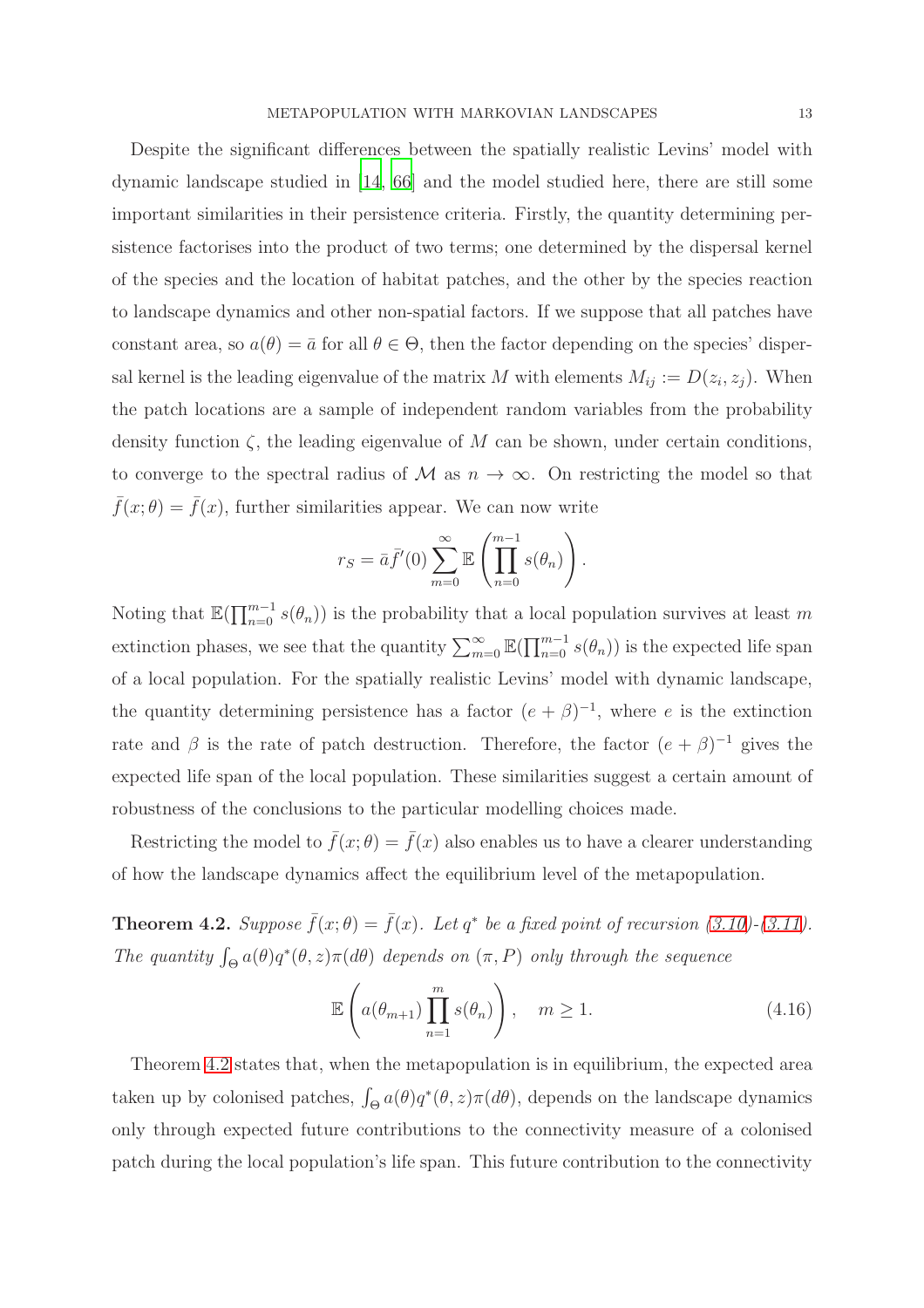Despite the significant differences between the spatially realistic Levins' model with dynamic landscape studied in [\[14](#page-41-9), [66\]](#page-44-4) and the model studied here, there are still some important similarities in their persistence criteria. Firstly, the quantity determining persistence factorises into the product of two terms; one determined by the dispersal kernel of the species and the location of habitat patches, and the other by the species reaction to landscape dynamics and other non-spatial factors. If we suppose that all patches have constant area, so  $a(\theta) = \bar{a}$  for all  $\theta \in \Theta$ , then the factor depending on the species' dispersal kernel is the leading eigenvalue of the matrix M with elements  $M_{ij} := D(z_i, z_j)$ . When the patch locations are a sample of independent random variables from the probability density function  $\zeta$ , the leading eigenvalue of M can be shown, under certain conditions, to converge to the spectral radius of M as  $n \to \infty$ . On restricting the model so that  $\bar{f}(x; \theta) = \bar{f}(x)$ , further similarities appear. We can now write

$$
r_S = \bar{a}\bar{f}'(0) \sum_{m=0}^{\infty} \mathbb{E}\left(\prod_{n=0}^{m-1} s(\theta_n)\right).
$$

Noting that  $\mathbb{E}(\prod_{n=0}^{m-1} s(\theta_n))$  is the probability that a local population survives at least m extinction phases, we see that the quantity  $\sum_{m=0}^{\infty} \mathbb{E}(\prod_{n=0}^{m-1} s(\theta_n))$  is the expected life span of a local population. For the spatially realistic Levins' model with dynamic landscape, the quantity determining persistence has a factor  $(e + \beta)^{-1}$ , where e is the extinction rate and  $\beta$  is the rate of patch destruction. Therefore, the factor  $(e + \beta)^{-1}$  gives the expected life span of the local population. These similarities suggest a certain amount of robustness of the conclusions to the particular modelling choices made.

Restricting the model to  $\bar{f}(x; \theta) = \bar{f}(x)$  also enables us to have a clearer understanding of how the landscape dynamics affect the equilibrium level of the metapopulation.

<span id="page-12-0"></span>**Theorem 4.2.** Suppose  $\bar{f}(x;\theta) = \bar{f}(x)$ . Let  $q^*$  be a fixed point of recursion [\(3.10\)](#page-8-0) $-(3.11)$  $-(3.11)$ . *The quantity*  $\int_{\Theta} a(\theta)q^*(\theta, z)\pi(d\theta)$  *depends on*  $(\pi, P)$  *only through the sequence* 

<span id="page-12-1"></span>
$$
\mathbb{E}\left(a(\theta_{m+1})\prod_{n=1}^{m} s(\theta_n)\right), \quad m \ge 1.
$$
\n(4.16)

Theorem [4.2](#page-12-0) states that, when the metapopulation is in equilibrium, the expected area taken up by colonised patches,  $\int_{\Theta} a(\theta)q^*(\theta, z)\pi(d\theta)$ , depends on the landscape dynamics only through expected future contributions to the connectivity measure of a colonised patch during the local population's life span. This future contribution to the connectivity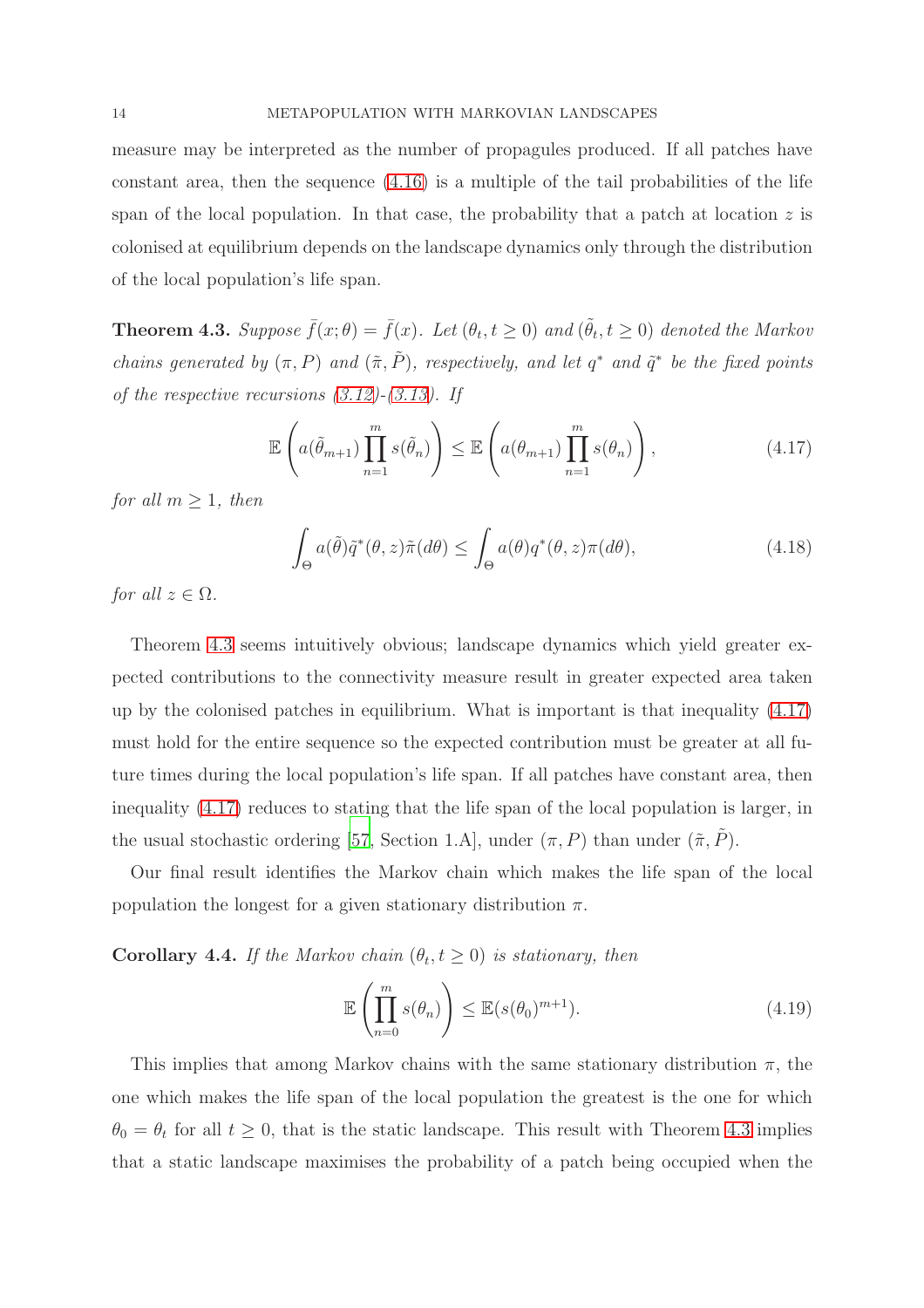measure may be interpreted as the number of propagules produced. If all patches have constant area, then the sequence [\(4.16\)](#page-12-1) is a multiple of the tail probabilities of the life span of the local population. In that case, the probability that a patch at location  $z$  is colonised at equilibrium depends on the landscape dynamics only through the distribution of the local population's life span.

<span id="page-13-0"></span>**Theorem 4.3.** Suppose  $\bar{f}(x;\theta) = \bar{f}(x)$ . Let  $(\theta_t, t \ge 0)$  and  $(\tilde{\theta}_t, t \ge 0)$  denoted the Markov *chains generated by*  $(\pi, P)$  *and*  $(\tilde{\pi}, \tilde{P})$ *, respectively, and let*  $q^*$  *and*  $\tilde{q}^*$  *be the fixed points of the respective recursions [\(3.12\)](#page-8-4)-[\(3.13\)](#page-8-5). If*

<span id="page-13-1"></span>
$$
\mathbb{E}\left(a(\tilde{\theta}_{m+1})\prod_{n=1}^{m} s(\tilde{\theta}_{n})\right) \leq \mathbb{E}\left(a(\theta_{m+1})\prod_{n=1}^{m} s(\theta_{n})\right),\tag{4.17}
$$

*for all*  $m > 1$ *, then* 

$$
\int_{\Theta} a(\tilde{\theta}) \tilde{q}^*(\theta, z) \tilde{\pi}(d\theta) \le \int_{\Theta} a(\theta) q^*(\theta, z) \pi(d\theta), \tag{4.18}
$$

*for all*  $z \in \Omega$ *.* 

Theorem [4.3](#page-13-0) seems intuitively obvious; landscape dynamics which yield greater expected contributions to the connectivity measure result in greater expected area taken up by the colonised patches in equilibrium. What is important is that inequality [\(4.17\)](#page-13-1) must hold for the entire sequence so the expected contribution must be greater at all future times during the local population's life span. If all patches have constant area, then inequality [\(4.17\)](#page-13-1) reduces to stating that the life span of the local population is larger, in the usual stochastic ordering [\[57](#page-44-6), Section 1.A], under  $(\pi, P)$  than under  $(\tilde{\pi}, \tilde{P})$ .

Our final result identifies the Markov chain which makes the life span of the local population the longest for a given stationary distribution  $\pi$ .

<span id="page-13-2"></span>**Corollary 4.4.** *If the Markov chain*  $(\theta_t, t \geq 0)$  *is stationary, then* 

$$
\mathbb{E}\left(\prod_{n=0}^{m} s(\theta_n)\right) \le \mathbb{E}(s(\theta_0)^{m+1}).\tag{4.19}
$$

This implies that among Markov chains with the same stationary distribution  $\pi$ , the one which makes the life span of the local population the greatest is the one for which  $\theta_0 = \theta_t$  for all  $t \geq 0$ , that is the static landscape. This result with Theorem [4.3](#page-13-0) implies that a static landscape maximises the probability of a patch being occupied when the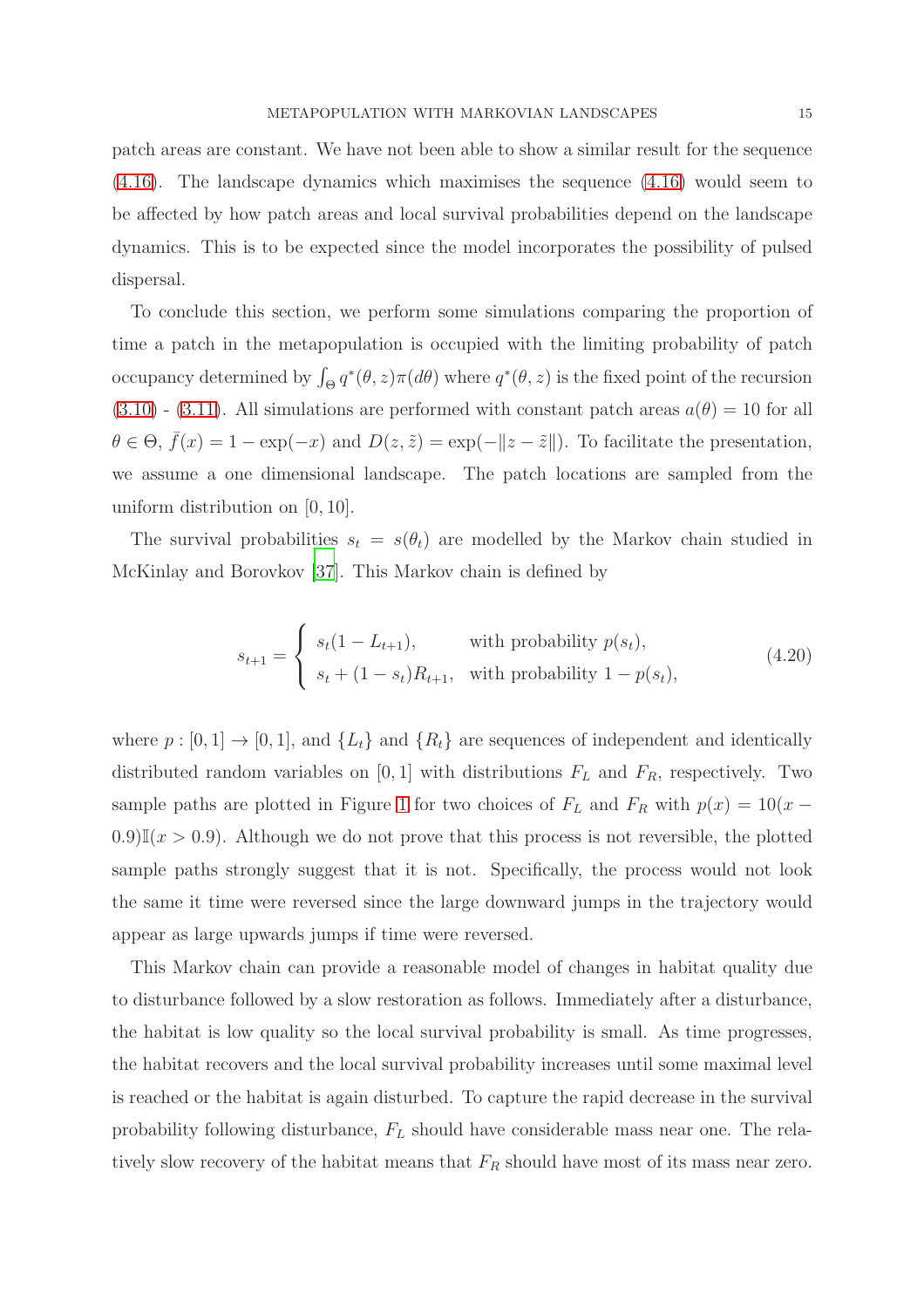patch areas are constant. We have not been able to show a similar result for the sequence [\(4.16\)](#page-12-1). The landscape dynamics which maximises the sequence [\(4.16\)](#page-12-1) would seem to be affected by how patch areas and local survival probabilities depend on the landscape dynamics. This is to be expected since the model incorporates the possibility of pulsed dispersal.

To conclude this section, we perform some simulations comparing the proportion of time a patch in the metapopulation is occupied with the limiting probability of patch occupancy determined by  $\int_{\Theta} q^*(\theta, z) \pi(d\theta)$  where  $q^*(\theta, z)$  is the fixed point of the recursion  $(3.10)$  -  $(3.11)$ . All simulations are performed with constant patch areas  $a(\theta) = 10$  for all  $\theta \in \Theta$ ,  $\bar{f}(x) = 1 - \exp(-x)$  and  $D(z, \tilde{z}) = \exp(-||z - \tilde{z}||)$ . To facilitate the presentation, we assume a one dimensional landscape. The patch locations are sampled from the uniform distribution on [0, 10].

The survival probabilities  $s_t = s(\theta_t)$  are modelled by the Markov chain studied in McKinlay and Borovkov [\[37](#page-42-10)]. This Markov chain is defined by

$$
s_{t+1} = \begin{cases} s_t(1 - L_{t+1}), & \text{with probability } p(s_t), \\ s_t + (1 - s_t)R_{t+1}, & \text{with probability } 1 - p(s_t), \end{cases} \tag{4.20}
$$

where  $p : [0, 1] \rightarrow [0, 1]$ , and  $\{L_t\}$  and  $\{R_t\}$  are sequences of independent and identically distributed random variables on [0, 1] with distributions  $F_L$  and  $F_R$ , respectively. Two sample paths are plotted in Figure [1](#page-15-0) for two choices of  $F<sub>L</sub>$  and  $F<sub>R</sub>$  with  $p(x) = 10(x -$ 0.9) $\mathbb{I}(x > 0.9)$ . Although we do not prove that this process is not reversible, the plotted sample paths strongly suggest that it is not. Specifically, the process would not look the same it time were reversed since the large downward jumps in the trajectory would appear as large upwards jumps if time were reversed.

This Markov chain can provide a reasonable model of changes in habitat quality due to disturbance followed by a slow restoration as follows. Immediately after a disturbance, the habitat is low quality so the local survival probability is small. As time progresses, the habitat recovers and the local survival probability increases until some maximal level is reached or the habitat is again disturbed. To capture the rapid decrease in the survival probability following disturbance,  $F<sub>L</sub>$  should have considerable mass near one. The relatively slow recovery of the habitat means that  $F_R$  should have most of its mass near zero.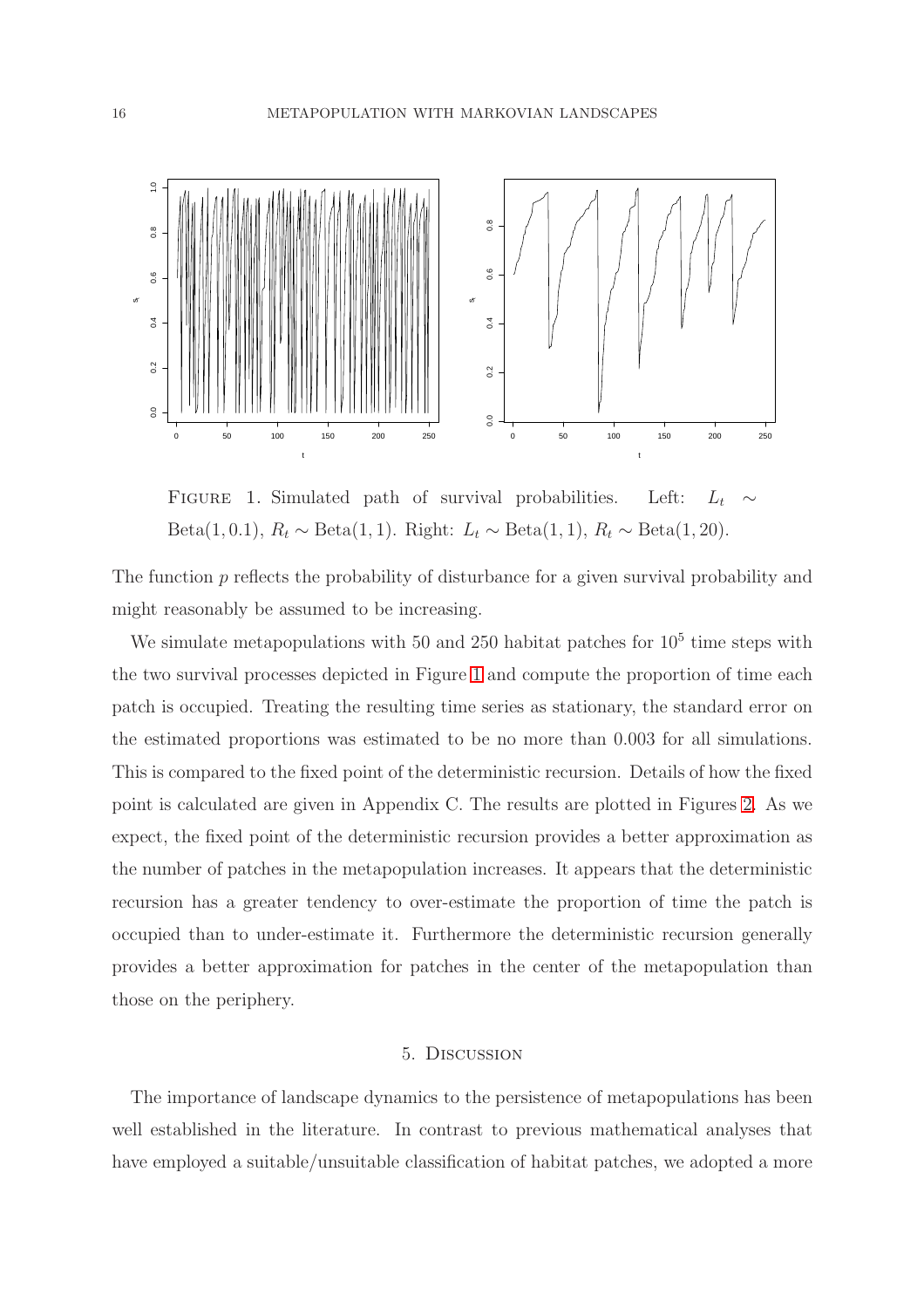

<span id="page-15-0"></span>FIGURE 1. Simulated path of survival probabilities. Left:  $L_t$ Beta(1, 0.1),  $R_t \sim \text{Beta}(1, 1)$ . Right:  $L_t \sim \text{Beta}(1, 1)$ ,  $R_t \sim \text{Beta}(1, 20)$ .

The function p reflects the probability of disturbance for a given survival probability and might reasonably be assumed to be increasing.

We simulate metapopulations with 50 and 250 habitat patches for  $10<sup>5</sup>$  time steps with the two survival processes depicted in Figure [1](#page-15-0) and compute the proportion of time each patch is occupied. Treating the resulting time series as stationary, the standard error on the estimated proportions was estimated to be no more than 0.003 for all simulations. This is compared to the fixed point of the deterministic recursion. Details of how the fixed point is calculated are given in Appendix C. The results are plotted in Figures [2.](#page-16-0) As we expect, the fixed point of the deterministic recursion provides a better approximation as the number of patches in the metapopulation increases. It appears that the deterministic recursion has a greater tendency to over-estimate the proportion of time the patch is occupied than to under-estimate it. Furthermore the deterministic recursion generally provides a better approximation for patches in the center of the metapopulation than those on the periphery.

#### 5. Discussion

The importance of landscape dynamics to the persistence of metapopulations has been well established in the literature. In contrast to previous mathematical analyses that have employed a suitable/unsuitable classification of habitat patches, we adopted a more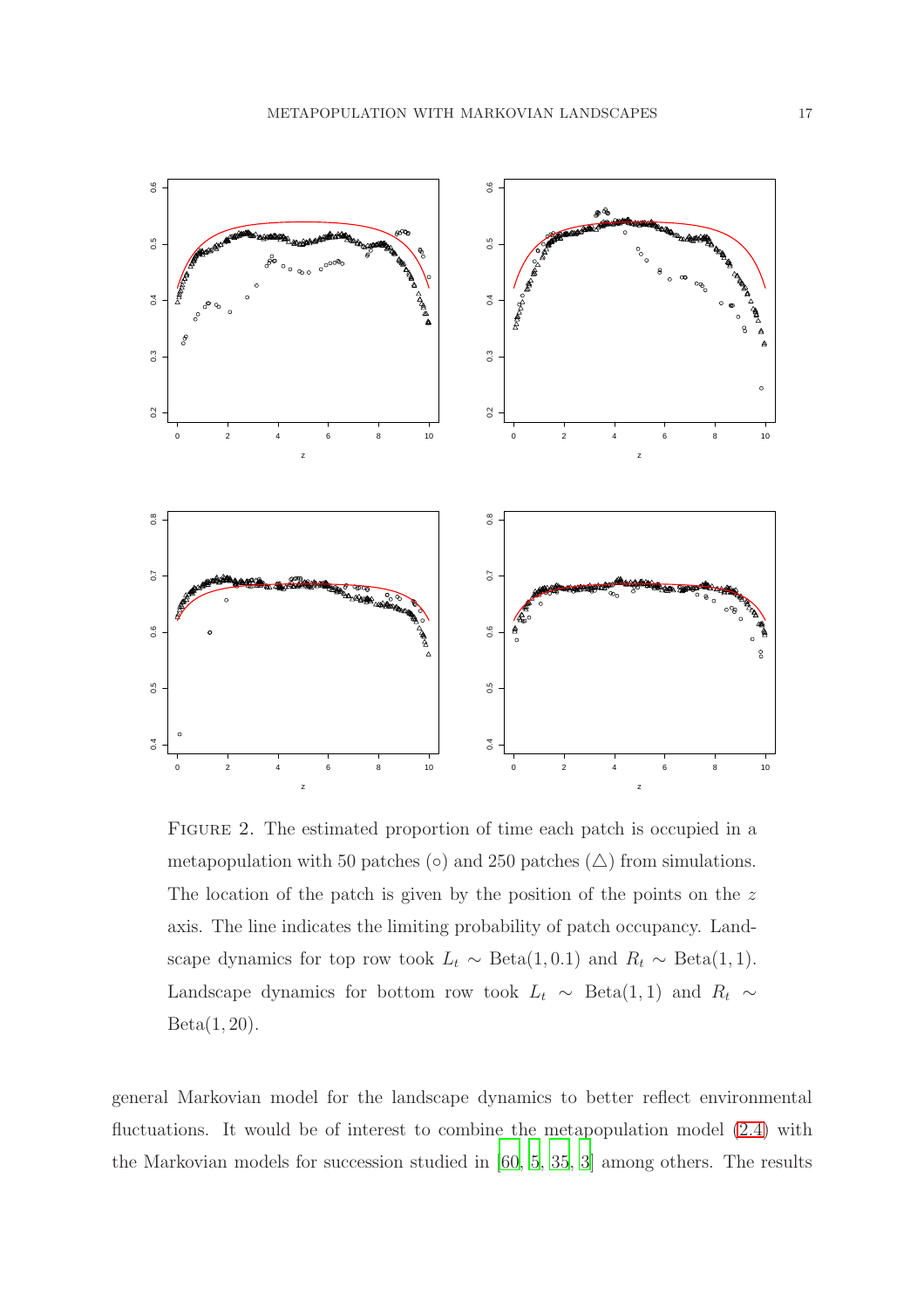

<span id="page-16-0"></span>FIGURE 2. The estimated proportion of time each patch is occupied in a metapopulation with 50 patches (◦) and 250 patches ( $\triangle$ ) from simulations. The location of the patch is given by the position of the points on the  $z$ axis. The line indicates the limiting probability of patch occupancy. Landscape dynamics for top row took  $L_t \sim \text{Beta}(1, 0.1)$  and  $R_t \sim \text{Beta}(1, 1)$ . Landscape dynamics for bottom row took  $L_t \sim$  Beta(1, 1) and  $R_t \sim$  $Beta(1, 20)$ .

general Markovian model for the landscape dynamics to better reflect environmental fluctuations. It would be of interest to combine the metapopulation model [\(2.4\)](#page-5-0) with the Markovian models for succession studied in [\[60](#page-44-7), [5,](#page-40-8) [35,](#page-42-11) [3\]](#page-40-9) among others. The results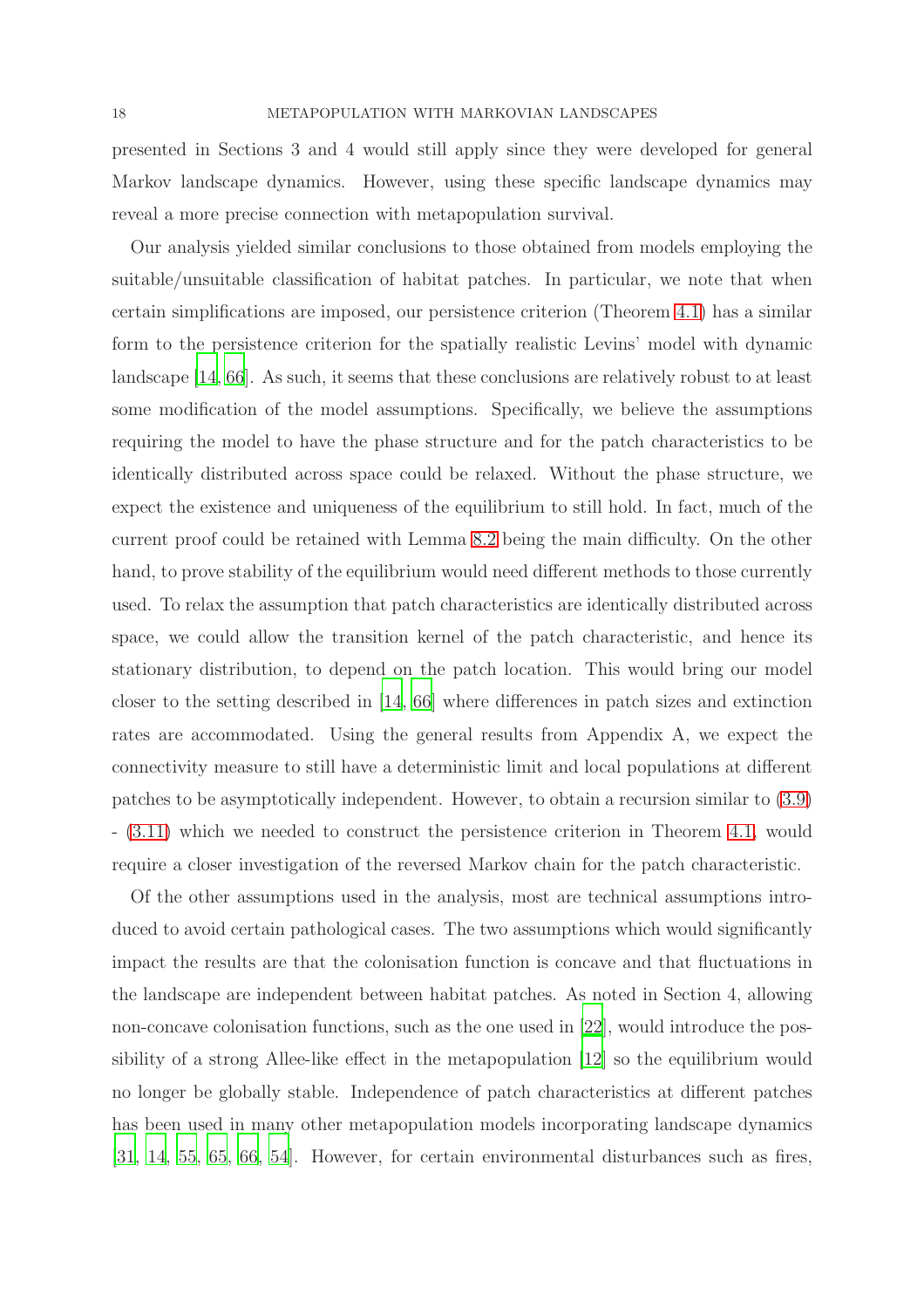presented in Sections 3 and 4 would still apply since they were developed for general Markov landscape dynamics. However, using these specific landscape dynamics may reveal a more precise connection with metapopulation survival.

Our analysis yielded similar conclusions to those obtained from models employing the suitable/unsuitable classification of habitat patches. In particular, we note that when certain simplifications are imposed, our persistence criterion (Theorem [4.1\)](#page-11-0) has a similar form to the persistence criterion for the spatially realistic Levins' model with dynamic landscape [\[14,](#page-41-9) [66](#page-44-4)]. As such, it seems that these conclusions are relatively robust to at least some modification of the model assumptions. Specifically, we believe the assumptions requiring the model to have the phase structure and for the patch characteristics to be identically distributed across space could be relaxed. Without the phase structure, we expect the existence and uniqueness of the equilibrium to still hold. In fact, much of the current proof could be retained with Lemma [8.2](#page-34-0) being the main difficulty. On the other hand, to prove stability of the equilibrium would need different methods to those currently used. To relax the assumption that patch characteristics are identically distributed across space, we could allow the transition kernel of the patch characteristic, and hence its stationary distribution, to depend on the patch location. This would bring our model closer to the setting described in [\[14,](#page-41-9) [66\]](#page-44-4) where differences in patch sizes and extinction rates are accommodated. Using the general results from Appendix A, we expect the connectivity measure to still have a deterministic limit and local populations at different patches to be asymptotically independent. However, to obtain a recursion similar to [\(3.9\)](#page-8-3) - [\(3.11\)](#page-8-1) which we needed to construct the persistence criterion in Theorem [4.1,](#page-11-0) would require a closer investigation of the reversed Markov chain for the patch characteristic.

Of the other assumptions used in the analysis, most are technical assumptions introduced to avoid certain pathological cases. The two assumptions which would significantly impact the results are that the colonisation function is concave and that fluctuations in the landscape are independent between habitat patches. As noted in Section 4, allowing non-concave colonisation functions, such as the one used in [\[22\]](#page-41-1), would introduce the possibility of a strong Allee-like effect in the metapopulation [\[12\]](#page-40-7) so the equilibrium would no longer be globally stable. Independence of patch characteristics at different patches has been used in many other metapopulation models incorporating landscape dynamics [\[31,](#page-42-4) [14,](#page-41-9) [55,](#page-44-2) [65](#page-44-3), [66](#page-44-4), [54\]](#page-43-3). However, for certain environmental disturbances such as fires,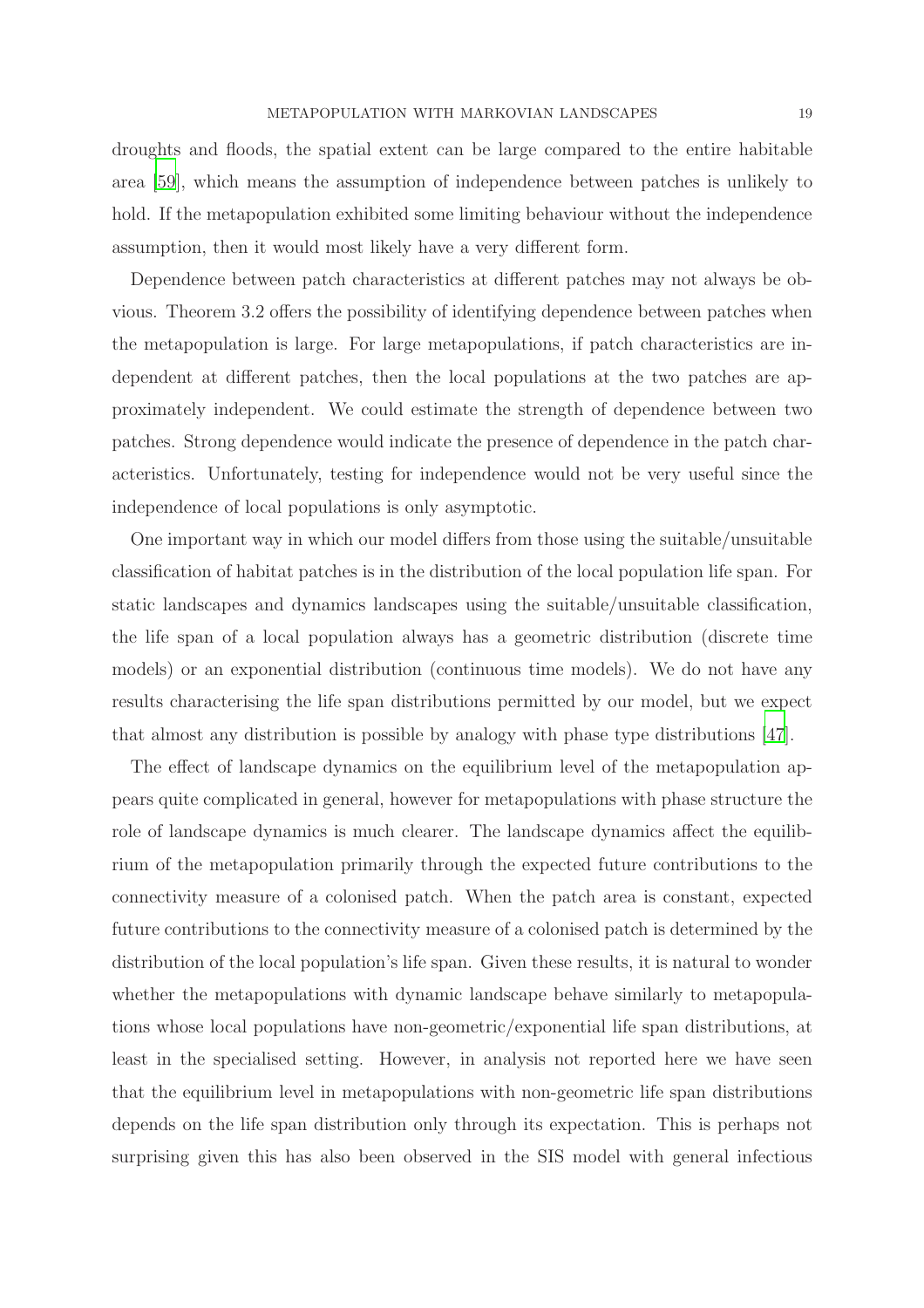droughts and floods, the spatial extent can be large compared to the entire habitable area [\[59](#page-44-8)], which means the assumption of independence between patches is unlikely to hold. If the metapopulation exhibited some limiting behaviour without the independence assumption, then it would most likely have a very different form.

Dependence between patch characteristics at different patches may not always be obvious. Theorem 3.2 offers the possibility of identifying dependence between patches when the metapopulation is large. For large metapopulations, if patch characteristics are independent at different patches, then the local populations at the two patches are approximately independent. We could estimate the strength of dependence between two patches. Strong dependence would indicate the presence of dependence in the patch characteristics. Unfortunately, testing for independence would not be very useful since the independence of local populations is only asymptotic.

One important way in which our model differs from those using the suitable/unsuitable classification of habitat patches is in the distribution of the local population life span. For static landscapes and dynamics landscapes using the suitable/unsuitable classification, the life span of a local population always has a geometric distribution (discrete time models) or an exponential distribution (continuous time models). We do not have any results characterising the life span distributions permitted by our model, but we expect that almost any distribution is possible by analogy with phase type distributions [\[47](#page-43-7)].

The effect of landscape dynamics on the equilibrium level of the metapopulation appears quite complicated in general, however for metapopulations with phase structure the role of landscape dynamics is much clearer. The landscape dynamics affect the equilibrium of the metapopulation primarily through the expected future contributions to the connectivity measure of a colonised patch. When the patch area is constant, expected future contributions to the connectivity measure of a colonised patch is determined by the distribution of the local population's life span. Given these results, it is natural to wonder whether the metapopulations with dynamic landscape behave similarly to metapopulations whose local populations have non-geometric/exponential life span distributions, at least in the specialised setting. However, in analysis not reported here we have seen that the equilibrium level in metapopulations with non-geometric life span distributions depends on the life span distribution only through its expectation. This is perhaps not surprising given this has also been observed in the SIS model with general infectious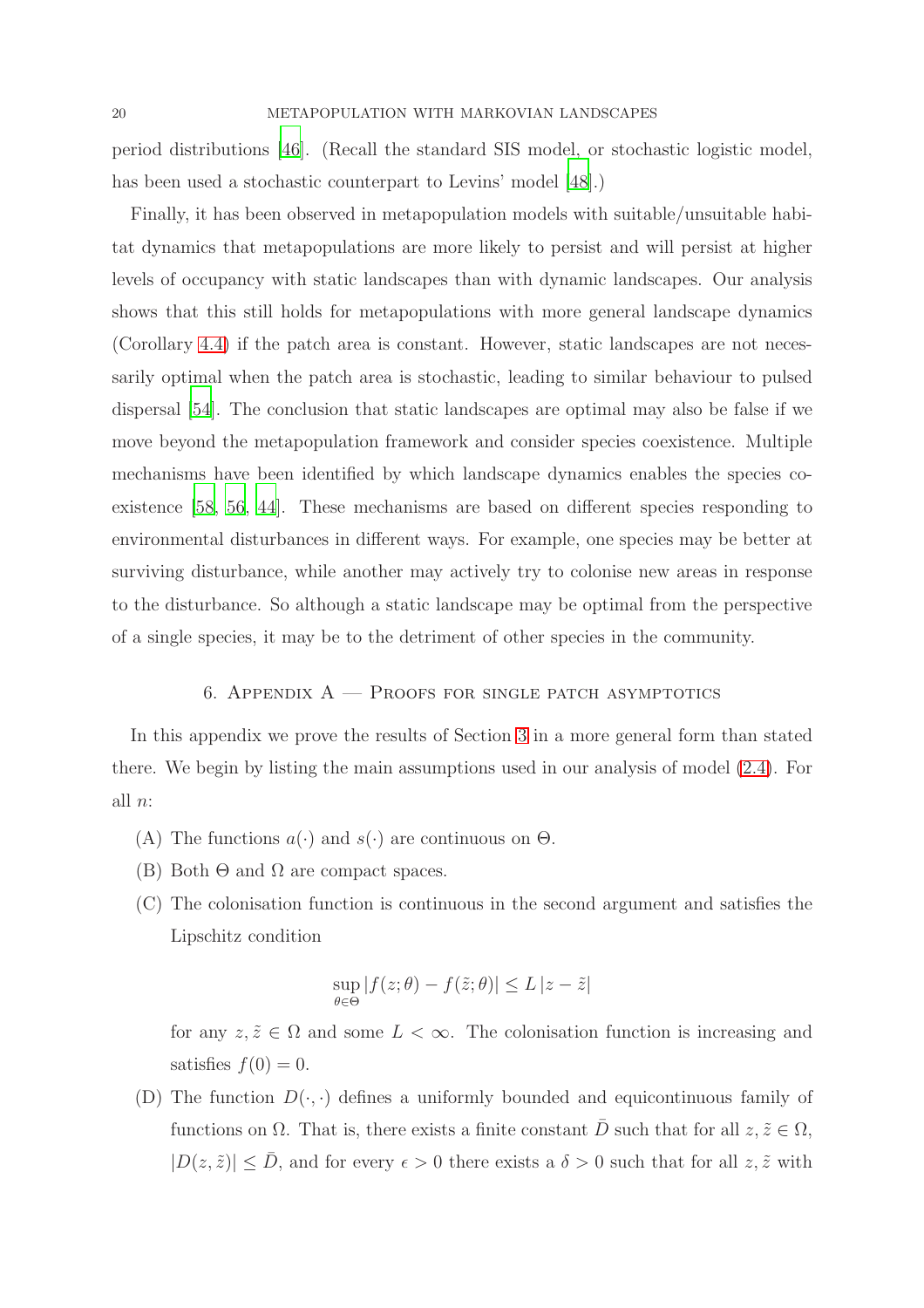period distributions [\[46](#page-43-8)]. (Recall the standard SIS model, or stochastic logistic model, has been used a stochastic counterpart to Levins' model [\[48\]](#page-43-9).)

Finally, it has been observed in metapopulation models with suitable/unsuitable habitat dynamics that metapopulations are more likely to persist and will persist at higher levels of occupancy with static landscapes than with dynamic landscapes. Our analysis shows that this still holds for metapopulations with more general landscape dynamics (Corollary [4.4\)](#page-13-2) if the patch area is constant. However, static landscapes are not necessarily optimal when the patch area is stochastic, leading to similar behaviour to pulsed dispersal [\[54\]](#page-43-3). The conclusion that static landscapes are optimal may also be false if we move beyond the metapopulation framework and consider species coexistence. Multiple mechanisms have been identified by which landscape dynamics enables the species coexistence [\[58,](#page-44-9) [56,](#page-44-10) [44\]](#page-43-10). These mechanisms are based on different species responding to environmental disturbances in different ways. For example, one species may be better at surviving disturbance, while another may actively try to colonise new areas in response to the disturbance. So although a static landscape may be optimal from the perspective of a single species, it may be to the detriment of other species in the community.

## 6. APPENDIX  $A$  – Proofs for single patch asymptotics

In this appendix we prove the results of Section [3](#page-6-1) in a more general form than stated there. We begin by listing the main assumptions used in our analysis of model [\(2.4\)](#page-5-0). For all  $n$ :

- (A) The functions  $a(\cdot)$  and  $s(\cdot)$  are continuous on  $\Theta$ .
- (B) Both  $\Theta$  and  $\Omega$  are compact spaces.
- (C) The colonisation function is continuous in the second argument and satisfies the Lipschitz condition

$$
\sup_{\theta \in \Theta} |f(z; \theta) - f(\tilde{z}; \theta)| \leq L |z - \tilde{z}|
$$

for any  $z, \tilde{z} \in \Omega$  and some  $L < \infty$ . The colonisation function is increasing and satisfies  $f(0) = 0$ .

(D) The function  $D(\cdot, \cdot)$  defines a uniformly bounded and equicontinuous family of functions on  $\Omega$ . That is, there exists a finite constant  $\overline{D}$  such that for all  $z, \tilde{z} \in \Omega$ ,  $|D(z, \tilde{z})| \leq \bar{D}$ , and for every  $\epsilon > 0$  there exists a  $\delta > 0$  such that for all  $z, \tilde{z}$  with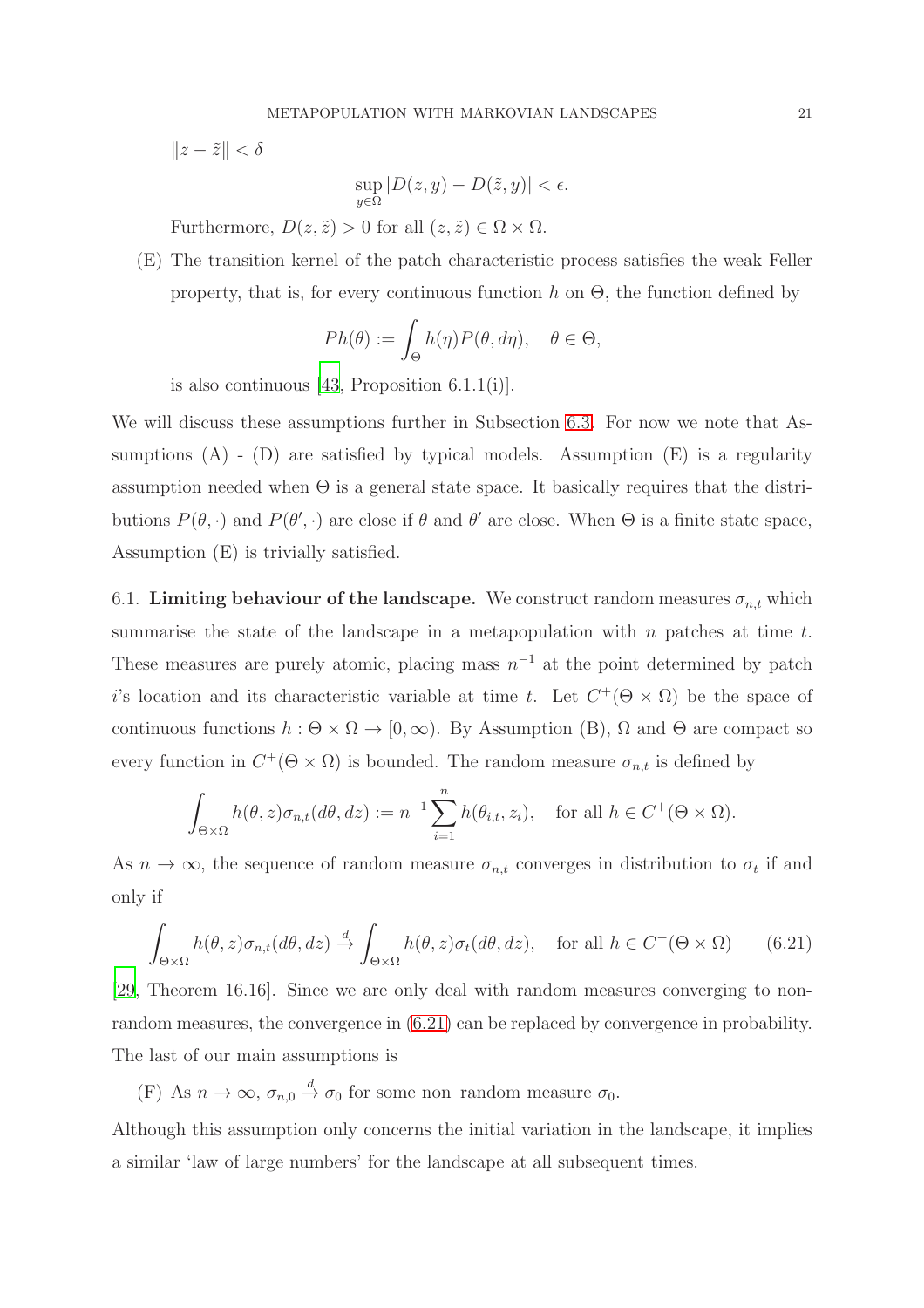$\|z - \tilde{z}\| < \delta$ 

$$
\sup_{y \in \Omega} |D(z, y) - D(\tilde{z}, y)| < \epsilon.
$$

Furthermore,  $D(z, \tilde{z}) > 0$  for all  $(z, \tilde{z}) \in \Omega \times \Omega$ .

(E) The transition kernel of the patch characteristic process satisfies the weak Feller property, that is, for every continuous function h on  $\Theta$ , the function defined by

$$
Ph(\theta) := \int_{\Theta} h(\eta) P(\theta, d\eta), \quad \theta \in \Theta,
$$

is also continuous [\[43,](#page-43-11) Proposition  $6.1.1(i)$ ].

We will discuss these assumptions further in Subsection [6.3.](#page-28-0) For now we note that Assumptions  $(A)$  -  $(D)$  are satisfied by typical models. Assumption  $(E)$  is a regularity assumption needed when  $\Theta$  is a general state space. It basically requires that the distributions  $P(\theta, \cdot)$  and  $P(\theta', \cdot)$  are close if  $\theta$  and  $\theta'$  are close. When  $\Theta$  is a finite state space, Assumption (E) is trivially satisfied.

6.1. Limiting behaviour of the landscape. We construct random measures  $\sigma_{n,t}$  which summarise the state of the landscape in a metapopulation with  $n$  patches at time  $t$ . These measures are purely atomic, placing mass  $n^{-1}$  at the point determined by patch i's location and its characteristic variable at time t. Let  $C^+(\Theta \times \Omega)$  be the space of continuous functions  $h : \Theta \times \Omega \to [0, \infty)$ . By Assumption (B),  $\Omega$  and  $\Theta$  are compact so every function in  $C^+(\Theta \times \Omega)$  is bounded. The random measure  $\sigma_{n,t}$  is defined by

$$
\int_{\Theta \times \Omega} h(\theta, z) \sigma_{n,t}(d\theta, dz) := n^{-1} \sum_{i=1}^n h(\theta_{i,t}, z_i), \text{ for all } h \in C^+(\Theta \times \Omega).
$$

As  $n \to \infty$ , the sequence of random measure  $\sigma_{n,t}$  converges in distribution to  $\sigma_t$  if and only if

<span id="page-20-0"></span>
$$
\int_{\Theta \times \Omega} h(\theta, z) \sigma_{n,t}(d\theta, dz) \xrightarrow{d} \int_{\Theta \times \Omega} h(\theta, z) \sigma_t(d\theta, dz), \quad \text{for all } h \in C^+(\Theta \times \Omega) \qquad (6.21)
$$

[\[29](#page-42-12), Theorem 16.16]. Since we are only deal with random measures converging to nonrandom measures, the convergence in [\(6.21\)](#page-20-0) can be replaced by convergence in probability. The last of our main assumptions is

(F) As  $n \to \infty$ ,  $\sigma_{n,0} \stackrel{d}{\to} \sigma_0$  for some non-random measure  $\sigma_0$ .

Although this assumption only concerns the initial variation in the landscape, it implies a similar 'law of large numbers' for the landscape at all subsequent times.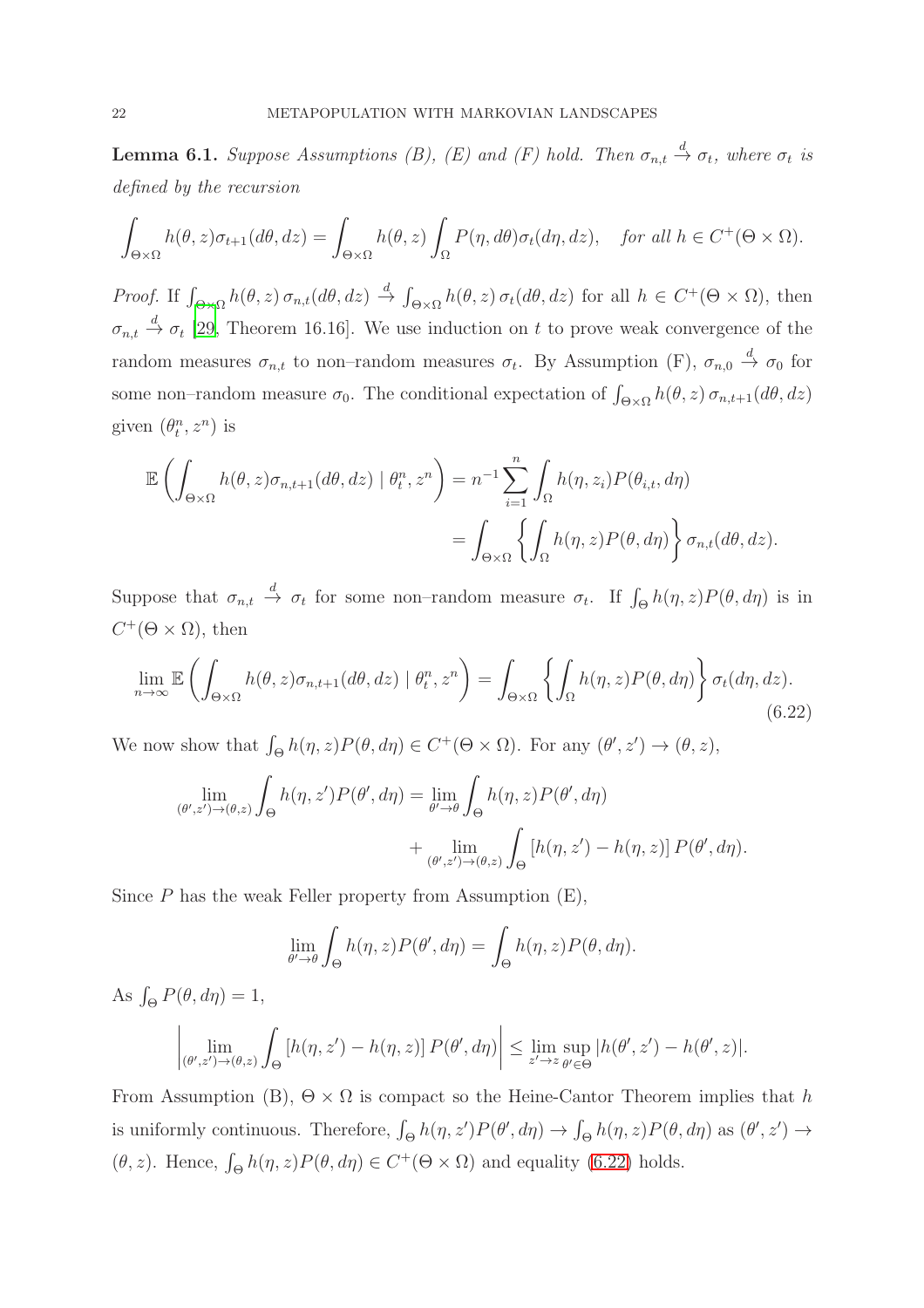<span id="page-21-1"></span>**Lemma 6.1.** Suppose Assumptions (B), (E) and (F) hold. Then  $\sigma_{n,t} \stackrel{d}{\rightarrow} \sigma_t$ , where  $\sigma_t$  is *defined by the recursion*

$$
\int_{\Theta \times \Omega} h(\theta, z) \sigma_{t+1}(d\theta, dz) = \int_{\Theta \times \Omega} h(\theta, z) \int_{\Omega} P(\eta, d\theta) \sigma_t(d\eta, dz), \quad \text{for all } h \in C^+(\Theta \times \Omega).
$$

*Proof.* If  $\int_{\Theta \times \Omega} h(\theta, z) \sigma_{n,t}(d\theta, dz) \stackrel{d}{\rightarrow} \int_{\Theta \times \Omega} h(\theta, z) \sigma_t(d\theta, dz)$  for all  $h \in C^+(\Theta \times \Omega)$ , then  $\sigma_{n,t} \stackrel{d}{\rightarrow} \sigma_t$  [\[29](#page-42-12), Theorem 16.16]. We use induction on t to prove weak convergence of the random measures  $\sigma_{n,t}$  to non-random measures  $\sigma_t$ . By Assumption (F),  $\sigma_{n,0} \stackrel{d}{\to} \sigma_0$  for some non–random measure  $\sigma_0$ . The conditional expectation of  $\int_{\Theta\times\Omega} h(\theta, z) \sigma_{n,t+1}(d\theta, dz)$ given  $(\theta_t^n, z^n)$  is

$$
\mathbb{E}\left(\int_{\Theta\times\Omega}h(\theta,z)\sigma_{n,t+1}(d\theta,dz)\mid\theta_t^n,z^n\right)=n^{-1}\sum_{i=1}^n\int_{\Omega}h(\eta,z_i)P(\theta_{i,t},d\eta)
$$

$$
=\int_{\Theta\times\Omega}\left\{\int_{\Omega}h(\eta,z)P(\theta,d\eta)\right\}\sigma_{n,t}(d\theta,dz).
$$

Suppose that  $\sigma_{n,t} \stackrel{d}{\to} \sigma_t$  for some non-random measure  $\sigma_t$ . If  $\int_{\Theta} h(\eta, z) P(\theta, d\eta)$  is in  $C^+(\Theta \times \Omega)$ , then

<span id="page-21-0"></span>
$$
\lim_{n \to \infty} \mathbb{E}\left(\int_{\Theta \times \Omega} h(\theta, z) \sigma_{n, t+1}(d\theta, dz) \mid \theta_t^n, z^n\right) = \int_{\Theta \times \Omega} \left\{ \int_{\Omega} h(\eta, z) P(\theta, d\eta) \right\} \sigma_t(d\eta, dz).
$$
\n(6.22)

We now show that  $\int_{\Theta} h(\eta, z) P(\theta, d\eta) \in C^+(\Theta \times \Omega)$ . For any  $(\theta', z') \to (\theta, z)$ ,

$$
\lim_{(\theta',z')\to(\theta,z)} \int_{\Theta} h(\eta,z')P(\theta',d\eta) = \lim_{\theta'\to\theta} \int_{\Theta} h(\eta,z)P(\theta',d\eta) + \lim_{(\theta',z')\to(\theta,z)} \int_{\Theta} [h(\eta,z') - h(\eta,z)] P(\theta',d\eta).
$$

Since  $P$  has the weak Feller property from Assumption  $(E)$ ,

$$
\lim_{\theta' \to \theta} \int_{\Theta} h(\eta, z) P(\theta', d\eta) = \int_{\Theta} h(\eta, z) P(\theta, d\eta).
$$

As  $\int_{\Theta} P(\theta, d\eta) = 1$ ,

$$
\left|\lim_{(\theta',z')\to(\theta,z)}\int_{\Theta}\left[h(\eta,z')-h(\eta,z)\right]P(\theta',d\eta)\right|\leq \lim_{z'\to z}\sup_{\theta'\in\Theta}|h(\theta',z')-h(\theta',z)|.
$$

From Assumption (B),  $\Theta \times \Omega$  is compact so the Heine-Cantor Theorem implies that h is uniformly continuous. Therefore,  $\int_{\Theta} h(\eta, z') P(\theta', d\eta) \to \int_{\Theta} h(\eta, z) P(\theta, d\eta)$  as  $(\theta', z') \to$  $(\theta, z)$ . Hence,  $\int_{\Theta} h(\eta, z) P(\theta, d\eta) \in C^+(\Theta \times \Omega)$  and equality [\(6.22\)](#page-21-0) holds.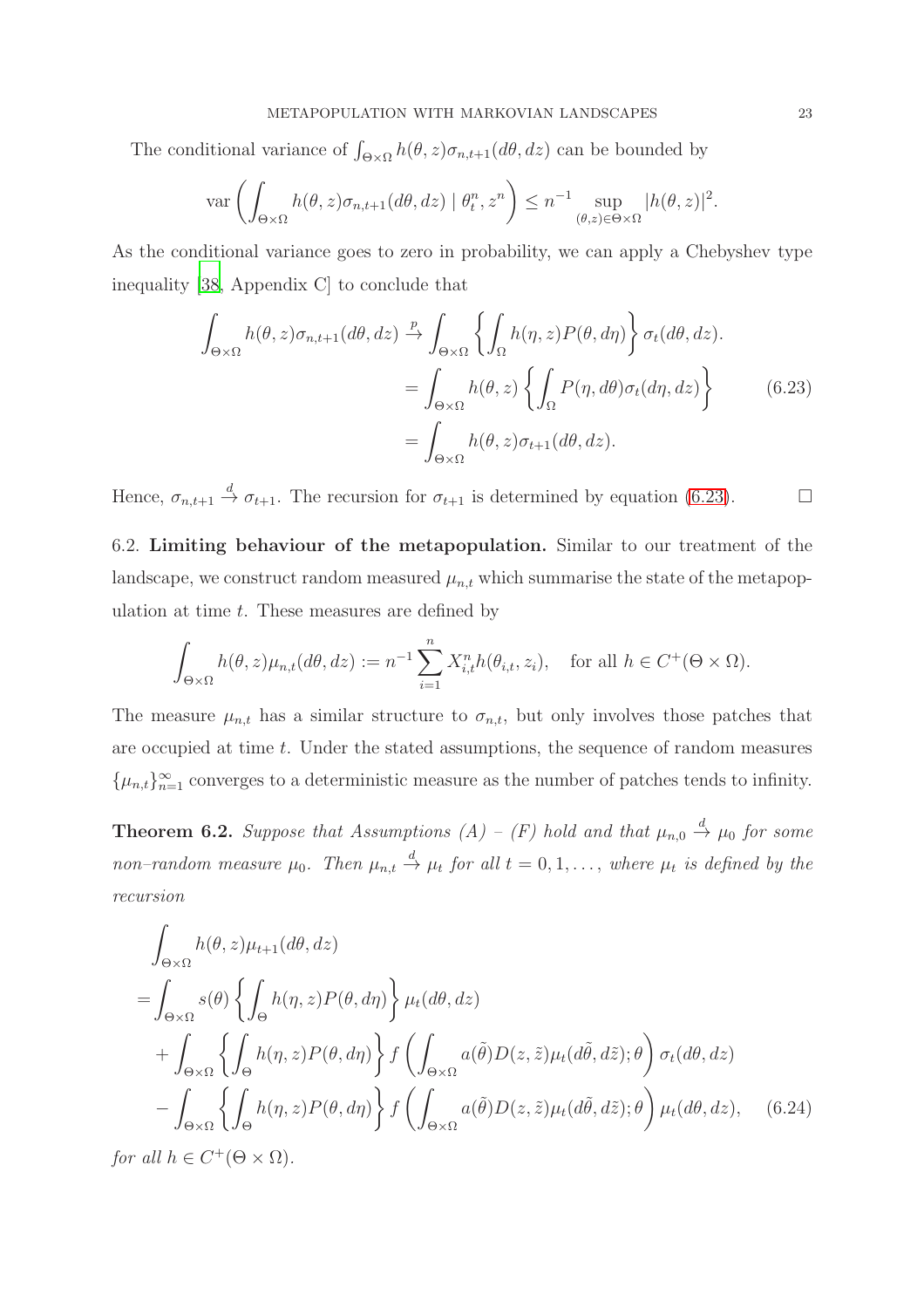The conditional variance of  $\int_{\Theta \times \Omega} h(\theta, z) \sigma_{n,t+1}(d\theta, dz)$  can be bounded by

$$
\operatorname{var}\left(\int_{\Theta\times\Omega} h(\theta,z)\sigma_{n,t+1}(d\theta, dz) \mid \theta_t^n, z^n\right) \le n^{-1} \sup_{(\theta,z)\in\Theta\times\Omega} |h(\theta,z)|^2.
$$

As the conditional variance goes to zero in probability, we can apply a Chebyshev type inequality [\[38](#page-42-6), Appendix C] to conclude that

<span id="page-22-0"></span>
$$
\int_{\Theta \times \Omega} h(\theta, z) \sigma_{n,t+1}(d\theta, dz) \xrightarrow{p} \int_{\Theta \times \Omega} \left\{ \int_{\Omega} h(\eta, z) P(\theta, d\eta) \right\} \sigma_t(d\theta, dz).
$$
\n
$$
= \int_{\Theta \times \Omega} h(\theta, z) \left\{ \int_{\Omega} P(\eta, d\theta) \sigma_t(d\eta, dz) \right\} \tag{6.23}
$$
\n
$$
= \int_{\Theta \times \Omega} h(\theta, z) \sigma_{t+1}(d\theta, dz).
$$

Hence,  $\sigma_{n,t+1} \stackrel{d}{\rightarrow} \sigma_{t+1}$ . The recursion for  $\sigma_{t+1}$  is determined by equation [\(6.23\)](#page-22-0).

6.2. Limiting behaviour of the metapopulation. Similar to our treatment of the landscape, we construct random measured  $\mu_{n,t}$  which summarise the state of the metapopulation at time  $t$ . These measures are defined by

$$
\int_{\Theta \times \Omega} h(\theta, z) \mu_{n,t}(d\theta, dz) := n^{-1} \sum_{i=1}^n X_{i,t}^n h(\theta_{i,t}, z_i), \text{ for all } h \in C^+(\Theta \times \Omega).
$$

The measure  $\mu_{n,t}$  has a similar structure to  $\sigma_{n,t}$ , but only involves those patches that are occupied at time t. Under the stated assumptions, the sequence of random measures  $\{\mu_{n,t}\}_{n=1}^{\infty}$  converges to a deterministic measure as the number of patches tends to infinity.

<span id="page-22-2"></span>**Theorem 6.2.** Suppose that Assumptions  $(A) - (F)$  hold and that  $\mu_{n,0} \stackrel{d}{\rightarrow} \mu_0$  for some *non–random measure*  $\mu_0$ . Then  $\mu_{n,t} \stackrel{d}{\rightarrow} \mu_t$  for all  $t = 0, 1, \ldots$ , where  $\mu_t$  is defined by the *recursion*

<span id="page-22-1"></span>
$$
\int_{\Theta \times \Omega} h(\theta, z) \mu_{t+1}(d\theta, dz)
$$
\n
$$
= \int_{\Theta \times \Omega} s(\theta) \left\{ \int_{\Theta} h(\eta, z) P(\theta, d\eta) \right\} \mu_t(d\theta, dz)
$$
\n
$$
+ \int_{\Theta \times \Omega} \left\{ \int_{\Theta} h(\eta, z) P(\theta, d\eta) \right\} f \left( \int_{\Theta \times \Omega} a(\tilde{\theta}) D(z, \tilde{z}) \mu_t(d\tilde{\theta}, d\tilde{z}); \theta \right) \sigma_t(d\theta, dz)
$$
\n
$$
- \int_{\Theta \times \Omega} \left\{ \int_{\Theta} h(\eta, z) P(\theta, d\eta) \right\} f \left( \int_{\Theta \times \Omega} a(\tilde{\theta}) D(z, \tilde{z}) \mu_t(d\tilde{\theta}, d\tilde{z}); \theta \right) \mu_t(d\theta, dz), \quad (6.24)
$$

*for all*  $h \in C^+(\Theta \times \Omega)$ *.*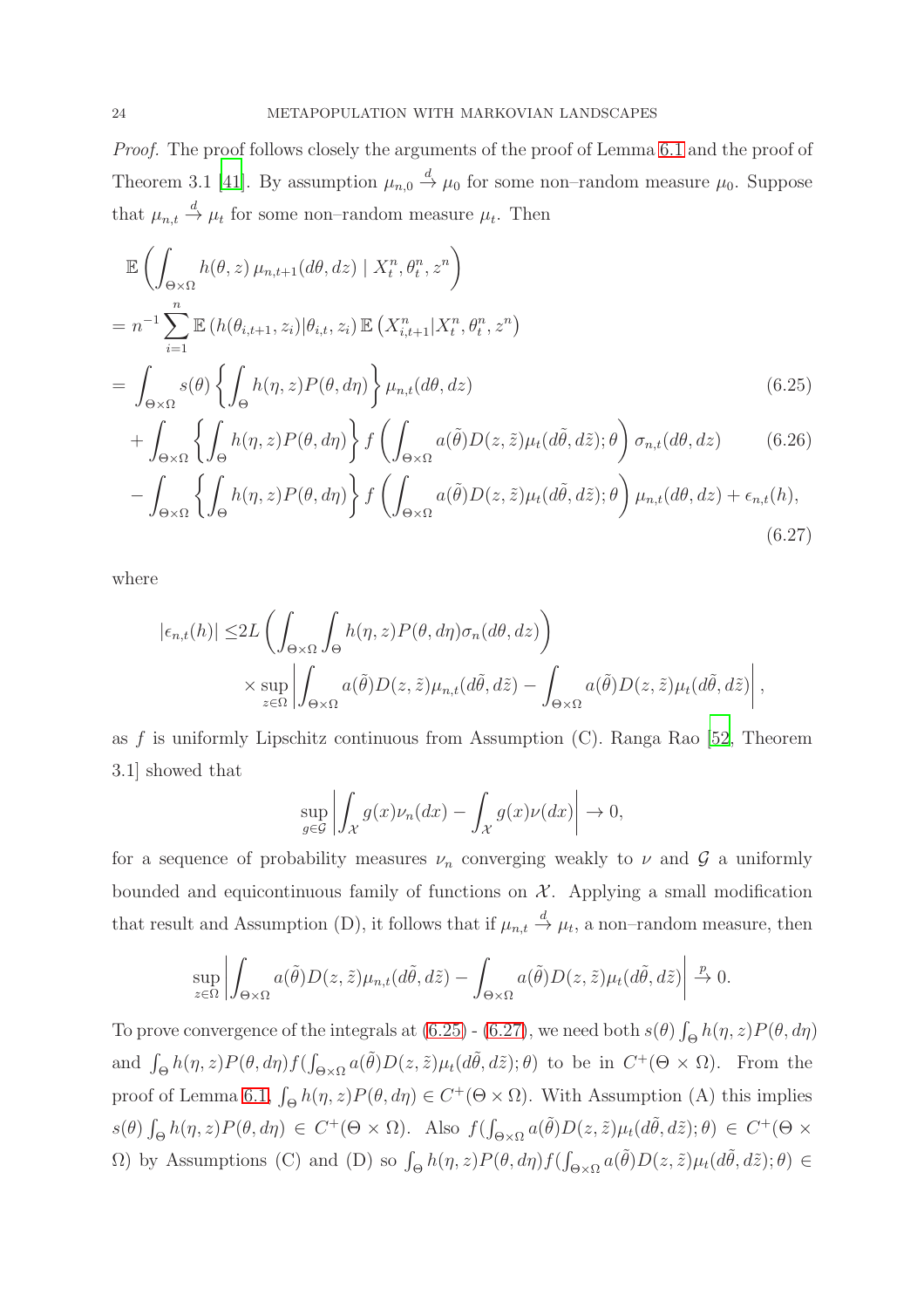*Proof.* The proof follows closely the arguments of the proof of Lemma [6.1](#page-21-1) and the proof of Theorem 3.1 [\[41](#page-42-8)]. By assumption  $\mu_{n,0} \stackrel{d}{\rightarrow} \mu_0$  for some non-random measure  $\mu_0$ . Suppose that  $\mu_{n,t} \stackrel{d}{\rightarrow} \mu_t$  for some non-random measure  $\mu_t$ . Then

$$
\mathbb{E}\left(\int_{\Theta\times\Omega} h(\theta,z)\,\mu_{n,t+1}(d\theta,dz)\mid X_t^n,\theta_t^n,z^n\right)
$$
\n
$$
= n^{-1}\sum_{i=1}^n \mathbb{E}\left(h(\theta_{i,t+1},z_i)|\theta_{i,t},z_i\right) \mathbb{E}\left(X_{i,t+1}^n|X_t^n,\theta_t^n,z^n\right)
$$
\n
$$
= \int_{\Theta\times\Omega} s(\theta)\left\{\int_{\Theta} h(\eta,z)P(\theta,d\eta)\right\}\mu_{n,t}(d\theta,dz) \tag{6.25}
$$

$$
+ \int_{\Theta \times \Omega} \left\{ \int_{\Theta} h(\eta, z) P(\theta, d\eta) \right\} f \left( \int_{\Theta \times \Omega} a(\tilde{\theta}) D(z, \tilde{z}) \mu_t(d\tilde{\theta}, d\tilde{z}); \theta \right) \sigma_{n,t}(d\theta, dz) \tag{6.26}
$$

$$
-\int_{\Theta\times\Omega}\left\{\int_{\Theta}h(\eta,z)P(\theta,d\eta)\right\}f\left(\int_{\Theta\times\Omega}a(\tilde{\theta})D(z,\tilde{z})\mu_t(d\tilde{\theta},d\tilde{z});\theta\right)\mu_{n,t}(d\theta,dz)+\epsilon_{n,t}(h),\tag{6.27}
$$

where

$$
\begin{split} |\epsilon_{n,t}(h)| \leq & 2L \left( \int_{\Theta \times \Omega} \int_{\Theta} h(\eta, z) P(\theta, d\eta) \sigma_n(d\theta, dz) \right) \\ &\times \sup_{z \in \Omega} \left| \int_{\Theta \times \Omega} a(\tilde{\theta}) D(z, \tilde{z}) \mu_{n,t}(d\tilde{\theta}, d\tilde{z}) - \int_{\Theta \times \Omega} a(\tilde{\theta}) D(z, \tilde{z}) \mu_t(d\tilde{\theta}, d\tilde{z}) \right|, \end{split}
$$

as f is uniformly Lipschitz continuous from Assumption  $(C)$ . Ranga Rao [\[52,](#page-43-12) Theorem 3.1] showed that

<span id="page-23-1"></span><span id="page-23-0"></span>
$$
\sup_{g \in \mathcal{G}} \left| \int_{\mathcal{X}} g(x) \nu_n(dx) - \int_{\mathcal{X}} g(x) \nu(dx) \right| \to 0,
$$

for a sequence of probability measures  $\nu_n$  converging weakly to  $\nu$  and  $\mathcal G$  a uniformly bounded and equicontinuous family of functions on  $X$ . Applying a small modification that result and Assumption (D), it follows that if  $\mu_{n,t} \stackrel{d}{\to} \mu_t$ , a non-random measure, then

$$
\sup_{z\in\Omega}\left|\int_{\Theta\times\Omega}a(\tilde{\theta})D(z,\tilde{z})\mu_{n,t}(d\tilde{\theta},d\tilde{z})-\int_{\Theta\times\Omega}a(\tilde{\theta})D(z,\tilde{z})\mu_t(d\tilde{\theta},d\tilde{z})\right|\xrightarrow{p}0.
$$

To prove convergence of the integrals at  $(6.25)$  -  $(6.27)$ , we need both  $s(\theta) \int_{\Theta} h(\eta, z) P(\theta, d\eta)$ and  $\int_{\Theta} h(\eta, z) P(\theta, d\eta) f(\int_{\Theta \times \Omega} a(\tilde{\theta}) D(z, \tilde{z}) \mu_t(d\tilde{\theta}, d\tilde{z}); \theta)$  to be in  $C^+(\Theta \times \Omega)$ . From the proof of Lemma [6.1,](#page-21-1)  $\int_{\Theta} h(\eta, z) P(\theta, d\eta) \in C^+(\Theta \times \Omega)$ . With Assumption (A) this implies  $s(\theta) \int_{\Theta} h(\eta, z) P(\theta, d\eta) \in C^+(\Theta \times \Omega)$ . Also  $f(\int_{\Theta \times \Omega} a(\tilde{\theta}) D(z, \tilde{z}) \mu_t(d\tilde{\theta}, d\tilde{z}); \theta) \in C^+(\Theta \times \Omega)$  $\Omega$ ) by Assumptions (C) and (D) so  $\int_{\Theta} h(\eta, z) P(\theta, d\eta) f(\int_{\Theta \times \Omega} a(\tilde{\theta}) D(z, \tilde{z}) \mu_t(d\tilde{\theta}, d\tilde{z}); \theta) \in$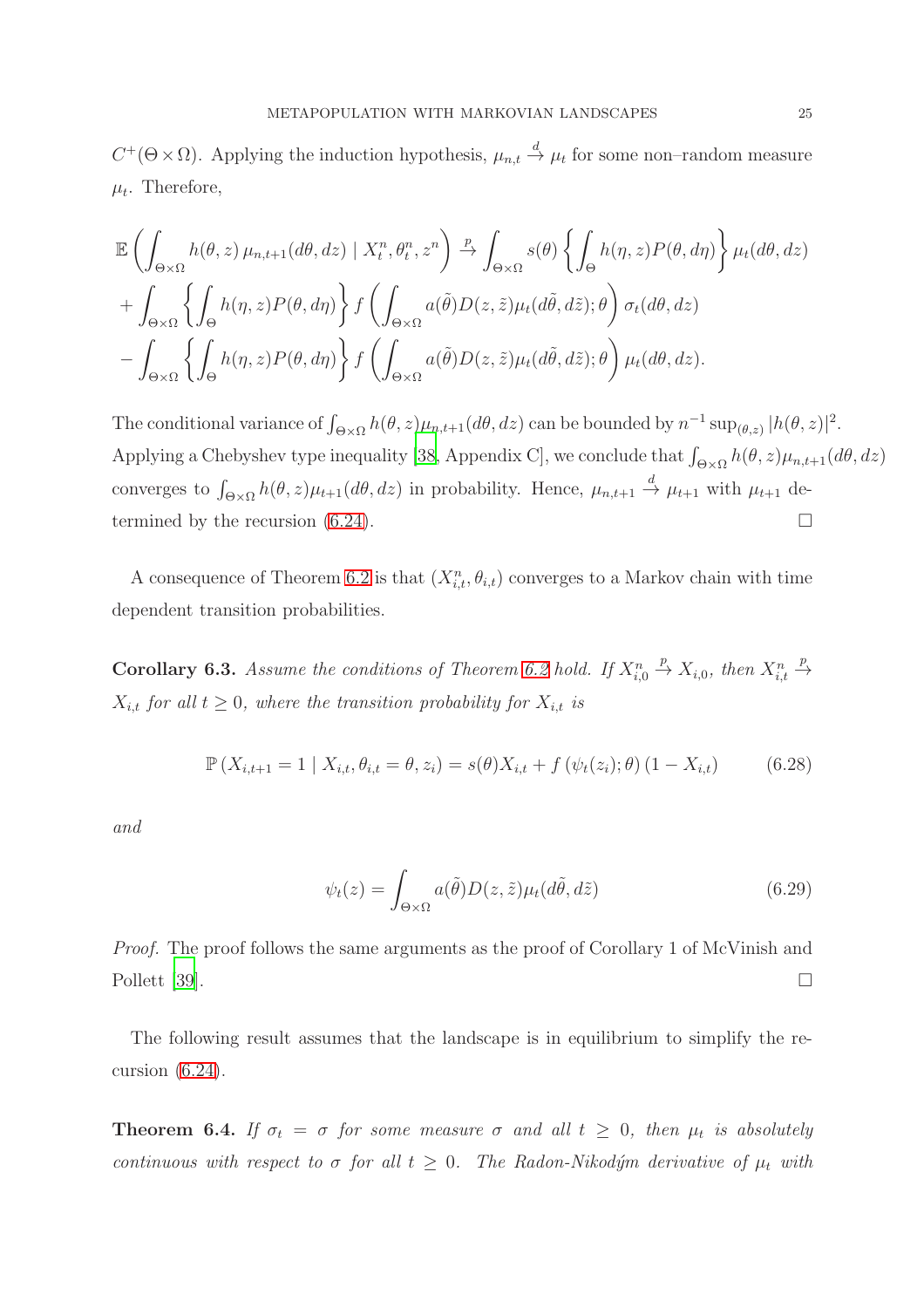$C^+(\Theta \times \Omega)$ . Applying the induction hypothesis,  $\mu_{n,t} \stackrel{d}{\to} \mu_t$  for some non-random measure  $\mu_t$ . Therefore,

$$
\mathbb{E}\left(\int_{\Theta\times\Omega}h(\theta,z)\,\mu_{n,t+1}(d\theta,dz)\mid X_t^n,\theta_t^n,z^n\right)\stackrel{p}{\to}\int_{\Theta\times\Omega}s(\theta)\left\{\int_{\Theta}h(\eta,z)P(\theta,d\eta)\right\}\mu_t(d\theta,dz)
$$

$$
+\int_{\Theta\times\Omega}\left\{\int_{\Theta}h(\eta,z)P(\theta,d\eta)\right\}f\left(\int_{\Theta\times\Omega}a(\tilde{\theta})D(z,\tilde{z})\mu_t(d\tilde{\theta},d\tilde{z});\theta\right)\sigma_t(d\theta,dz)
$$

$$
-\int_{\Theta\times\Omega}\left\{\int_{\Theta}h(\eta,z)P(\theta,d\eta)\right\}f\left(\int_{\Theta\times\Omega}a(\tilde{\theta})D(z,\tilde{z})\mu_t(d\tilde{\theta},d\tilde{z});\theta\right)\mu_t(d\theta,dz).
$$

The conditional variance of  $\int_{\Theta\times\Omega} h(\theta, z)\mu_{n,t+1}(d\theta, dz)$  can be bounded by  $n^{-1} \sup_{(\theta, z)} |h(\theta, z)|^2$ . Applying a Chebyshev type inequality [\[38,](#page-42-6) Appendix C], we conclude that  $\int_{\Theta\times\Omega} h(\theta, z)\mu_{n,t+1}(d\theta, dz)$ converges to  $\int_{\Theta\times\Omega} h(\theta, z)\mu_{t+1}(d\theta, dz)$  in probability. Hence,  $\mu_{n,t+1} \stackrel{d}{\to} \mu_{t+1}$  with  $\mu_{t+1}$  determined by the recursion  $(6.24)$ .

A consequence of Theorem [6.2](#page-22-2) is that  $(X_{i,t}^n, \theta_{i,t})$  converges to a Markov chain with time dependent transition probabilities.

<span id="page-24-0"></span>**Corollary 6.3.** Assume the conditions of Theorem [6.2](#page-22-2) hold. If  $X_{i,0}^n \stackrel{p}{\rightarrow} X_{i,0}$ , then  $X_{i,t}^n \stackrel{p}{\rightarrow}$  $X_{i,t}$  *for all*  $t \geq 0$ *, where the transition probability for*  $X_{i,t}$  *is* 

$$
\mathbb{P}\left(X_{i,t+1} = 1 \mid X_{i,t}, \theta_{i,t} = \theta, z_i\right) = s(\theta)X_{i,t} + f\left(\psi_t(z_i); \theta\right) (1 - X_{i,t})\tag{6.28}
$$

*and*

$$
\psi_t(z) = \int_{\Theta \times \Omega} a(\tilde{\theta}) D(z, \tilde{z}) \mu_t(d\tilde{\theta}, d\tilde{z}) \tag{6.29}
$$

*Proof.* The proof follows the same arguments as the proof of Corollary 1 of McVinish and Pollett [\[39](#page-42-7)].  $\Box$ 

The following result assumes that the landscape is in equilibrium to simplify the recursion [\(6.24\)](#page-22-1).

<span id="page-24-1"></span>**Theorem 6.4.** If  $\sigma_t = \sigma$  for some measure  $\sigma$  and all  $t \geq 0$ , then  $\mu_t$  is absolutely *continuous with respect to*  $\sigma$  *for all*  $t \geq 0$ *. The Radon-Nikodým derivative of*  $\mu_t$  *with*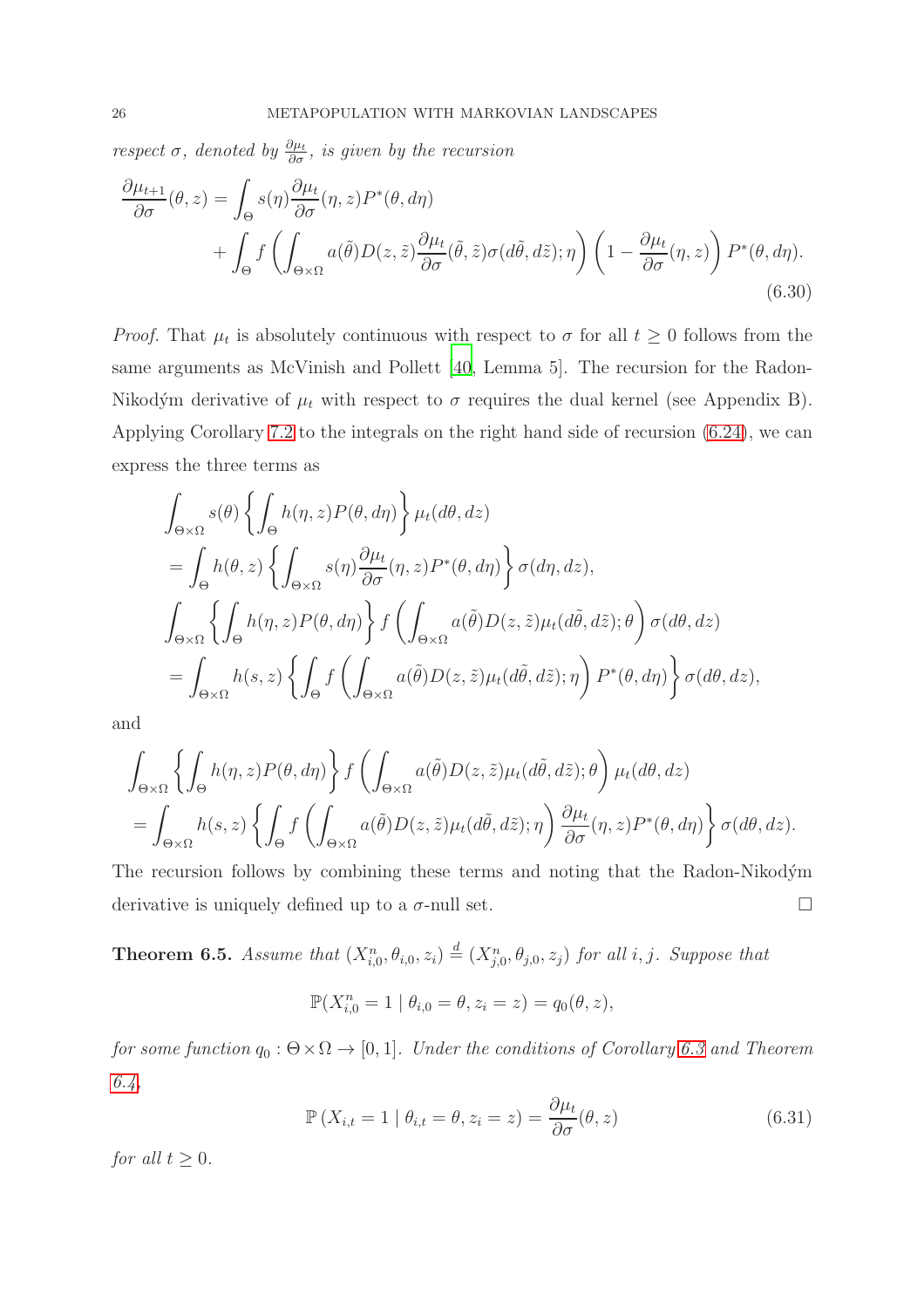*respect*  $\sigma$ *, denoted by*  $\frac{\partial \mu_t}{\partial \sigma}$ *, is given by the recursion* 

$$
\frac{\partial \mu_{t+1}}{\partial \sigma}(\theta, z) = \int_{\Theta} s(\eta) \frac{\partial \mu_t}{\partial \sigma}(\eta, z) P^*(\theta, d\eta) \n+ \int_{\Theta} f\left(\int_{\Theta \times \Omega} a(\tilde{\theta}) D(z, \tilde{z}) \frac{\partial \mu_t}{\partial \sigma}(\tilde{\theta}, \tilde{z}) \sigma(d\tilde{\theta}, d\tilde{z}); \eta\right) \left(1 - \frac{\partial \mu_t}{\partial \sigma}(\eta, z)\right) P^*(\theta, d\eta).
$$
\n(6.30)

*Proof.* That  $\mu_t$  is absolutely continuous with respect to  $\sigma$  for all  $t \geq 0$  follows from the same arguments as McVinish and Pollett [\[40,](#page-42-13) Lemma 5]. The recursion for the Radon-Nikodým derivative of  $\mu_t$  with respect to  $\sigma$  requires the dual kernel (see Appendix B). Applying Corollary [7.2](#page-31-0) to the integrals on the right hand side of recursion [\(6.24\)](#page-22-1), we can express the three terms as

<span id="page-25-1"></span>
$$
\int_{\Theta\times\Omega} s(\theta) \left\{ \int_{\Theta} h(\eta, z) P(\theta, d\eta) \right\} \mu_t(d\theta, dz)
$$
\n
$$
= \int_{\Theta} h(\theta, z) \left\{ \int_{\Theta\times\Omega} s(\eta) \frac{\partial \mu_t}{\partial \sigma} (\eta, z) P^*(\theta, d\eta) \right\} \sigma(d\eta, dz),
$$
\n
$$
\int_{\Theta\times\Omega} \left\{ \int_{\Theta} h(\eta, z) P(\theta, d\eta) \right\} f \left( \int_{\Theta\times\Omega} a(\tilde{\theta}) D(z, \tilde{z}) \mu_t(d\tilde{\theta}, d\tilde{z}); \theta \right) \sigma(d\theta, dz)
$$
\n
$$
= \int_{\Theta\times\Omega} h(s, z) \left\{ \int_{\Theta} f \left( \int_{\Theta\times\Omega} a(\tilde{\theta}) D(z, \tilde{z}) \mu_t(d\tilde{\theta}, d\tilde{z}); \eta \right) P^*(\theta, d\eta) \right\} \sigma(d\theta, dz),
$$

and

$$
\int_{\Theta \times \Omega} \left\{ \int_{\Theta} h(\eta, z) P(\theta, d\eta) \right\} f \left( \int_{\Theta \times \Omega} a(\tilde{\theta}) D(z, \tilde{z}) \mu_t(d\tilde{\theta}, d\tilde{z}); \theta \right) \mu_t(d\theta, dz)
$$
\n
$$
= \int_{\Theta \times \Omega} h(s, z) \left\{ \int_{\Theta} f \left( \int_{\Theta \times \Omega} a(\tilde{\theta}) D(z, \tilde{z}) \mu_t(d\tilde{\theta}, d\tilde{z}); \eta \right) \frac{\partial \mu_t}{\partial \sigma} (\eta, z) P^*(\theta, d\eta) \right\} \sigma(d\theta, dz).
$$

The recursion follows by combining these terms and noting that the Radon-Nikodym derivative is uniquely defined up to a  $\sigma$ -null set.  $\Box$ 

<span id="page-25-2"></span>**Theorem 6.5.** Assume that  $(X_{i,0}^n, \theta_{i,0}, z_i) \stackrel{d}{=} (X_{j,0}^n, \theta_{j,0}, z_j)$  for all i, j. Suppose that

$$
\mathbb{P}(X_{i,0}^n = 1 | \theta_{i,0} = \theta, z_i = z) = q_0(\theta, z),
$$

*for some function*  $q_0$  :  $\Theta \times \Omega \rightarrow [0, 1]$ *. Under the conditions of Corollary* [6.3](#page-24-0) *and Theorem [6.4,](#page-24-1)*

<span id="page-25-0"></span>
$$
\mathbb{P}\left(X_{i,t} = 1 \mid \theta_{i,t} = \theta, z_i = z\right) = \frac{\partial \mu_t}{\partial \sigma}(\theta, z)
$$
\n(6.31)

*for all*  $t > 0$ *.*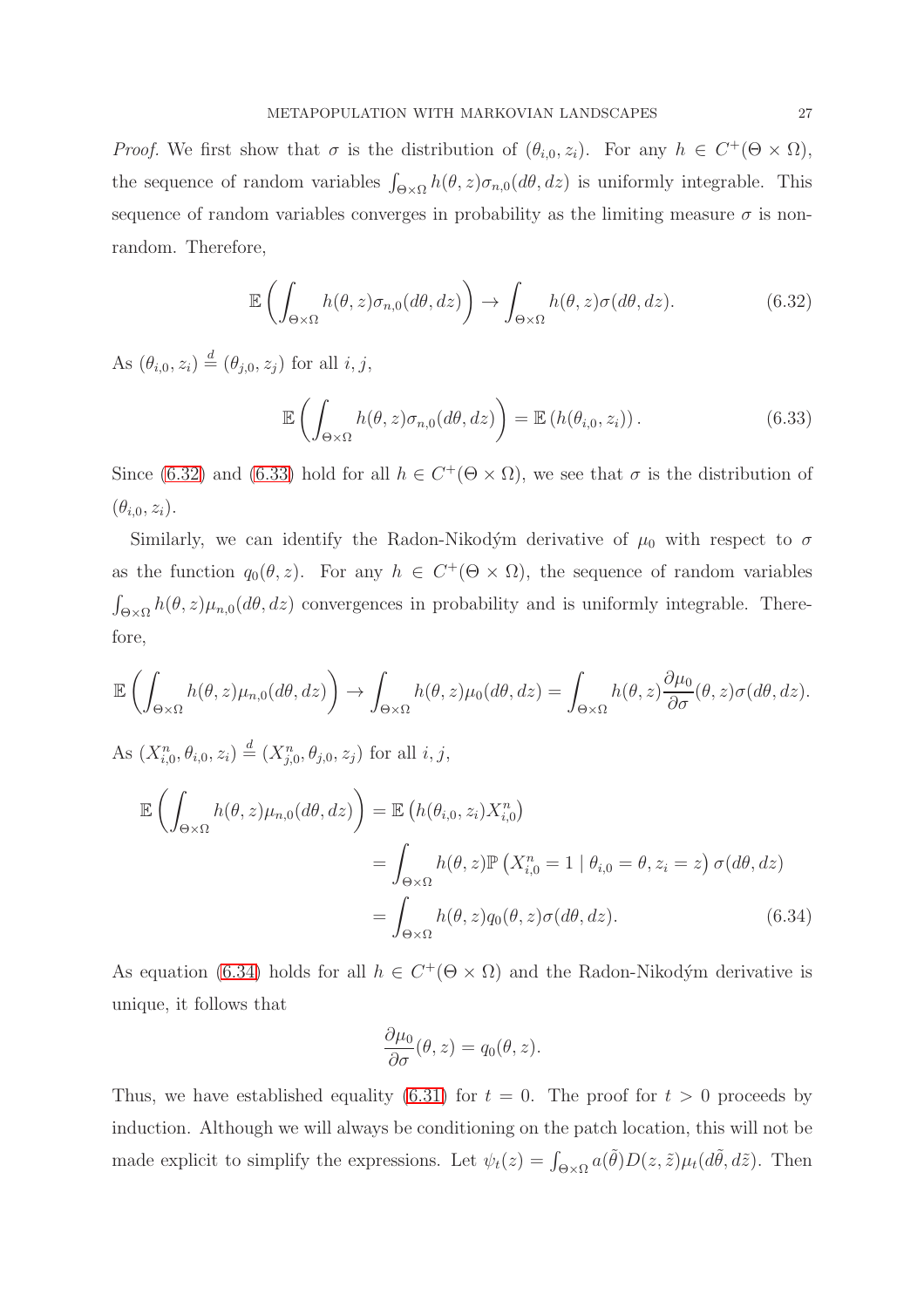*Proof.* We first show that  $\sigma$  is the distribution of  $(\theta_{i,0}, z_i)$ . For any  $h \in C^+(\Theta \times \Omega)$ , the sequence of random variables  $\int_{\Theta\times\Omega} h(\theta, z) \sigma_{n,0}(d\theta, dz)$  is uniformly integrable. This sequence of random variables converges in probability as the limiting measure  $\sigma$  is nonrandom. Therefore,

<span id="page-26-0"></span>
$$
\mathbb{E}\left(\int_{\Theta\times\Omega}h(\theta,z)\sigma_{n,0}(d\theta,dz)\right)\to\int_{\Theta\times\Omega}h(\theta,z)\sigma(d\theta,dz). \tag{6.32}
$$

As  $(\theta_{i,0}, z_i) \stackrel{d}{=} (\theta_{j,0}, z_j)$  for all  $i, j$ ,

<span id="page-26-1"></span>
$$
\mathbb{E}\left(\int_{\Theta\times\Omega} h(\theta,z)\sigma_{n,0}(d\theta,dz)\right) = \mathbb{E}\left(h(\theta_{i,0},z_i)\right).
$$
 (6.33)

Since [\(6.32\)](#page-26-0) and [\(6.33\)](#page-26-1) hold for all  $h \in C^+(\Theta \times \Omega)$ , we see that  $\sigma$  is the distribution of  $(\theta_{i,0}, z_i).$ 

Similarly, we can identify the Radon-Nikodým derivative of  $\mu_0$  with respect to  $\sigma$ as the function  $q_0(\theta, z)$ . For any  $h \in C^+(\Theta \times \Omega)$ , the sequence of random variables  $\int_{\Theta \times \Omega} h(\theta, z) \mu_{n,0}(d\theta, dz)$  convergences in probability and is uniformly integrable. Therefore,

$$
\mathbb{E}\left(\int_{\Theta\times\Omega}h(\theta,z)\mu_{n,0}(d\theta,dz)\right)\to\int_{\Theta\times\Omega}h(\theta,z)\mu_0(d\theta,dz)=\int_{\Theta\times\Omega}h(\theta,z)\frac{\partial\mu_0}{\partial\sigma}(\theta,z)\sigma(d\theta,dz).
$$

As  $(X_{i,0}^n, \theta_{i,0}, z_i) \stackrel{d}{=} (X_{j,0}^n, \theta_{j,0}, z_j)$  for all  $i, j$ ,

$$
\mathbb{E}\left(\int_{\Theta\times\Omega} h(\theta,z)\mu_{n,0}(d\theta,dz)\right) = \mathbb{E}\left(h(\theta_{i,0},z_i)X_{i,0}^n\right)
$$

$$
= \int_{\Theta\times\Omega} h(\theta,z)\mathbb{P}\left(X_{i,0}^n = 1 \mid \theta_{i,0} = \theta, z_i = z\right)\sigma(d\theta,dz)
$$

$$
= \int_{\Theta\times\Omega} h(\theta,z)q_0(\theta,z)\sigma(d\theta,dz). \tag{6.34}
$$

As equation [\(6.34\)](#page-26-2) holds for all  $h \in C^+(\Theta \times \Omega)$  and the Radon-Nikodým derivative is unique, it follows that

<span id="page-26-2"></span>
$$
\frac{\partial \mu_0}{\partial \sigma}(\theta, z) = q_0(\theta, z).
$$

Thus, we have established equality [\(6.31\)](#page-25-0) for  $t = 0$ . The proof for  $t > 0$  proceeds by induction. Although we will always be conditioning on the patch location, this will not be made explicit to simplify the expressions. Let  $\psi_t(z) = \int_{\Theta \times \Omega} a(\tilde{\theta}) D(z, \tilde{z}) \mu_t(d\tilde{\theta}, d\tilde{z})$ . Then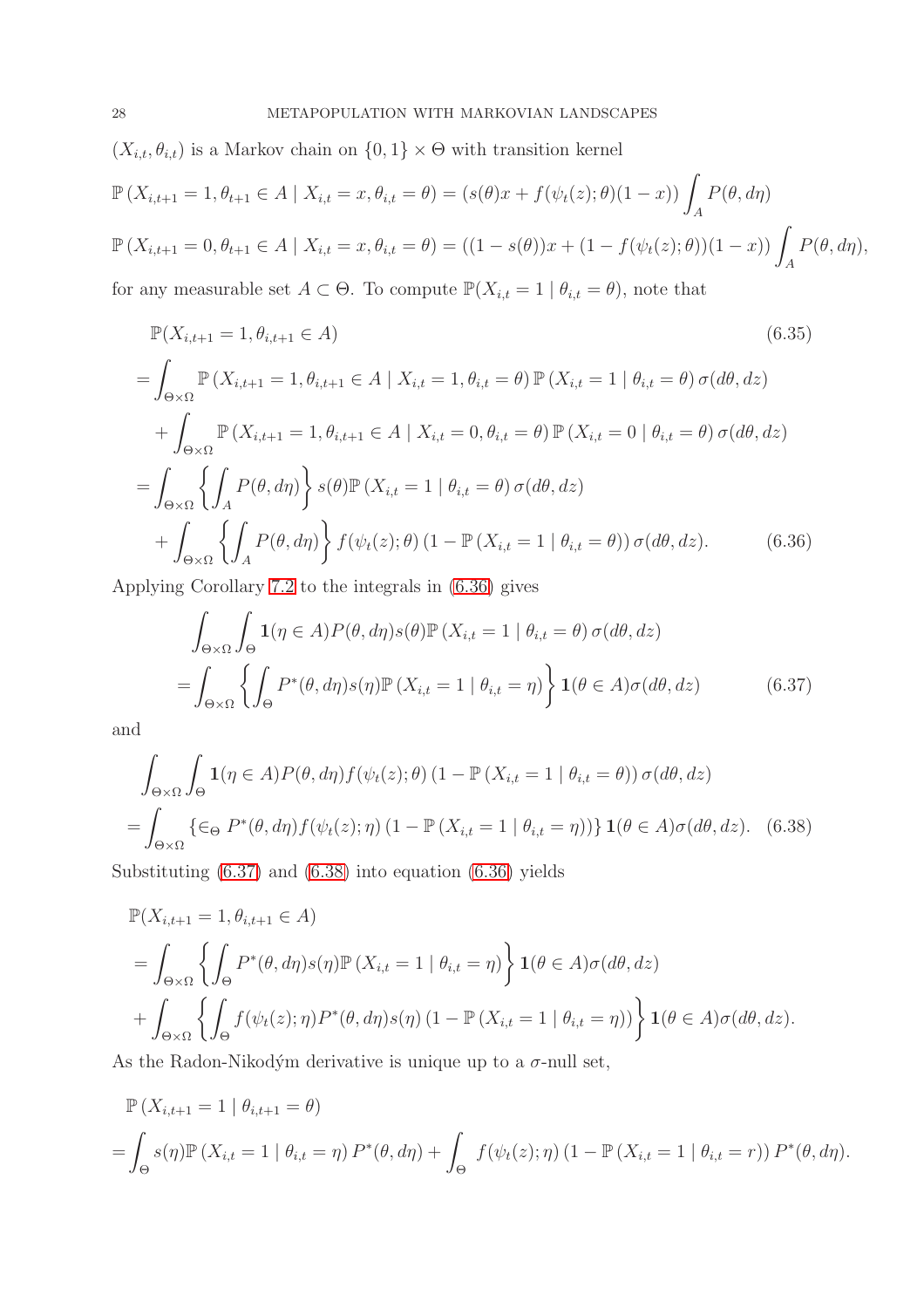$(X_{i,t}, \theta_{i,t})$  is a Markov chain on  $\{0, 1\} \times \Theta$  with transition kernel

$$
\mathbb{P}\left(X_{i,t+1} = 1, \theta_{t+1} \in A \mid X_{i,t} = x, \theta_{i,t} = \theta\right) = (s(\theta)x + f(\psi_t(z); \theta)(1-x)) \int_A P(\theta, d\eta)
$$
  

$$
\mathbb{P}\left(X_{i,t+1} = 0, \theta_{t+1} \in A \mid X_{i,t} = x, \theta_{i,t} = \theta\right) = ((1 - s(\theta))x + (1 - f(\psi_t(z); \theta))(1-x)) \int_A P(\theta, d\eta),
$$

for any measurable set  $A \subset \Theta$ . To compute  $\mathbb{P}(X_{i,t} = 1 | \theta_{i,t} = \theta)$ , note that

$$
\mathbb{P}(X_{i,t+1} = 1, \theta_{i,t+1} \in A)
$$
\n
$$
= \int_{\Theta \times \Omega} \mathbb{P}(X_{i,t+1} = 1, \theta_{i,t+1} \in A \mid X_{i,t} = 1, \theta_{i,t} = \theta) \mathbb{P}(X_{i,t} = 1 \mid \theta_{i,t} = \theta) \sigma(d\theta, dz)
$$
\n
$$
+ \int_{\Theta \times \Omega} \mathbb{P}(X_{i,t+1} = 1, \theta_{i,t+1} \in A \mid X_{i,t} = 0, \theta_{i,t} = \theta) \mathbb{P}(X_{i,t} = 0 \mid \theta_{i,t} = \theta) \sigma(d\theta, dz)
$$
\n
$$
= \int_{\Theta \times \Omega} \left\{ \int_A P(\theta, d\eta) \right\} s(\theta) \mathbb{P}(X_{i,t} = 1 \mid \theta_{i,t} = \theta) \sigma(d\theta, dz)
$$
\n
$$
+ \int_{\Theta \times \Omega} \left\{ \int_A P(\theta, d\eta) \right\} f(\psi_t(z); \theta) (1 - \mathbb{P}(X_{i,t} = 1 \mid \theta_{i,t} = \theta)) \sigma(d\theta, dz).
$$
\n(6.36)

Applying Corollary [7.2](#page-31-0) to the integrals in [\(6.36\)](#page-27-0) gives

<span id="page-27-2"></span><span id="page-27-1"></span><span id="page-27-0"></span>
$$
\int_{\Theta \times \Omega} \int_{\Theta} \mathbf{1}(\eta \in A) P(\theta, d\eta) s(\theta) \mathbb{P} \left( X_{i,t} = 1 \mid \theta_{i,t} = \theta \right) \sigma(d\theta, dz)
$$
\n
$$
= \int_{\Theta \times \Omega} \left\{ \int_{\Theta} P^*(\theta, d\eta) s(\eta) \mathbb{P} \left( X_{i,t} = 1 \mid \theta_{i,t} = \eta \right) \right\} \mathbf{1}(\theta \in A) \sigma(d\theta, dz) \tag{6.37}
$$

and

$$
\int_{\Theta \times \Omega} \int_{\Theta} \mathbf{1}(\eta \in A) P(\theta, d\eta) f(\psi_t(z); \theta) (1 - \mathbb{P}(X_{i,t} = 1 | \theta_{i,t} = \theta)) \sigma(d\theta, dz)
$$
  
= 
$$
\int_{\Theta \times \Omega} \{ \in_{\Theta} P^*(\theta, d\eta) f(\psi_t(z); \eta) (1 - \mathbb{P}(X_{i,t} = 1 | \theta_{i,t} = \eta)) \} \mathbf{1}(\theta \in A) \sigma(d\theta, dz).
$$
 (6.38)

Substituting [\(6.37\)](#page-27-1) and [\(6.38\)](#page-27-2) into equation [\(6.36\)](#page-27-0) yields

$$
\mathbb{P}(X_{i,t+1} = 1, \theta_{i,t+1} \in A)
$$
\n
$$
= \int_{\Theta \times \Omega} \left\{ \int_{\Theta} P^*(\theta, d\eta) s(\eta) \mathbb{P}(X_{i,t} = 1 \mid \theta_{i,t} = \eta) \right\} \mathbf{1}(\theta \in A) \sigma(d\theta, dz)
$$
\n
$$
+ \int_{\Theta \times \Omega} \left\{ \int_{\Theta} f(\psi_t(z); \eta) P^*(\theta, d\eta) s(\eta) (1 - \mathbb{P}(X_{i,t} = 1 \mid \theta_{i,t} = \eta)) \right\} \mathbf{1}(\theta \in A) \sigma(d\theta, dz).
$$

As the Radon-Nikodým derivative is unique up to a  $\sigma$ -null set,

$$
\mathbb{P}(X_{i,t+1} = 1 | \theta_{i,t+1} = \theta)
$$
  
=  $\int_{\Theta} s(\eta) \mathbb{P}(X_{i,t} = 1 | \theta_{i,t} = \eta) P^*(\theta, d\eta) + \int_{\Theta} f(\psi_t(z); \eta) (1 - \mathbb{P}(X_{i,t} = 1 | \theta_{i,t} = r)) P^*(\theta, d\eta).$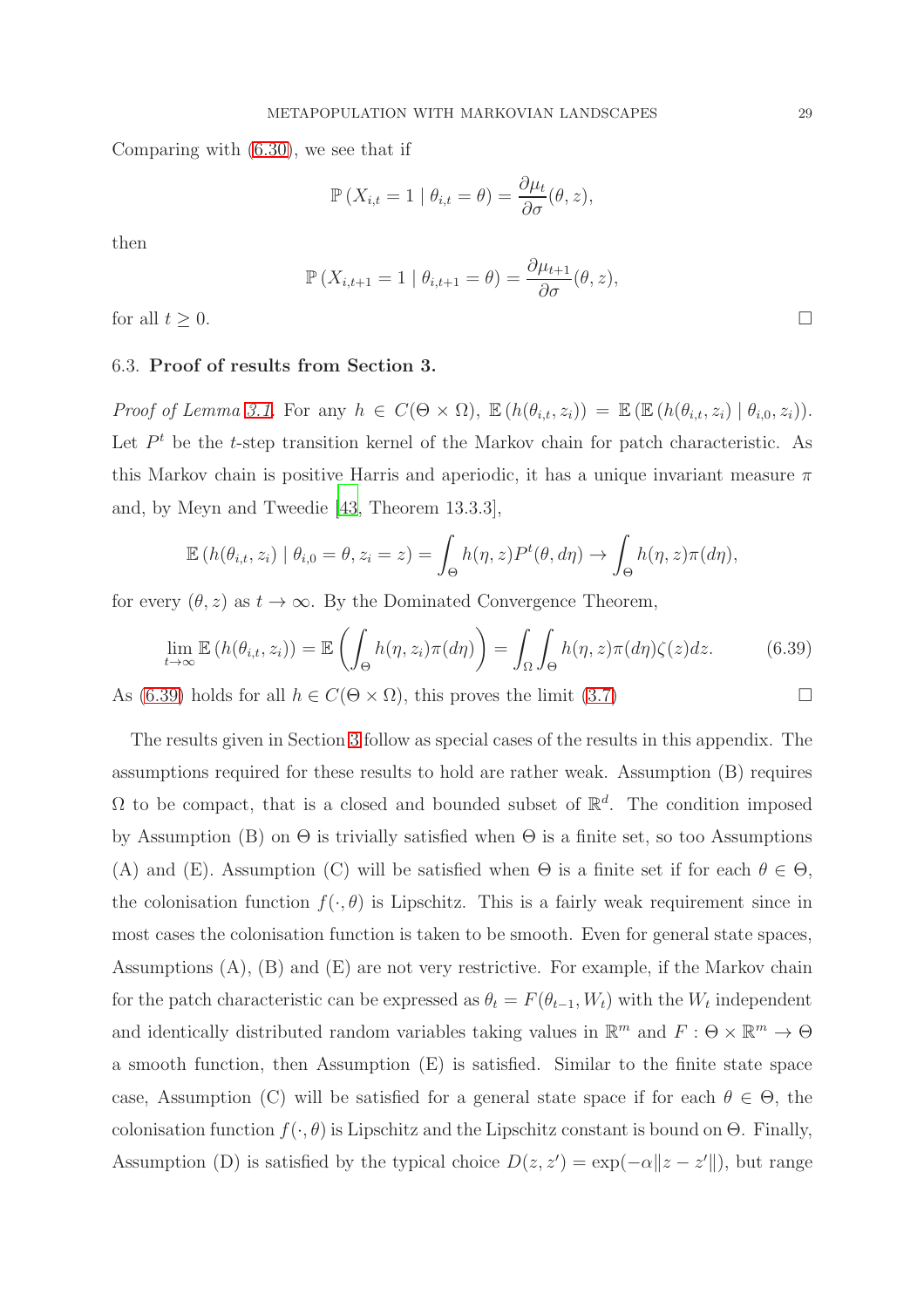Comparing with [\(6.30\)](#page-25-1), we see that if

$$
\mathbb{P}\left(X_{i,t}=1 \mid \theta_{i,t}=\theta\right)=\frac{\partial \mu_t}{\partial \sigma}(\theta, z),
$$

then

$$
\mathbb{P}\left(X_{i,t+1}=1 \mid \theta_{i,t+1}=\theta\right)=\frac{\partial \mu_{t+1}}{\partial \sigma}(\theta,z),
$$

<span id="page-28-0"></span>for all  $t \geq 0$ .

#### 6.3. Proof of results from Section 3.

*Proof of Lemma [3.1.](#page-7-0)* For any  $h \in C(\Theta \times \Omega)$ ,  $\mathbb{E}(h(\theta_{i,t}, z_i)) = \mathbb{E}(\mathbb{E}(h(\theta_{i,t}, z_i) | \theta_{i,0}, z_i)).$ Let  $P<sup>t</sup>$  be the t-step transition kernel of the Markov chain for patch characteristic. As this Markov chain is positive Harris and aperiodic, it has a unique invariant measure  $\pi$ and, by Meyn and Tweedie [\[43](#page-43-11), Theorem 13.3.3],

$$
\mathbb{E}\left(h(\theta_{i,t},z_i)\mid \theta_{i,0}=\theta,z_i=z\right)=\int_{\Theta}h(\eta,z)P^t(\theta,d\eta)\to \int_{\Theta}h(\eta,z)\pi(d\eta),
$$

for every  $(\theta, z)$  as  $t \to \infty$ . By the Dominated Convergence Theorem,

$$
\lim_{t \to \infty} \mathbb{E} \left( h(\theta_{i,t}, z_i) \right) = \mathbb{E} \left( \int_{\Theta} h(\eta, z_i) \pi(d\eta) \right) = \int_{\Omega} \int_{\Theta} h(\eta, z) \pi(d\eta) \zeta(z) dz.
$$
 (6.39)

As [\(6.39\)](#page-28-1) holds for all  $h \in C(\Theta \times \Omega)$ , this proves the limit [\(3.7\)](#page-7-1)

The results given in Section [3](#page-6-1) follow as special cases of the results in this appendix. The assumptions required for these results to hold are rather weak. Assumption (B) requires  $\Omega$  to be compact, that is a closed and bounded subset of  $\mathbb{R}^d$ . The condition imposed by Assumption (B) on  $\Theta$  is trivially satisfied when  $\Theta$  is a finite set, so too Assumptions (A) and (E). Assumption (C) will be satisfied when  $\Theta$  is a finite set if for each  $\theta \in \Theta$ , the colonisation function  $f(\cdot, \theta)$  is Lipschitz. This is a fairly weak requirement since in most cases the colonisation function is taken to be smooth. Even for general state spaces, Assumptions  $(A)$ ,  $(B)$  and  $(E)$  are not very restrictive. For example, if the Markov chain for the patch characteristic can be expressed as  $\theta_t = F(\theta_{t-1}, W_t)$  with the  $W_t$  independent and identically distributed random variables taking values in  $\mathbb{R}^m$  and  $F: \Theta \times \mathbb{R}^m \to \Theta$ a smooth function, then Assumption (E) is satisfied. Similar to the finite state space case, Assumption (C) will be satisfied for a general state space if for each  $\theta \in \Theta$ , the colonisation function  $f(\cdot, \theta)$  is Lipschitz and the Lipschitz constant is bound on  $\Theta$ . Finally, Assumption (D) is satisfied by the typical choice  $D(z, z') = \exp(-\alpha ||z - z'||)$ , but range

<span id="page-28-1"></span>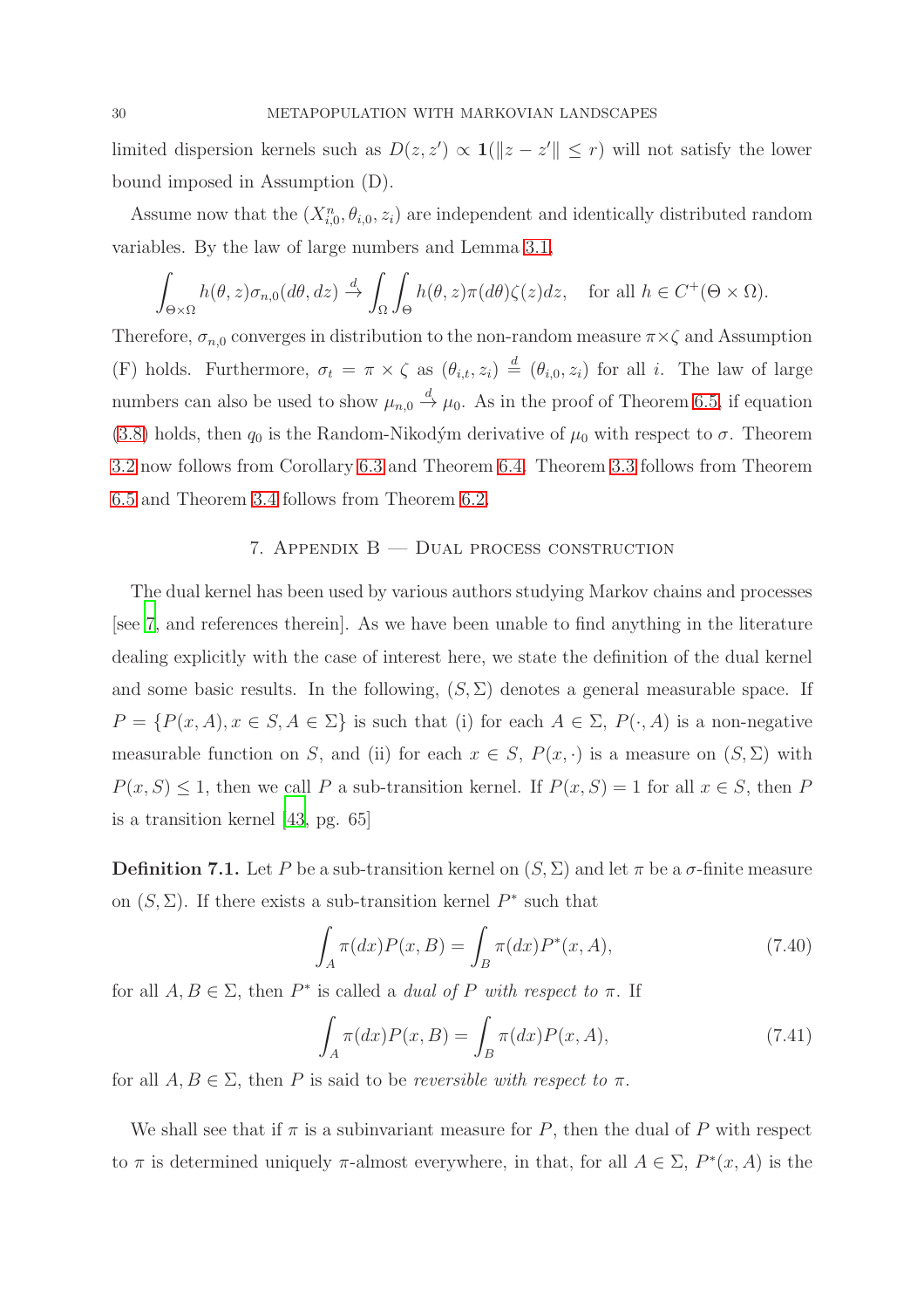limited dispersion kernels such as  $D(z, z') \propto \mathbf{1}(|z - z'| \leq r)$  will not satisfy the lower bound imposed in Assumption (D).

Assume now that the  $(X_{i,0}^n, \theta_{i,0}, z_i)$  are independent and identically distributed random variables. By the law of large numbers and Lemma [3.1,](#page-7-0)

$$
\int_{\Theta\times\Omega} h(\theta, z)\sigma_{n,0}(d\theta, dz) \stackrel{d}{\to} \int_{\Omega} \int_{\Theta} h(\theta, z)\pi(d\theta)\zeta(z)dz, \text{ for all } h \in C^{+}(\Theta\times\Omega).
$$

Therefore,  $\sigma_{n,0}$  converges in distribution to the non-random measure  $\pi \times \zeta$  and Assumption (F) holds. Furthermore,  $\sigma_t = \pi \times \zeta$  as  $(\theta_{i,t}, z_i) \stackrel{d}{=} (\theta_{i,0}, z_i)$  for all i. The law of large numbers can also be used to show  $\mu_{n,0} \stackrel{d}{\rightarrow} \mu_0$ . As in the proof of Theorem [6.5,](#page-25-2) if equation [\(3.8\)](#page-8-6) holds, then  $q_0$  is the Random-Nikodým derivative of  $\mu_0$  with respect to  $\sigma$ . Theorem [3.2](#page-8-2) now follows from Corollary [6.3](#page-24-0) and Theorem [6.4.](#page-24-1) Theorem [3.3](#page-9-0) follows from Theorem [6.5](#page-25-2) and Theorem [3.4](#page-9-2) follows from Theorem [6.2.](#page-22-2)

## 7. Appendix B — Dual process construction

The dual kernel has been used by various authors studying Markov chains and processes [see [7,](#page-40-10) and references therein]. As we have been unable to find anything in the literature dealing explicitly with the case of interest here, we state the definition of the dual kernel and some basic results. In the following,  $(S, \Sigma)$  denotes a general measurable space. If  $P = \{P(x, A), x \in S, A \in \Sigma\}$  is such that (i) for each  $A \in \Sigma$ ,  $P(\cdot, A)$  is a non-negative measurable function on S, and (ii) for each  $x \in S$ ,  $P(x, \cdot)$  is a measure on  $(S, \Sigma)$  with  $P(x, S) \leq 1$ , then we call P a sub-transition kernel. If  $P(x, S) = 1$  for all  $x \in S$ , then P is a transition kernel [\[43](#page-43-11), pg. 65]

<span id="page-29-1"></span>**Definition 7.1.** Let P be a sub-transition kernel on  $(S, \Sigma)$  and let  $\pi$  be a  $\sigma$ -finite measure on  $(S, \Sigma)$ . If there exists a sub-transition kernel  $P^*$  such that

<span id="page-29-2"></span>
$$
\int_{A} \pi(dx) P(x, B) = \int_{B} \pi(dx) P^{*}(x, A),
$$
\n(7.40)

for all  $A, B \in \Sigma$ , then  $P^*$  is called a *dual of* P *with respect to*  $\pi$ . If

<span id="page-29-0"></span>
$$
\int_{A} \pi(dx) P(x, B) = \int_{B} \pi(dx) P(x, A), \qquad (7.41)
$$

for all  $A, B \in \Sigma$ , then P is said to be *reversible with respect to*  $\pi$ .

We shall see that if  $\pi$  is a subinvariant measure for P, then the dual of P with respect to  $\pi$  is determined uniquely  $\pi$ -almost everywhere, in that, for all  $A \in \Sigma$ ,  $P^*(x, A)$  is the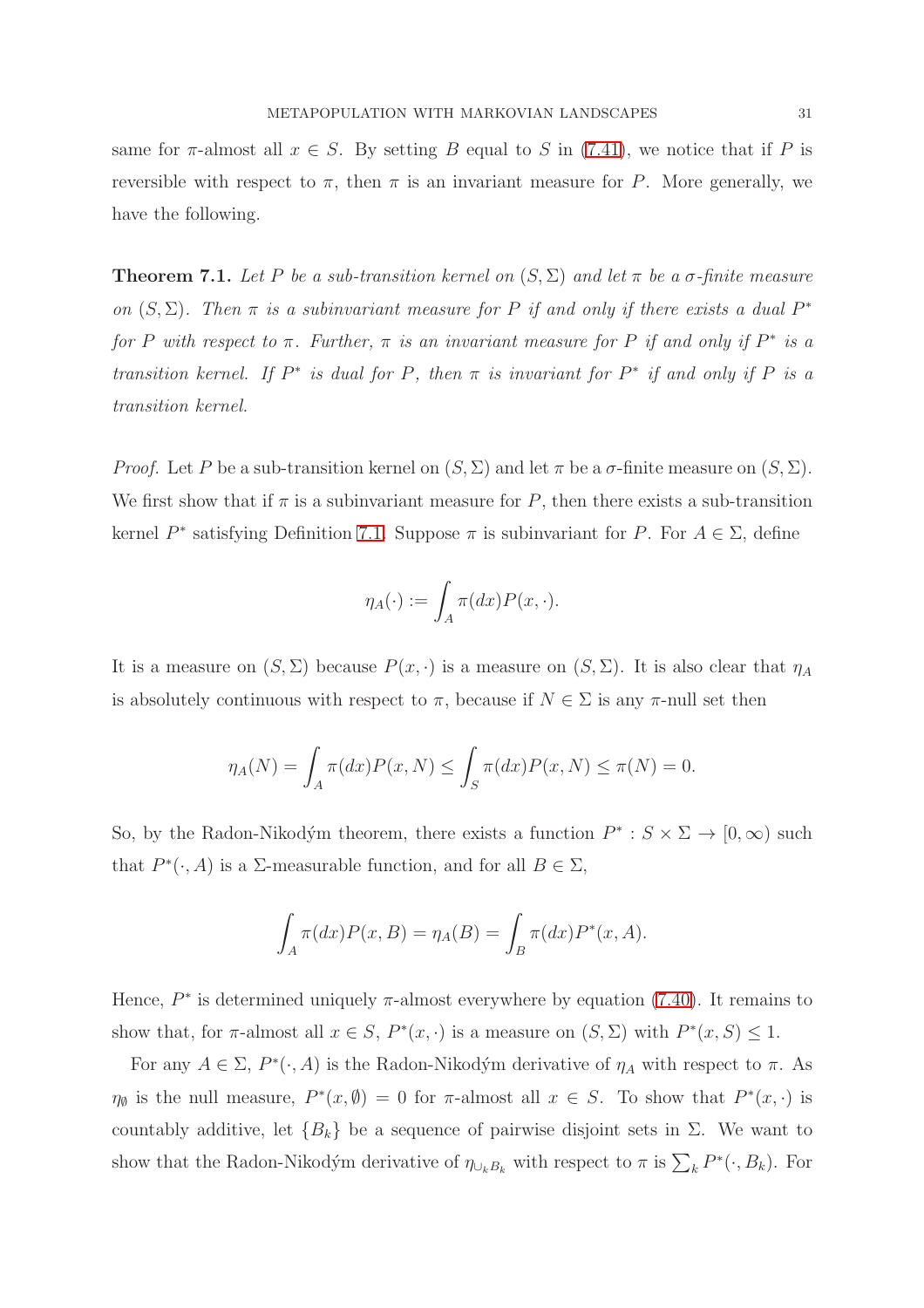same for  $\pi$ -almost all  $x \in S$ . By setting B equal to S in [\(7.41\)](#page-29-0), we notice that if P is reversible with respect to  $\pi$ , then  $\pi$  is an invariant measure for P. More generally, we have the following.

<span id="page-30-0"></span>**Theorem 7.1.** Let P be a sub-transition kernel on  $(S, \Sigma)$  and let  $\pi$  be a  $\sigma$ -finite measure *on*  $(S, \Sigma)$ *. Then*  $\pi$  *is a subinvariant measure for* P *if and only if there exists a dual* P<sup>\*</sup> *for* P with respect to  $\pi$ . Further,  $\pi$  *is an invariant measure for* P *if and only if*  $P^*$  *is a transition kernel.* If  $P^*$  *is dual for*  $P$ *, then*  $\pi$  *is invariant for*  $P^*$  *if and only if*  $P$  *is a transition kernel.*

*Proof.* Let P be a sub-transition kernel on  $(S, \Sigma)$  and let  $\pi$  be a  $\sigma$ -finite measure on  $(S, \Sigma)$ . We first show that if  $\pi$  is a subinvariant measure for P, then there exists a sub-transition kernel  $P^*$  satisfying Definition [7.1.](#page-29-1) Suppose  $\pi$  is subinvariant for P. For  $A \in \Sigma$ , define

$$
\eta_A(\cdot) := \int_A \pi(dx) P(x, \cdot).
$$

It is a measure on  $(S, \Sigma)$  because  $P(x, \cdot)$  is a measure on  $(S, \Sigma)$ . It is also clear that  $\eta_A$ is absolutely continuous with respect to  $\pi$ , because if  $N \in \Sigma$  is any  $\pi$ -null set then

$$
\eta_A(N) = \int_A \pi(dx) P(x, N) \le \int_S \pi(dx) P(x, N) \le \pi(N) = 0.
$$

So, by the Radon-Nikodým theorem, there exists a function  $P^* : S \times \Sigma \to [0, \infty)$  such that  $P^*(\cdot, A)$  is a  $\Sigma$ -measurable function, and for all  $B \in \Sigma$ ,

$$
\int_A \pi(dx)P(x, B) = \eta_A(B) = \int_B \pi(dx)P^*(x, A).
$$

Hence,  $P^*$  is determined uniquely  $\pi$ -almost everywhere by equation [\(7.40\)](#page-29-2). It remains to show that, for  $\pi$ -almost all  $x \in S$ ,  $P^*(x, \cdot)$  is a measure on  $(S, \Sigma)$  with  $P^*(x, S) \leq 1$ .

For any  $A \in \Sigma$ ,  $P^*(\cdot, A)$  is the Radon-Nikodým derivative of  $\eta_A$  with respect to  $\pi$ . As  $\eta_{\emptyset}$  is the null measure,  $P^*(x, \emptyset) = 0$  for  $\pi$ -almost all  $x \in S$ . To show that  $P^*(x, \cdot)$  is countably additive, let  ${B_k}$  be a sequence of pairwise disjoint sets in  $\Sigma$ . We want to show that the Radon-Nikodým derivative of  $\eta_{\cup_k B_k}$  with respect to  $\pi$  is  $\sum_k P^*(\cdot, B_k)$ . For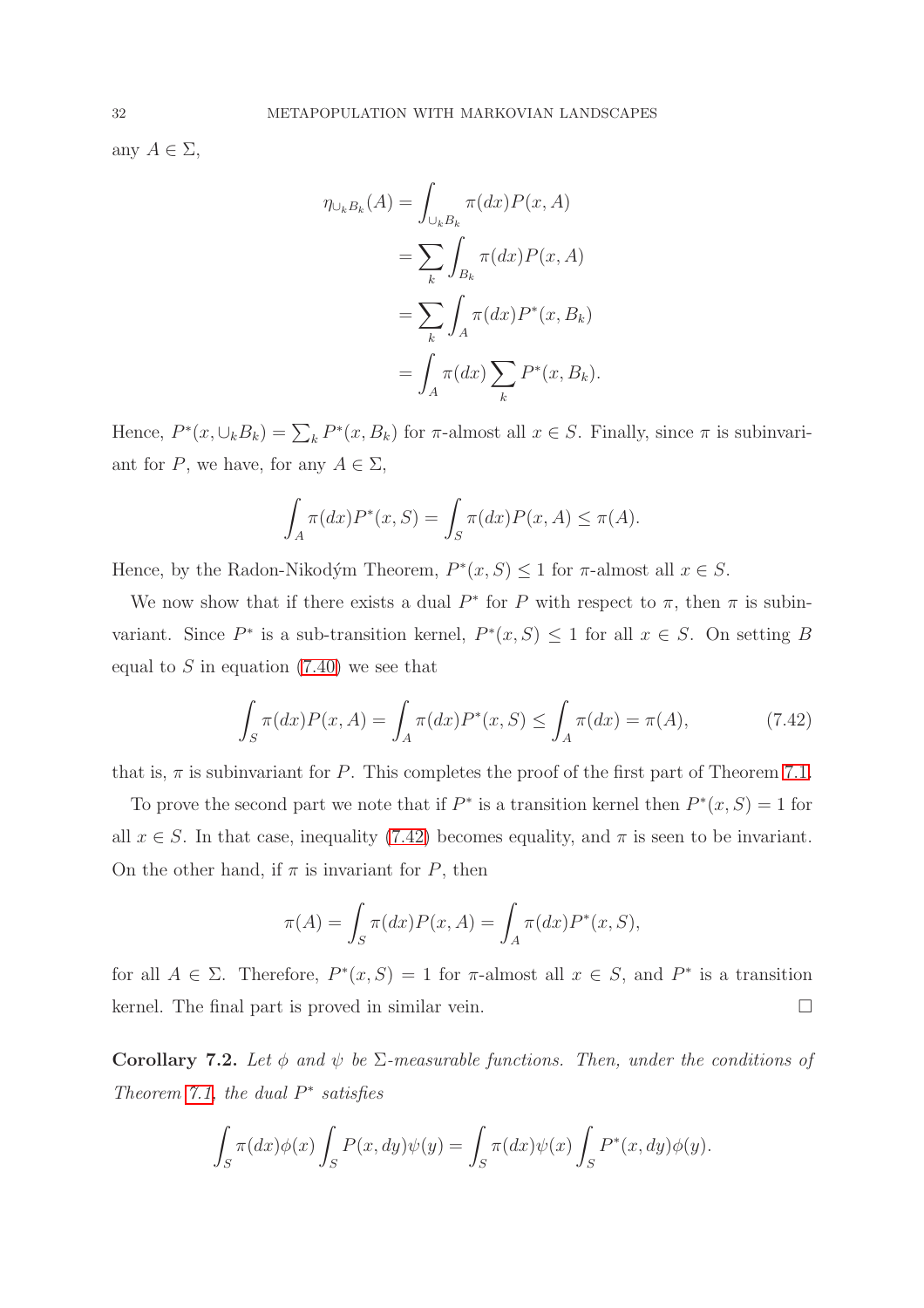any  $A \in \Sigma$ ,

$$
\eta_{\cup_k B_k}(A) = \int_{\cup_k B_k} \pi(dx) P(x, A)
$$

$$
= \sum_k \int_{B_k} \pi(dx) P(x, A)
$$

$$
= \sum_k \int_A \pi(dx) P^*(x, B_k)
$$

$$
= \int_A \pi(dx) \sum_k P^*(x, B_k).
$$

Hence,  $P^*(x, \cup_k B_k) = \sum_k P^*(x, B_k)$  for  $\pi$ -almost all  $x \in S$ . Finally, since  $\pi$  is subinvariant for P, we have, for any  $A \in \Sigma$ ,

$$
\int_{A} \pi(dx) P^*(x, S) = \int_{S} \pi(dx) P(x, A) \le \pi(A).
$$

Hence, by the Radon-Nikodým Theorem,  $P^*(x, S) \leq 1$  for  $\pi$ -almost all  $x \in S$ .

We now show that if there exists a dual  $P^*$  for P with respect to  $\pi$ , then  $\pi$  is subinvariant. Since  $P^*$  is a sub-transition kernel,  $P^*(x, S) \leq 1$  for all  $x \in S$ . On setting B equal to  $S$  in equation  $(7.40)$  we see that

<span id="page-31-1"></span>
$$
\int_{S} \pi(dx) P(x, A) = \int_{A} \pi(dx) P^{*}(x, S) \le \int_{A} \pi(dx) = \pi(A),
$$
\n(7.42)

that is,  $\pi$  is subinvariant for P. This completes the proof of the first part of Theorem [7.1.](#page-30-0)

To prove the second part we note that if  $P^*$  is a transition kernel then  $P^*(x, S) = 1$  for all  $x \in S$ . In that case, inequality [\(7.42\)](#page-31-1) becomes equality, and  $\pi$  is seen to be invariant. On the other hand, if  $\pi$  is invariant for P, then

$$
\pi(A) = \int_S \pi(dx) P(x, A) = \int_A \pi(dx) P^*(x, S),
$$

for all  $A \in \Sigma$ . Therefore,  $P^*(x, S) = 1$  for  $\pi$ -almost all  $x \in S$ , and  $P^*$  is a transition kernel. The final part is proved in similar vein.

<span id="page-31-0"></span>Corollary 7.2. Let  $\phi$  *and*  $\psi$  be  $\Sigma$ -measurable functions. Then, under the conditions of *Theorem [7.1,](#page-30-0) the dual* P ∗ *satisfies*

$$
\int_{S} \pi(dx)\phi(x)\int_{S} P(x,dy)\psi(y) = \int_{S} \pi(dx)\psi(x)\int_{S} P^*(x,dy)\phi(y).
$$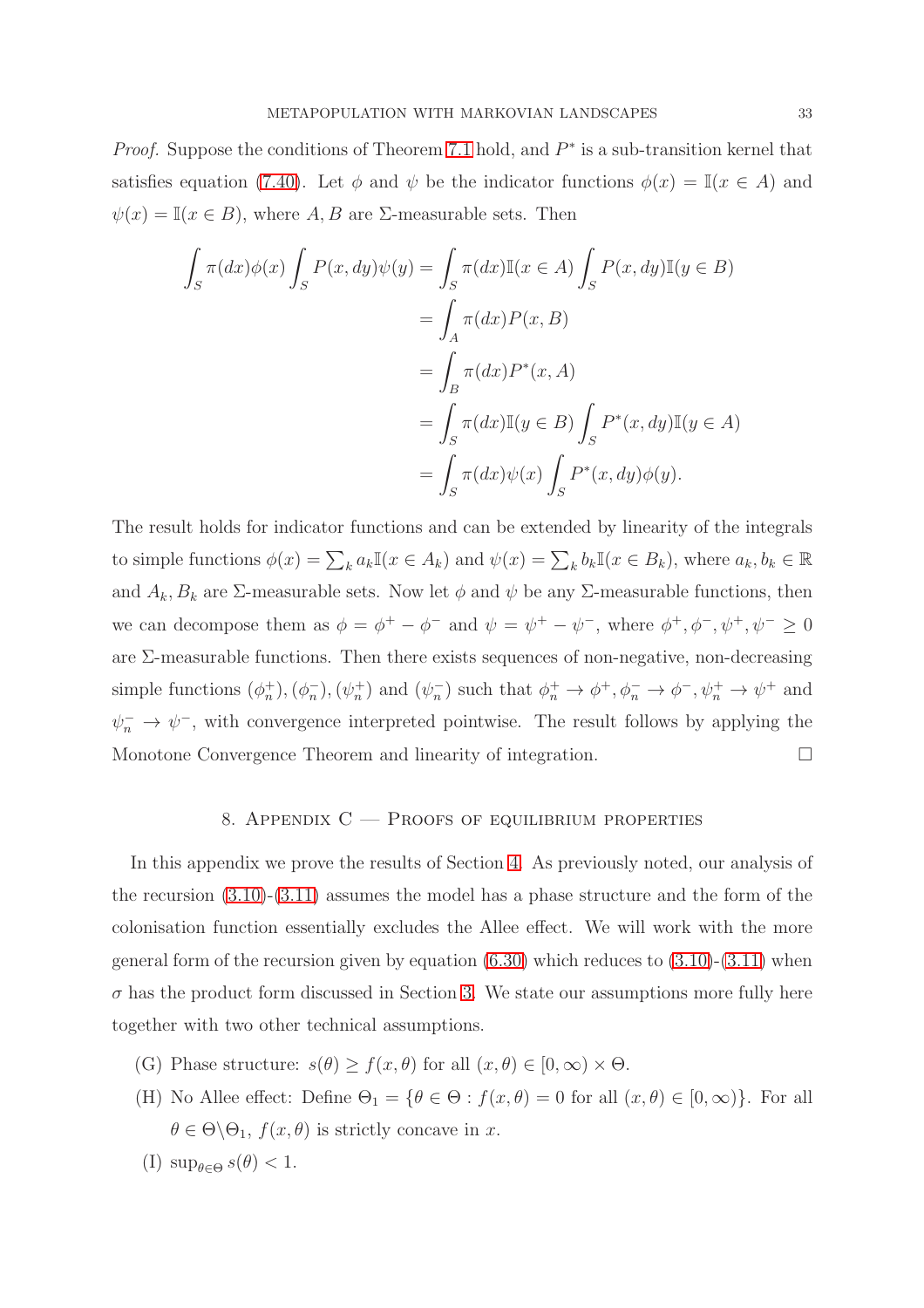*Proof.* Suppose the conditions of Theorem [7.1](#page-30-0) hold, and  $P^*$  is a sub-transition kernel that satisfies equation [\(7.40\)](#page-29-2). Let  $\phi$  and  $\psi$  be the indicator functions  $\phi(x) = \mathbb{I}(x \in A)$  and  $\psi(x) = \mathbb{I}(x \in B)$ , where A, B are  $\Sigma$ -measurable sets. Then

$$
\int_{S} \pi(dx)\phi(x) \int_{S} P(x, dy)\psi(y) = \int_{S} \pi(dx)\mathbb{I}(x \in A) \int_{S} P(x, dy)\mathbb{I}(y \in B)
$$

$$
= \int_{A} \pi(dx)P(x, B)
$$

$$
= \int_{B} \pi(dx)P^*(x, A)
$$

$$
= \int_{S} \pi(dx)\mathbb{I}(y \in B) \int_{S} P^*(x, dy)\mathbb{I}(y \in A)
$$

$$
= \int_{S} \pi(dx)\psi(x) \int_{S} P^*(x, dy)\phi(y).
$$

The result holds for indicator functions and can be extended by linearity of the integrals to simple functions  $\phi(x) = \sum_k a_k \mathbb{I}(x \in A_k)$  and  $\psi(x) = \sum_k b_k \mathbb{I}(x \in B_k)$ , where  $a_k, b_k \in \mathbb{R}$ and  $A_k, B_k$  are  $\Sigma$ -measurable sets. Now let  $\phi$  and  $\psi$  be any  $\Sigma$ -measurable functions, then we can decompose them as  $\phi = \phi^+ - \phi^-$  and  $\psi = \psi^+ - \psi^-$ , where  $\phi^+, \phi^-, \psi^+, \psi^- \ge 0$ are Σ-measurable functions. Then there exists sequences of non-negative, non-decreasing simple functions  $(\phi_n^+), (\phi_n^-)$  $\binom{n}{n}$ ,  $(\psi_n^+)$  and  $(\psi_n^-)$  $\phi_n^-$ ) such that  $\phi_n^+ \to \phi^+, \phi_n^- \to \phi^-, \psi_n^+ \to \psi^+$  and  $\psi_n^- \to \psi^-,$  with convergence interpreted pointwise. The result follows by applying the Monotone Convergence Theorem and linearity of integration.

## 8. APPENDIX  $C -$  Proofs of equilibrium properties

In this appendix we prove the results of Section [4.](#page-9-3) As previously noted, our analysis of the recursion [\(3.10\)](#page-8-0)-[\(3.11\)](#page-8-1) assumes the model has a phase structure and the form of the colonisation function essentially excludes the Allee effect. We will work with the more general form of the recursion given by equation  $(6.30)$  which reduces to  $(3.10)-(3.11)$  $(3.10)-(3.11)$  when  $\sigma$  has the product form discussed in Section [3.](#page-6-1) We state our assumptions more fully here together with two other technical assumptions.

- (G) Phase structure:  $s(\theta) \ge f(x, \theta)$  for all  $(x, \theta) \in [0, \infty) \times \Theta$ .
- (H) No Allee effect: Define  $\Theta_1 = \{ \theta \in \Theta : f(x, \theta) = 0 \text{ for all } (x, \theta) \in [0, \infty) \}.$  For all  $\theta \in \Theta \backslash \Theta_1$ ,  $f(x, \theta)$  is strictly concave in x.
- (I)  $\sup_{\theta \in \Theta} s(\theta) < 1$ .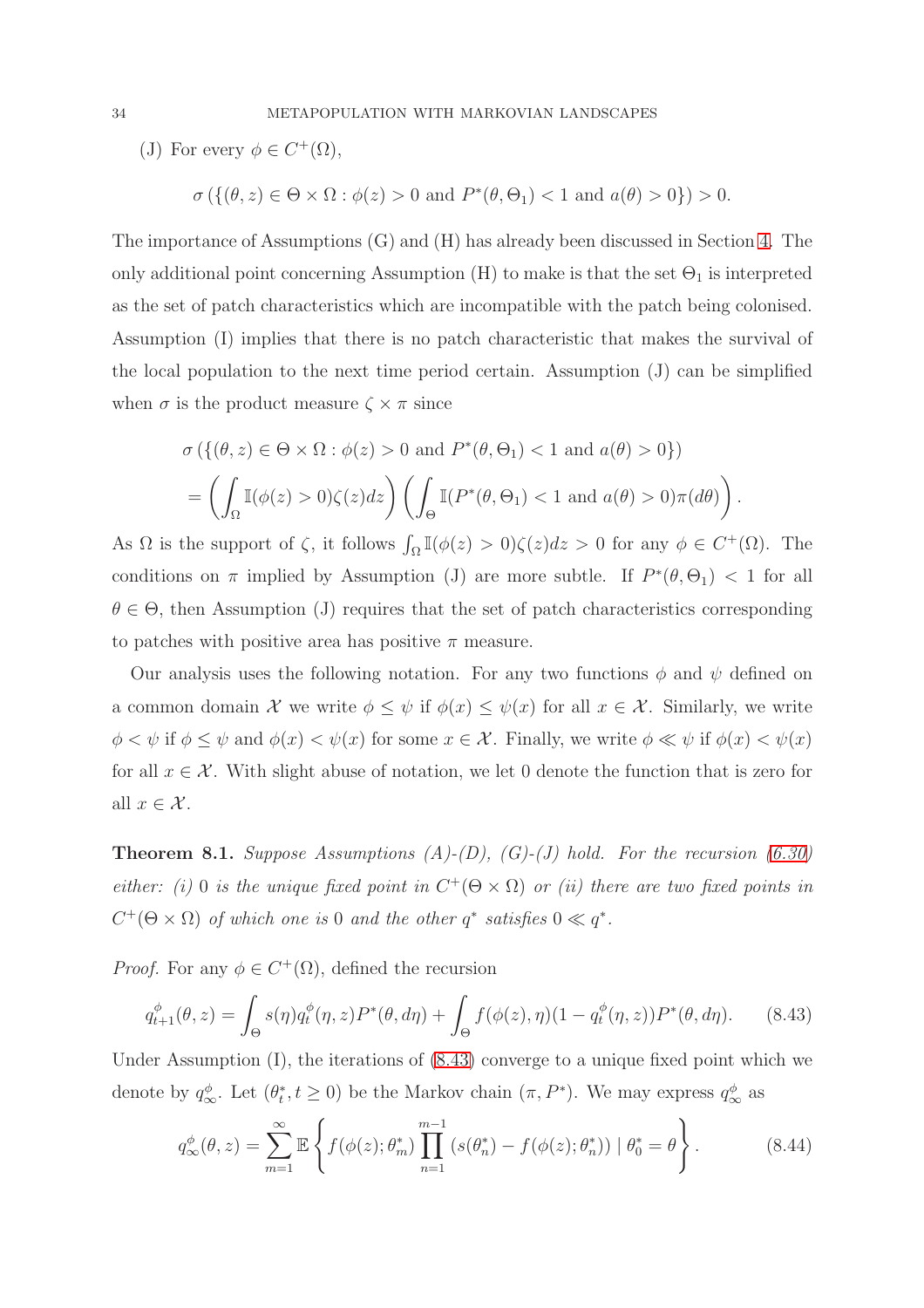(J) For every  $\phi \in C^+(\Omega)$ ,

$$
\sigma\left(\left\{(\theta, z) \in \Theta \times \Omega : \phi(z) > 0 \text{ and } P^*(\theta, \Theta_1) < 1 \text{ and } a(\theta) > 0\right\}\right) > 0.
$$

The importance of Assumptions (G) and (H) has already been discussed in Section [4.](#page-9-3) The only additional point concerning Assumption  $(H)$  to make is that the set  $\Theta_1$  is interpreted as the set of patch characteristics which are incompatible with the patch being colonised. Assumption (I) implies that there is no patch characteristic that makes the survival of the local population to the next time period certain. Assumption (J) can be simplified when  $\sigma$  is the product measure  $\zeta \times \pi$  since

$$
\sigma\left(\left\{(\theta, z) \in \Theta \times \Omega : \phi(z) > 0 \text{ and } P^*(\theta, \Theta_1) < 1 \text{ and } a(\theta) > 0\right\}\right)
$$

$$
= \left(\int_{\Omega} \mathbb{I}(\phi(z) > 0) \zeta(z) dz\right) \left(\int_{\Theta} \mathbb{I}(P^*(\theta, \Theta_1) < 1 \text{ and } a(\theta) > 0) \pi(d\theta)\right).
$$

As  $\Omega$  is the support of  $\zeta$ , it follows  $\int_{\Omega} \mathbb{I}(\phi(z) > 0) \zeta(z) dz > 0$  for any  $\phi \in C^+(\Omega)$ . The conditions on  $\pi$  implied by Assumption (J) are more subtle. If  $P^*(\theta, \Theta_1)$  < 1 for all  $\theta \in \Theta$ , then Assumption (J) requires that the set of patch characteristics corresponding to patches with positive area has positive  $\pi$  measure.

Our analysis uses the following notation. For any two functions  $\phi$  and  $\psi$  defined on a common domain X we write  $\phi \leq \psi$  if  $\phi(x) \leq \psi(x)$  for all  $x \in \mathcal{X}$ . Similarly, we write  $\phi < \psi$  if  $\phi \le \psi$  and  $\phi(x) < \psi(x)$  for some  $x \in \mathcal{X}$ . Finally, we write  $\phi \ll \psi$  if  $\phi(x) < \psi(x)$ for all  $x \in \mathcal{X}$ . With slight abuse of notation, we let 0 denote the function that is zero for all  $x \in \mathcal{X}$ .

<span id="page-33-1"></span>Theorem 8.1. *Suppose Assumptions (A)-(D), (G)-(J) hold. For the recursion [\(6.30\)](#page-25-1) either: (i)* 0 *is the unique fixed point in*  $C^+(\Theta \times \Omega)$  *or (ii) there are two fixed points in*  $C^+(\Theta \times \Omega)$  *of which one is* 0 *and the other*  $q^*$  *satisfies*  $0 \ll q^*$ *.* 

*Proof.* For any  $\phi \in C^+(\Omega)$ , defined the recursion

<span id="page-33-0"></span>
$$
q_{t+1}^{\phi}(\theta, z) = \int_{\Theta} s(\eta) q_t^{\phi}(\eta, z) P^*(\theta, d\eta) + \int_{\Theta} f(\phi(z), \eta) (1 - q_t^{\phi}(\eta, z)) P^*(\theta, d\eta). \tag{8.43}
$$

Under Assumption (I), the iterations of [\(8.43\)](#page-33-0) converge to a unique fixed point which we denote by  $q_{\infty}^{\phi}$ . Let  $(\theta_t^*$  $(t, t \geq 0)$  be the Markov chain  $(\pi, P^*)$ . We may express  $q^{\phi}_{\infty}$  as

<span id="page-33-2"></span>
$$
q_{\infty}^{\phi}(\theta, z) = \sum_{m=1}^{\infty} \mathbb{E} \left\{ f(\phi(z); \theta_m^*) \prod_{n=1}^{m-1} \left( s(\theta_n^*) - f(\phi(z); \theta_n^*) \right) \mid \theta_0^* = \theta \right\}.
$$
 (8.44)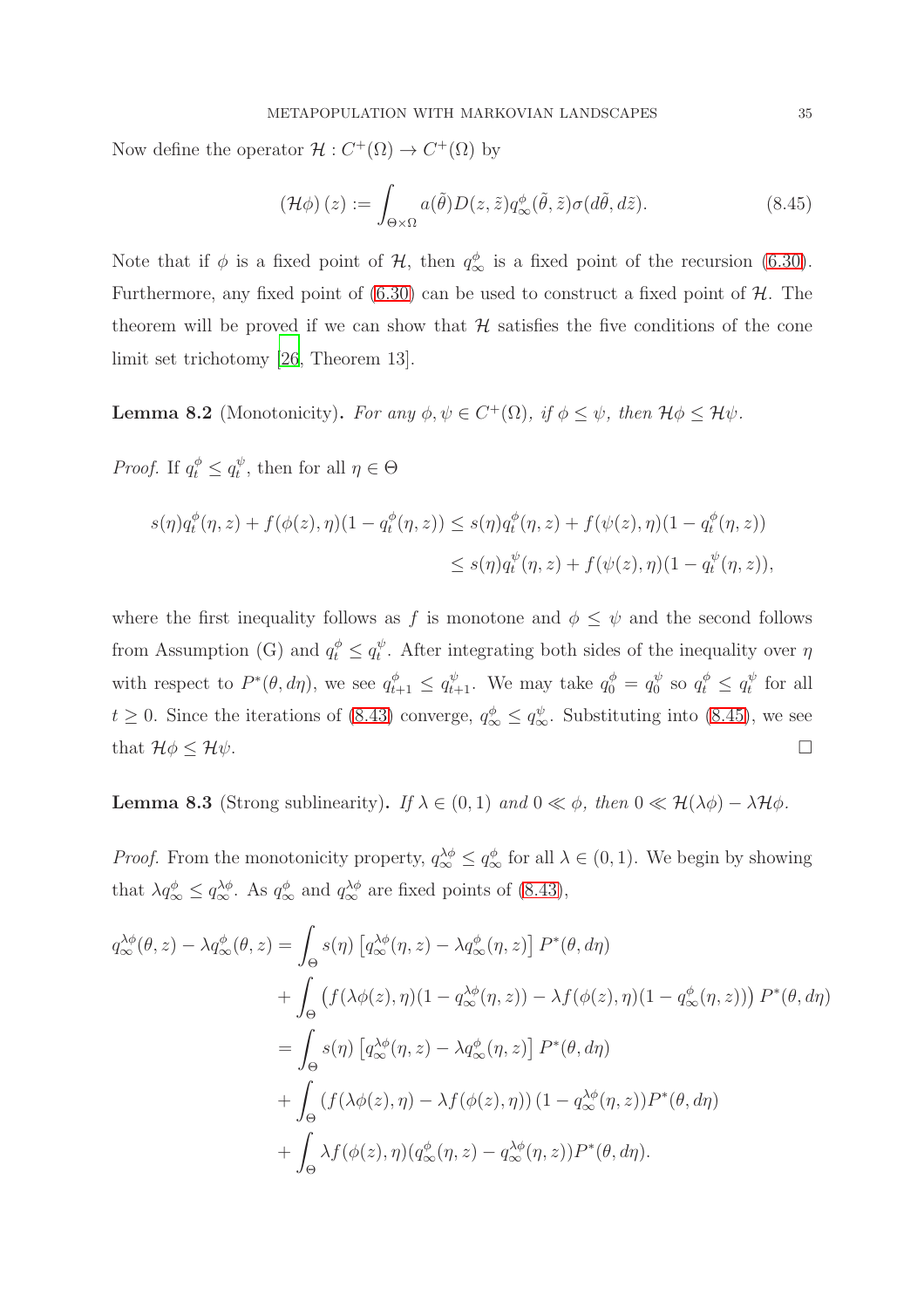Now define the operator  $\mathcal{H}: C^+(\Omega) \to C^+(\Omega)$  by

<span id="page-34-1"></span>
$$
\left(\mathcal{H}\phi\right)(z) := \int_{\Theta \times \Omega} a(\tilde{\theta}) D(z,\tilde{z}) q_{\infty}^{\phi}(\tilde{\theta},\tilde{z}) \sigma(d\tilde{\theta},d\tilde{z}). \tag{8.45}
$$

Note that if  $\phi$  is a fixed point of  $\mathcal{H}$ , then  $q_{\infty}^{\phi}$  is a fixed point of the recursion [\(6.30\)](#page-25-1). Furthermore, any fixed point of  $(6.30)$  can be used to construct a fixed point of  $H$ . The theorem will be proved if we can show that  $H$  satisfies the five conditions of the cone limit set trichotomy [\[26,](#page-41-13) Theorem 13].

<span id="page-34-0"></span>**Lemma 8.2** (Monotonicity). *For any*  $\phi, \psi \in C^+(\Omega)$ *, if*  $\phi \leq \psi$ *, then*  $\mathcal{H}\phi \leq \mathcal{H}\psi$ *.* 

*Proof.* If  $q_t^{\phi} \leq q_t^{\psi}$  $_t^{\psi}$ , then for all  $\eta \in \Theta$ 

$$
s(\eta)q_t^{\phi}(\eta, z) + f(\phi(z), \eta)(1 - q_t^{\phi}(\eta, z)) \le s(\eta)q_t^{\phi}(\eta, z) + f(\psi(z), \eta)(1 - q_t^{\phi}(\eta, z))
$$
  

$$
\le s(\eta)q_t^{\psi}(\eta, z) + f(\psi(z), \eta)(1 - q_t^{\psi}(\eta, z)),
$$

where the first inequality follows as f is monotone and  $\phi \leq \psi$  and the second follows from Assumption (G) and  $q_t^{\phi} \leq q_t^{\psi}$  $t<sup>v</sup>$ . After integrating both sides of the inequality over  $\eta$ with respect to  $P^*(\theta, d\eta)$ , we see  $q_{t+1}^{\phi} \leq q_{t+1}^{\psi}$ . We may take  $q_0^{\phi} = q_0^{\psi}$  $q_t^{\psi}$  so  $q_t^{\phi} \leq q_t^{\psi}$  $t^{\psi}$  for all  $t \geq 0$ . Since the iterations of [\(8.43\)](#page-33-0) converge,  $q^{\phi}_{\infty} \leq q^{\psi}_{\infty}$ . Substituting into [\(8.45\)](#page-34-1), we see that  $\mathcal{H}\phi \leq \mathcal{H}\psi$ .

**Lemma 8.3** (Strong sublinearity). *If*  $\lambda \in (0,1)$  *and*  $0 \ll \phi$ *, then*  $0 \ll \mathcal{H}(\lambda \phi) - \lambda \mathcal{H} \phi$ *.* 

*Proof.* From the monotonicity property,  $q_{\infty}^{\lambda \phi} \leq q_{\infty}^{\phi}$  for all  $\lambda \in (0, 1)$ . We begin by showing that  $\lambda q_{\infty}^{\phi} \leq q_{\infty}^{\lambda \phi}$ . As  $q_{\infty}^{\phi}$  and  $q_{\infty}^{\lambda \phi}$  are fixed points of [\(8.43\)](#page-33-0),

$$
q_{\infty}^{\lambda\phi}(\theta,z) - \lambda q_{\infty}^{\phi}(\theta,z) = \int_{\Theta} s(\eta) \left[ q_{\infty}^{\lambda\phi}(\eta,z) - \lambda q_{\infty}^{\phi}(\eta,z) \right] P^*(\theta,d\eta)
$$
  
+ 
$$
\int_{\Theta} \left( f(\lambda\phi(z),\eta)(1-q_{\infty}^{\lambda\phi}(\eta,z)) - \lambda f(\phi(z),\eta)(1-q_{\infty}^{\phi}(\eta,z)) \right) P^*(\theta,d\eta)
$$
  
= 
$$
\int_{\Theta} s(\eta) \left[ q_{\infty}^{\lambda\phi}(\eta,z) - \lambda q_{\infty}^{\phi}(\eta,z) \right] P^*(\theta,d\eta)
$$
  
+ 
$$
\int_{\Theta} \left( f(\lambda\phi(z),\eta) - \lambda f(\phi(z),\eta) \right) (1-q_{\infty}^{\lambda\phi}(\eta,z)) P^*(\theta,d\eta)
$$
  
+ 
$$
\int_{\Theta} \lambda f(\phi(z),\eta) (q_{\infty}^{\phi}(\eta,z) - q_{\infty}^{\lambda\phi}(\eta,z)) P^*(\theta,d\eta).
$$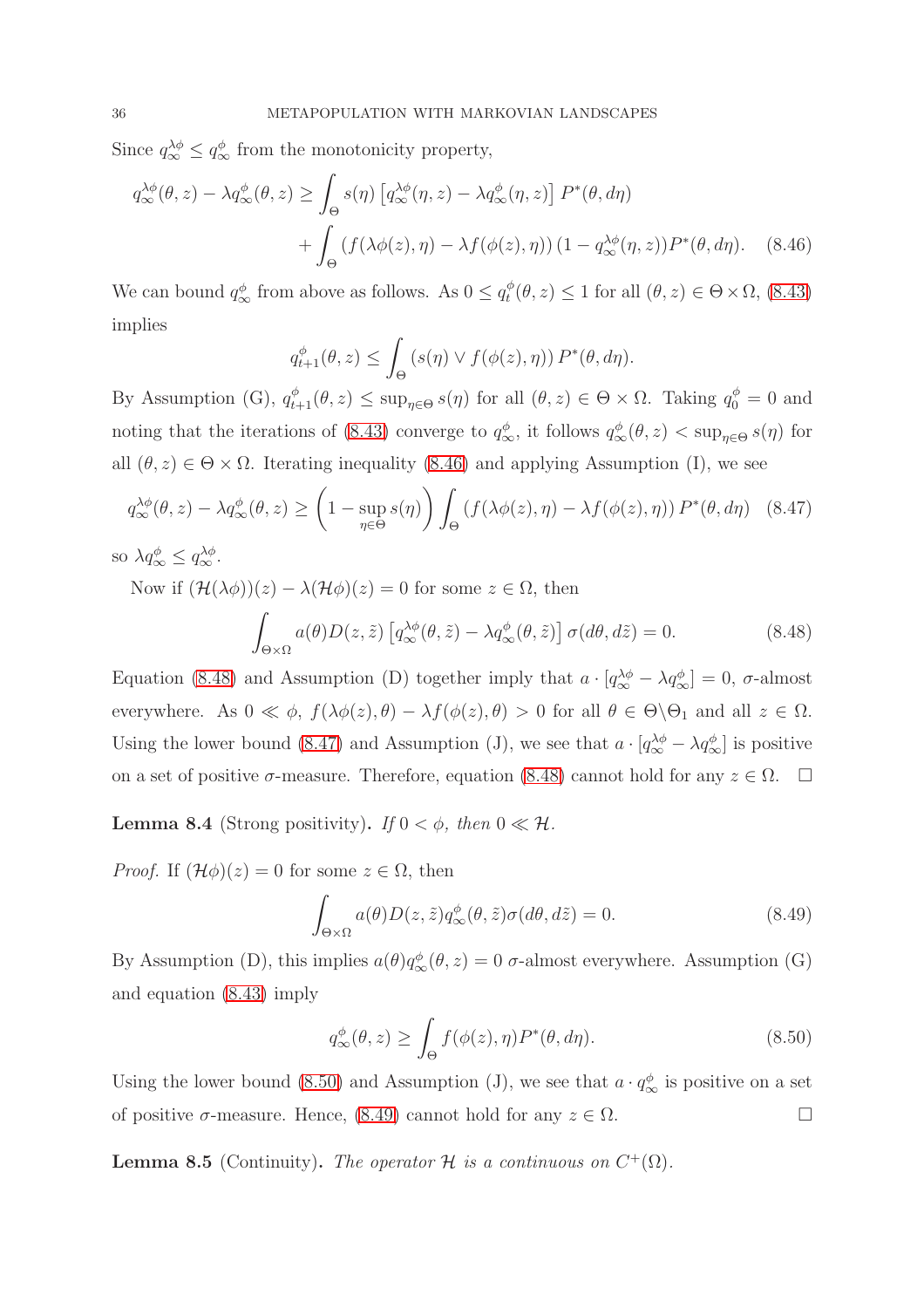Since  $q_{\infty}^{\lambda \phi} \leq q_{\infty}^{\phi}$  from the monotonicity property,

$$
q_{\infty}^{\lambda\phi}(\theta,z) - \lambda q_{\infty}^{\phi}(\theta,z) \ge \int_{\Theta} s(\eta) \left[ q_{\infty}^{\lambda\phi}(\eta,z) - \lambda q_{\infty}^{\phi}(\eta,z) \right] P^*(\theta,d\eta)
$$

$$
+ \int_{\Theta} \left( f(\lambda\phi(z),\eta) - \lambda f(\phi(z),\eta) \right) (1 - q_{\infty}^{\lambda\phi}(\eta,z)) P^*(\theta,d\eta). \tag{8.46}
$$

We can bound  $q_{\infty}^{\phi}$  from above as follows. As  $0 \leq q_t^{\phi}$  $t_t^{\phi}(\theta, z) \leq 1$  for all  $(\theta, z) \in \Theta \times \Omega$ , [\(8.43\)](#page-33-0) implies

<span id="page-35-0"></span>
$$
q_{t+1}^{\phi}(\theta, z) \leq \int_{\Theta} \left( s(\eta) \vee f(\phi(z), \eta) \right) P^{*}(\theta, d\eta).
$$

By Assumption (G),  $q_{t+1}^{\phi}(\theta, z) \leq \sup_{\eta \in \Theta} s(\eta)$  for all  $(\theta, z) \in \Theta \times \Omega$ . Taking  $q_0^{\phi} = 0$  and noting that the iterations of [\(8.43\)](#page-33-0) converge to  $q^{\phi}_{\infty}$ , it follows  $q^{\phi}_{\infty}(\theta, z) < \sup_{\eta \in \Theta} s(\eta)$  for all  $(\theta, z) \in \Theta \times \Omega$ . Iterating inequality [\(8.46\)](#page-35-0) and applying Assumption (I), we see

<span id="page-35-2"></span>
$$
q_{\infty}^{\lambda\phi}(\theta, z) - \lambda q_{\infty}^{\phi}(\theta, z) \ge \left(1 - \sup_{\eta \in \Theta} s(\eta)\right) \int_{\Theta} \left(f(\lambda\phi(z), \eta) - \lambda f(\phi(z), \eta)\right) P^*(\theta, d\eta) \tag{8.47}
$$

so  $\lambda q_{\infty}^{\phi} \leq q_{\infty}^{\lambda \phi}$ .

<span id="page-35-1"></span>Now if  $(\mathcal{H}(\lambda \phi))(z) - \lambda(\mathcal{H}\phi)(z) = 0$  for some  $z \in \Omega$ , then Z Θ×Ω  $a(\theta)D(z,\tilde{z})\left[q_{\infty}^{\lambda\phi}(\theta,\tilde{z})-\lambda q_{\infty}^{\phi}(\theta,\tilde{z})\right]\sigma(d\theta,d\tilde{z})=0.$  (8.48)

Equation [\(8.48\)](#page-35-1) and Assumption (D) together imply that  $a \cdot [q_{\infty}^{\lambda \phi} - \lambda q_{\infty}^{\phi}] = 0$ ,  $\sigma$ -almost everywhere. As  $0 \ll \phi$ ,  $f(\lambda \phi(z), \theta) - \lambda f(\phi(z), \theta) > 0$  for all  $\theta \in \Theta \setminus \Theta_1$  and all  $z \in \Omega$ . Using the lower bound [\(8.47\)](#page-35-2) and Assumption (J), we see that  $a \cdot [q_{\infty}^{\lambda \phi} - \lambda q_{\infty}^{\phi}]$  is positive on a set of positive  $\sigma$ -measure. Therefore, equation [\(8.48\)](#page-35-1) cannot hold for any  $z \in \Omega$ .  $\Box$ 

**Lemma 8.4** (Strong positivity). *If*  $0 < \phi$ *, then*  $0 \ll \mathcal{H}$ *.* 

*Proof.* If  $(\mathcal{H}\phi)(z) = 0$  for some  $z \in \Omega$ , then

<span id="page-35-4"></span>
$$
\int_{\Theta \times \Omega} a(\theta) D(z, \tilde{z}) q_{\infty}^{\phi}(\theta, \tilde{z}) \sigma(d\theta, d\tilde{z}) = 0.
$$
\n(8.49)

By Assumption (D), this implies  $a(\theta)q_{\infty}^{\phi}(\theta, z) = 0$   $\sigma$ -almost everywhere. Assumption (G) and equation [\(8.43\)](#page-33-0) imply

<span id="page-35-3"></span>
$$
q_{\infty}^{\phi}(\theta, z) \ge \int_{\Theta} f(\phi(z), \eta) P^{*}(\theta, d\eta).
$$
 (8.50)

Using the lower bound [\(8.50\)](#page-35-3) and Assumption (J), we see that  $a \cdot q_{\infty}^{\phi}$  is positive on a set of positive  $\sigma$ -measure. Hence, [\(8.49\)](#page-35-4) cannot hold for any  $z \in \Omega$ .

**Lemma 8.5** (Continuity). *The operator*  $H$  *is a continuous on*  $C^+(\Omega)$ *.*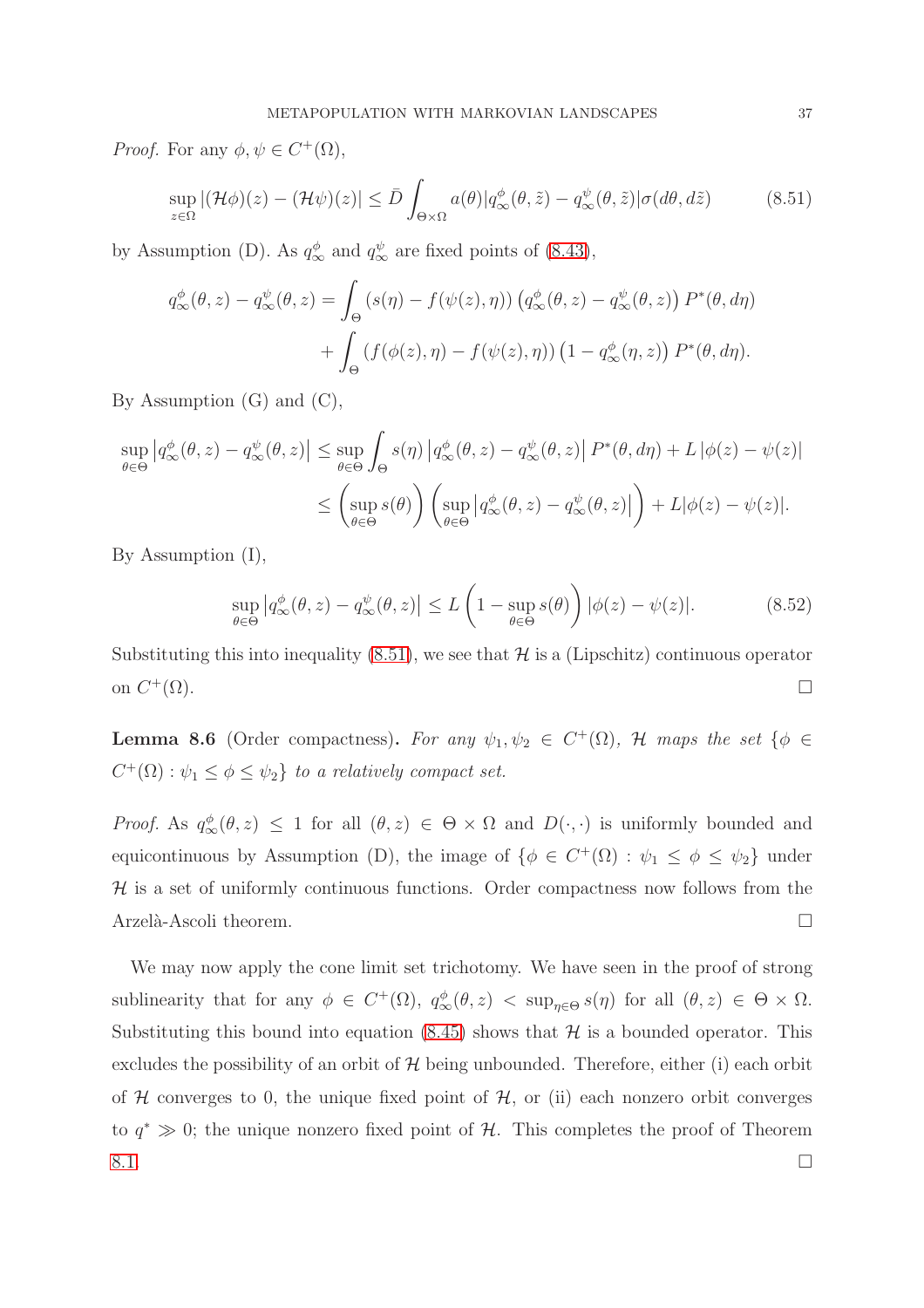*Proof.* For any  $\phi, \psi \in C^+(\Omega)$ ,

<span id="page-36-0"></span>
$$
\sup_{z \in \Omega} |(\mathcal{H}\phi)(z) - (\mathcal{H}\psi)(z)| \le \bar{D} \int_{\Theta \times \Omega} a(\theta) |q_{\infty}^{\phi}(\theta, \tilde{z}) - q_{\infty}^{\psi}(\theta, \tilde{z}) | \sigma(d\theta, d\tilde{z}) \tag{8.51}
$$

by Assumption (D). As  $q^{\phi}_{\infty}$  and  $q^{\psi}_{\infty}$  are fixed points of [\(8.43\)](#page-33-0),

$$
q_{\infty}^{\phi}(\theta, z) - q_{\infty}^{\psi}(\theta, z) = \int_{\Theta} \left( s(\eta) - f(\psi(z), \eta) \right) \left( q_{\infty}^{\phi}(\theta, z) - q_{\infty}^{\psi}(\theta, z) \right) P^{*}(\theta, d\eta)
$$

$$
+ \int_{\Theta} \left( f(\phi(z), \eta) - f(\psi(z), \eta) \right) \left( 1 - q_{\infty}^{\phi}(\eta, z) \right) P^{*}(\theta, d\eta).
$$

By Assumption (G) and (C),

$$
\sup_{\theta \in \Theta} \left| q^{\phi}_{\infty}(\theta, z) - q^{\psi}_{\infty}(\theta, z) \right| \leq \sup_{\theta \in \Theta} \int_{\Theta} s(\eta) \left| q^{\phi}_{\infty}(\theta, z) - q^{\psi}_{\infty}(\theta, z) \right| P^*(\theta, d\eta) + L \left| \phi(z) - \psi(z) \right|
$$
  

$$
\leq \left( \sup_{\theta \in \Theta} s(\theta) \right) \left( \sup_{\theta \in \Theta} \left| q^{\phi}_{\infty}(\theta, z) - q^{\psi}_{\infty}(\theta, z) \right| \right) + L |\phi(z) - \psi(z)|.
$$

By Assumption (I),

$$
\sup_{\theta \in \Theta} \left| q_{\infty}^{\phi}(\theta, z) - q_{\infty}^{\psi}(\theta, z) \right| \le L \left( 1 - \sup_{\theta \in \Theta} s(\theta) \right) |\phi(z) - \psi(z)|. \tag{8.52}
$$

Substituting this into inequality  $(8.51)$ , we see that  $\mathcal{H}$  is a (Lipschitz) continuous operator on  $C^+(\Omega)$ .  $^{+}(\Omega)$ .

**Lemma 8.6** (Order compactness). For any  $\psi_1, \psi_2 \in C^+(\Omega)$ , H maps the set  $\{\phi \in$  $C^+(\Omega): \psi_1 \leq \phi \leq \psi_2$  *to a relatively compact set.* 

*Proof.* As  $q^{\phi}_{\infty}(\theta, z) \leq 1$  for all  $(\theta, z) \in \Theta \times \Omega$  and  $D(\cdot, \cdot)$  is uniformly bounded and equicontinuous by Assumption (D), the image of  $\{\phi \in C^+(\Omega) : \psi_1 \leq \phi \leq \psi_2\}$  under  $H$  is a set of uniformly continuous functions. Order compactness now follows from the Arzelà-Ascoli theorem.

We may now apply the cone limit set trichotomy. We have seen in the proof of strong sublinearity that for any  $\phi \in C^+(\Omega)$ ,  $q_{\infty}^{\phi}(\theta, z) < \sup_{\eta \in \Theta} s(\eta)$  for all  $(\theta, z) \in \Theta \times \Omega$ . Substituting this bound into equation  $(8.45)$  shows that  $H$  is a bounded operator. This excludes the possibility of an orbit of  $H$  being unbounded. Therefore, either (i) each orbit of  $H$  converges to 0, the unique fixed point of  $H$ , or (ii) each nonzero orbit converges to  $q^* \gg 0$ ; the unique nonzero fixed point of H. This completes the proof of Theorem  $8.1.$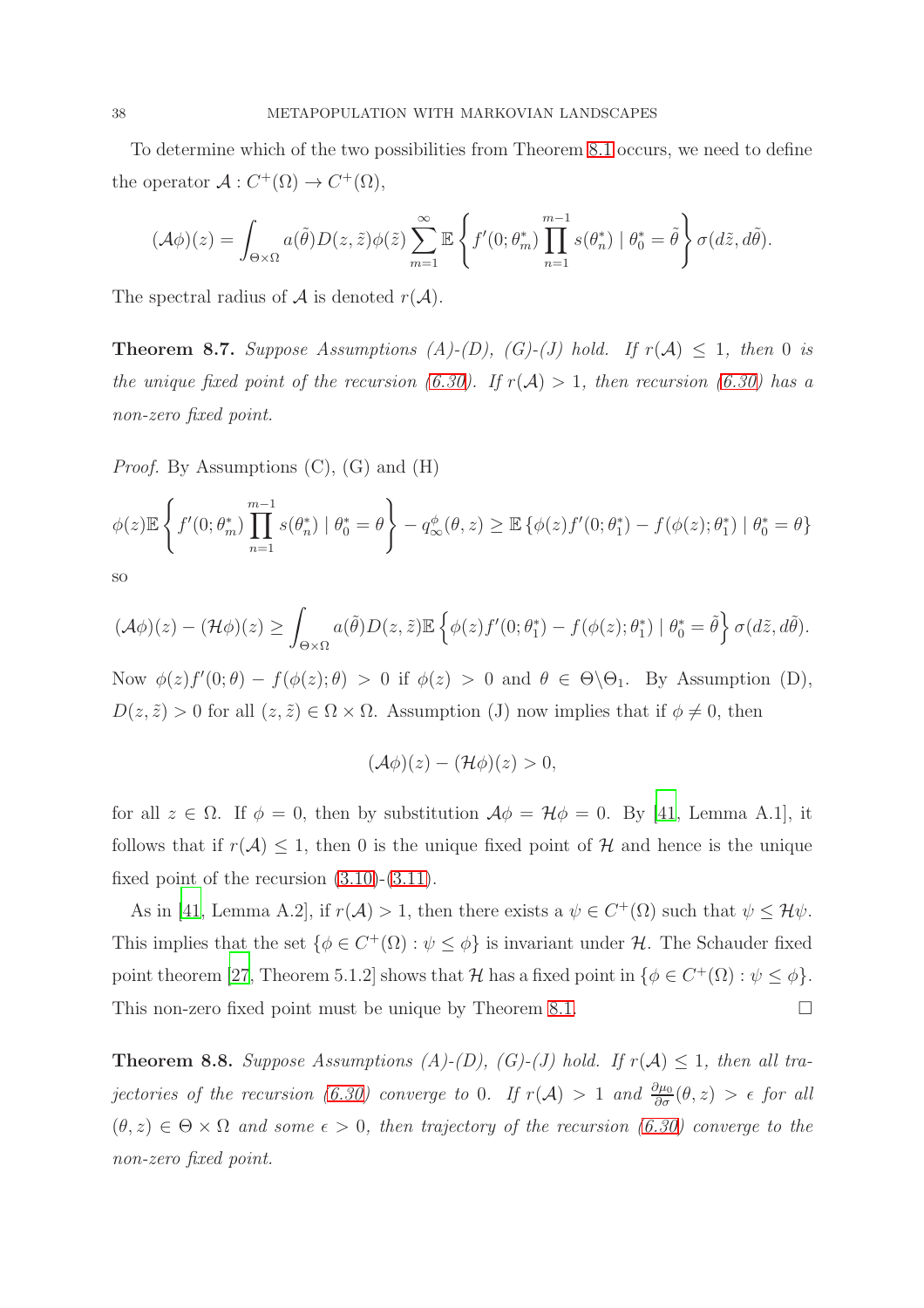To determine which of the two possibilities from Theorem [8.1](#page-33-1) occurs, we need to define the operator  $\mathcal{A}: C^+(\Omega) \to C^+(\Omega)$ ,

$$
(\mathcal{A}\phi)(z) = \int_{\Theta \times \Omega} a(\tilde{\theta}) D(z, \tilde{z}) \phi(\tilde{z}) \sum_{m=1}^{\infty} \mathbb{E} \left\{ f'(0; \theta_m^*) \prod_{n=1}^{m-1} s(\theta_n^*) \mid \theta_0^* = \tilde{\theta} \right\} \sigma(d\tilde{z}, d\tilde{\theta}).
$$

The spectral radius of  $A$  is denoted  $r(A)$ .

<span id="page-37-1"></span>**Theorem 8.7.** Suppose Assumptions (A)-(D), (G)-(J) hold. If  $r(A) \leq 1$ , then 0 is *the unique fixed point of the recursion [\(6.30\)](#page-25-1). If*  $r(A) > 1$ *, then recursion (6.30)* has a *non-zero fixed point.*

*Proof.* By Assumptions (C), (G) and (H)

$$
\phi(z)\mathbb{E}\left\{f'(0;\theta_m^*)\prod_{n=1}^{m-1}s(\theta_n^*)\mid\theta_0^*=\theta\right\}-q^\phi_\infty(\theta,z)\geq \mathbb{E}\left\{\phi(z)f'(0;\theta_1^*)-f(\phi(z);\theta_1^*)\mid\theta_0^*=\theta\right\}
$$

so

$$
(\mathcal{A}\phi)(z) - (\mathcal{H}\phi)(z) \ge \int_{\Theta \times \Omega} a(\tilde{\theta}) D(z, \tilde{z}) \mathbb{E} \left\{ \phi(z) f'(0; \theta_1^*) - f(\phi(z); \theta_1^*) \mid \theta_0^* = \tilde{\theta} \right\} \sigma(d\tilde{z}, d\tilde{\theta}).
$$

Now  $\phi(z) f'(0; \theta) - f(\phi(z); \theta) > 0$  if  $\phi(z) > 0$  and  $\theta \in \Theta \setminus \Theta_1$ . By Assumption (D),  $D(z, \tilde{z}) > 0$  for all  $(z, \tilde{z}) \in \Omega \times \Omega$ . Assumption (J) now implies that if  $\phi \neq 0$ , then

$$
(\mathcal{A}\phi)(z) - (\mathcal{H}\phi)(z) > 0,
$$

for all  $z \in \Omega$ . If  $\phi = 0$ , then by substitution  $\mathcal{A}\phi = \mathcal{H}\phi = 0$ . By [\[41](#page-42-8), Lemma A.1], it follows that if  $r(\mathcal{A}) \leq 1$ , then 0 is the unique fixed point of H and hence is the unique fixed point of the recursion  $(3.10)-(3.11)$  $(3.10)-(3.11)$ .

As in [\[41](#page-42-8), Lemma A.2], if  $r(\mathcal{A}) > 1$ , then there exists a  $\psi \in C^+(\Omega)$  such that  $\psi \leq \mathcal{H}\psi$ . This implies that the set  $\{\phi \in C^+(\Omega) : \psi \leq \phi\}$  is invariant under H. The Schauder fixed point theorem [\[27,](#page-41-14) Theorem 5.1.2] shows that H has a fixed point in  $\{\phi \in C^+(\Omega) : \psi \leq \phi\}.$ This non-zero fixed point must be unique by Theorem [8.1.](#page-33-1)  $\Box$ 

<span id="page-37-0"></span>**Theorem 8.8.** Suppose Assumptions (A)-(D), (G)-(J) hold. If  $r(A) \leq 1$ , then all tra*jectories of the recursion* [\(6.30\)](#page-25-1) converge to 0. If  $r(A) > 1$  and  $\frac{\partial \mu_0}{\partial \sigma}(\theta, z) > \epsilon$  for all  $(\theta, z) \in \Theta \times \Omega$  *and some*  $\epsilon > 0$ *, then trajectory of the recursion* [\(6.30\)](#page-25-1) *converge to the non-zero fixed point.*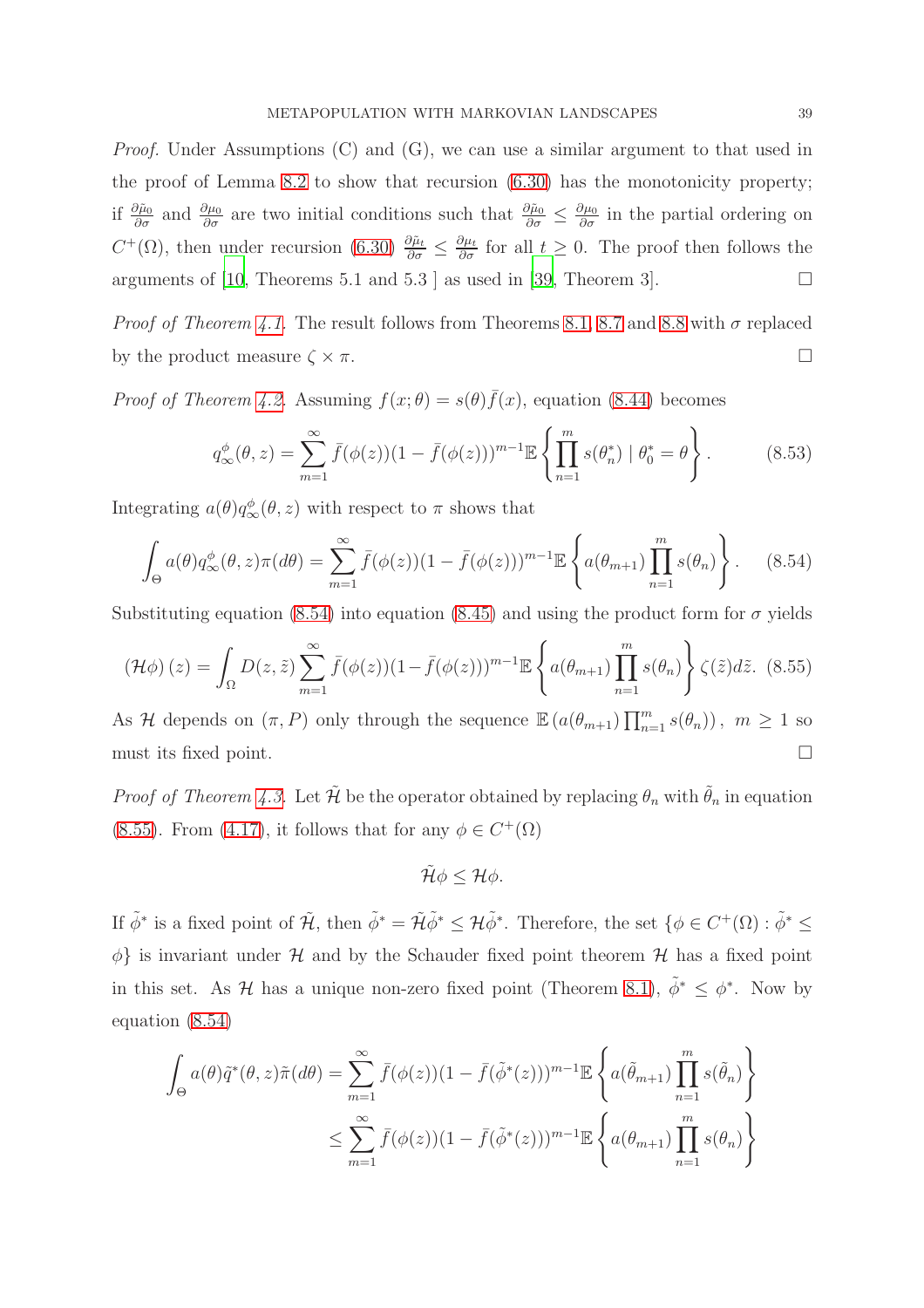*Proof.* Under Assumptions (C) and (G), we can use a similar argument to that used in the proof of Lemma [8.2](#page-34-0) to show that recursion [\(6.30\)](#page-25-1) has the monotonicity property; if  $\frac{\partial \tilde{\mu}_0}{\partial \sigma}$  and  $\frac{\partial \mu_0}{\partial \sigma}$  are two initial conditions such that  $\frac{\partial \tilde{\mu}_0}{\partial \sigma} \leq \frac{\partial \mu_0}{\partial \sigma}$  in the partial ordering on  $C^+(\Omega)$ , then under recursion [\(6.30\)](#page-25-1)  $\frac{\partial \tilde{\mu}_t}{\partial \sigma} \leq \frac{\partial \mu_t}{\partial \sigma}$  for all  $t \geq 0$ . The proof then follows the arguments of [\[10](#page-40-11), Theorems 5.1 and 5.3 ] as used in [\[39,](#page-42-7) Theorem 3].  $\Box$ 

*Proof of Theorem [4.1.](#page-11-0)* The result follows from Theorems [8.1,](#page-33-1) [8.7](#page-37-1) and [8.8](#page-37-0) with  $\sigma$  replaced by the product measure  $\zeta \times \pi$ .

*Proof of Theorem [4.2.](#page-12-0)* Assuming  $f(x; \theta) = s(\theta) \bar{f}(x)$ , equation [\(8.44\)](#page-33-2) becomes

$$
q_{\infty}^{\phi}(\theta, z) = \sum_{m=1}^{\infty} \bar{f}(\phi(z)) (1 - \bar{f}(\phi(z)))^{m-1} \mathbb{E} \left\{ \prod_{n=1}^{m} s(\theta_{n}^{*}) \mid \theta_{0}^{*} = \theta \right\}.
$$
 (8.53)

Integrating  $a(\theta)q_{\infty}^{\phi}(\theta, z)$  with respect to  $\pi$  shows that

<span id="page-38-0"></span>
$$
\int_{\Theta} a(\theta) q_{\infty}^{\phi}(\theta, z) \pi(d\theta) = \sum_{m=1}^{\infty} \bar{f}(\phi(z)) (1 - \bar{f}(\phi(z)))^{m-1} \mathbb{E} \left\{ a(\theta_{m+1}) \prod_{n=1}^{m} s(\theta_n) \right\}.
$$
 (8.54)

Substituting equation [\(8.54\)](#page-38-0) into equation [\(8.45\)](#page-34-1) and using the product form for  $\sigma$  yields

<span id="page-38-1"></span>
$$
\left(\mathcal{H}\phi\right)(z) = \int_{\Omega} D(z,\tilde{z}) \sum_{m=1}^{\infty} \bar{f}(\phi(z)) (1 - \bar{f}(\phi(z)))^{m-1} \mathbb{E}\left\{a(\theta_{m+1}) \prod_{n=1}^{m} s(\theta_n)\right\} \zeta(\tilde{z}) d\tilde{z}.
$$
 (8.55)

As H depends on  $(\pi, P)$  only through the sequence  $\mathbb{E}\left(a(\theta_{m+1})\prod_{n=1}^m s(\theta_n)\right), m \geq 1$  so must its fixed point.

*Proof of Theorem [4.3.](#page-13-0)* Let  $\tilde{\mathcal{H}}$  be the operator obtained by replacing  $\theta_n$  with  $\tilde{\theta}_n$  in equation [\(8.55\)](#page-38-1). From [\(4.17\)](#page-13-1), it follows that for any  $\phi \in C^+(\Omega)$ 

$$
\tilde{\mathcal{H}}\phi\leq\mathcal{H}\phi.
$$

If  $\tilde{\phi}^*$  is a fixed point of  $\tilde{\mathcal{H}}$ , then  $\tilde{\phi}^* = \tilde{\mathcal{H}} \tilde{\phi}^* \leq \mathcal{H} \tilde{\phi}^*$ . Therefore, the set  $\{\phi \in C^+(\Omega) : \tilde{\phi}^* \leq \tilde{\phi}^* \leq \tilde{\phi}^* \leq \tilde{\phi}^* \leq \tilde{\phi}^* \leq \tilde{\phi}^* \leq \tilde{\phi}^* \leq \tilde{\phi}^* \leq \tilde$  $\phi$ } is invariant under  $\mathcal H$  and by the Schauder fixed point theorem  $\mathcal H$  has a fixed point in this set. As H has a unique non-zero fixed point (Theorem [8.1\)](#page-33-1),  $\tilde{\phi}^* \leq \phi^*$ . Now by equation [\(8.54\)](#page-38-0)

$$
\int_{\Theta} a(\theta) \tilde{q}^*(\theta, z) \tilde{\pi}(d\theta) = \sum_{m=1}^{\infty} \bar{f}(\phi(z)) (1 - \bar{f}(\tilde{\phi}^*(z)))^{m-1} \mathbb{E} \left\{ a(\tilde{\theta}_{m+1}) \prod_{n=1}^m s(\tilde{\theta}_n) \right\}
$$
  

$$
\leq \sum_{m=1}^{\infty} \bar{f}(\phi(z)) (1 - \bar{f}(\tilde{\phi}^*(z)))^{m-1} \mathbb{E} \left\{ a(\theta_{m+1}) \prod_{n=1}^m s(\theta_n) \right\}
$$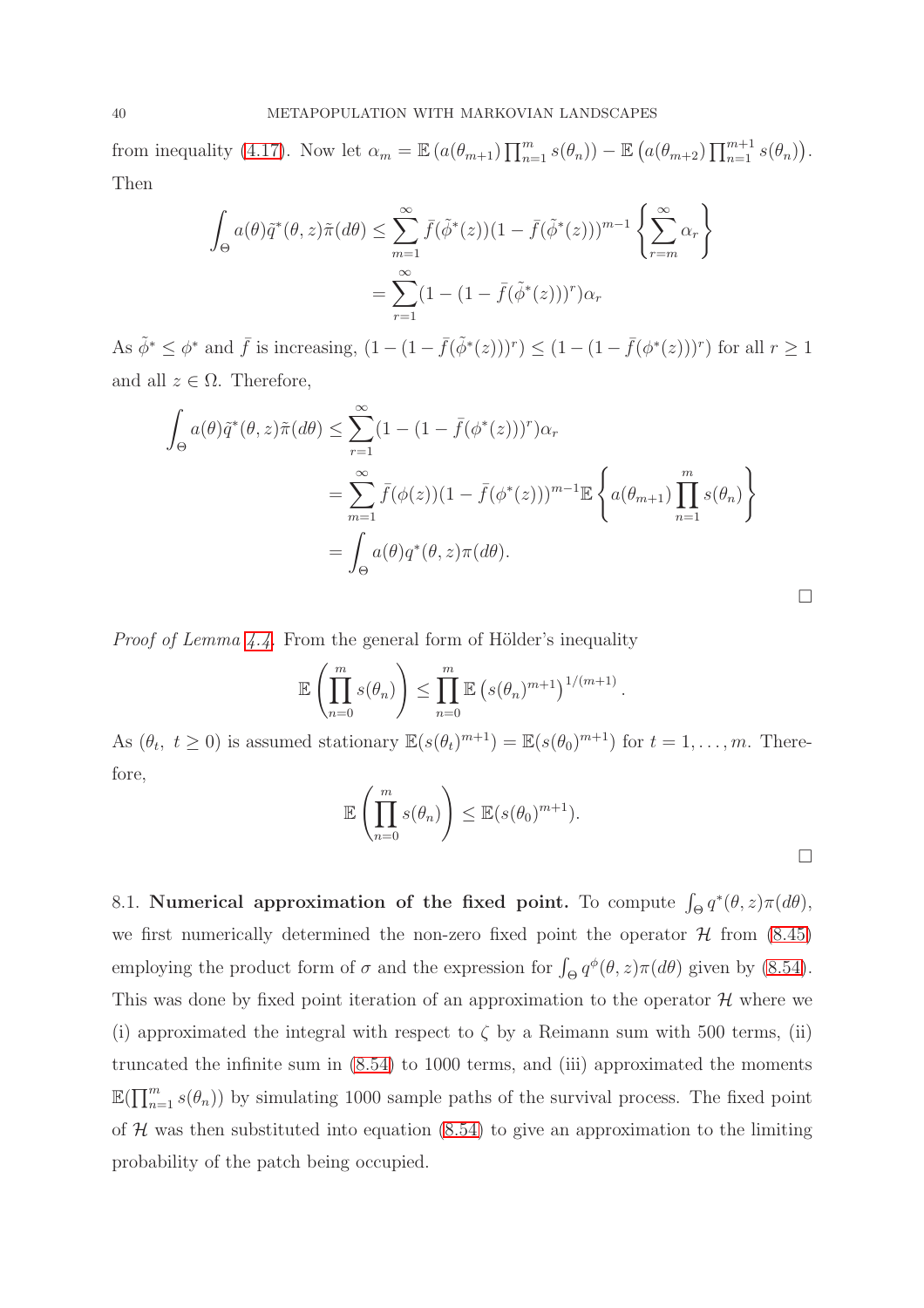from inequality [\(4.17\)](#page-13-1). Now let  $\alpha_m = \mathbb{E}\left(a(\theta_{m+1})\prod_{n=1}^m s(\theta_n)\right) - \mathbb{E}\left(a(\theta_{m+2})\prod_{n=1}^{m+1} s(\theta_n)\right)$ . Then

$$
\int_{\Theta} a(\theta) \tilde{q}^*(\theta, z) \tilde{\pi}(d\theta) \le \sum_{m=1}^{\infty} \bar{f}(\tilde{\phi}^*(z))(1 - \bar{f}(\tilde{\phi}^*(z)))^{m-1} \left\{ \sum_{r=m}^{\infty} \alpha_r \right\}
$$

$$
= \sum_{r=1}^{\infty} (1 - (1 - \bar{f}(\tilde{\phi}^*(z)))^r) \alpha_r
$$

As  $\tilde{\phi}^* \leq \phi^*$  and  $\bar{f}$  is increasing,  $(1 - (1 - \bar{f}(\tilde{\phi}^*(z)))^r) \leq (1 - (1 - \bar{f}(\phi^*(z)))^r)$  for all  $r \geq 1$ and all  $z \in \Omega$ . Therefore,

$$
\int_{\Theta} a(\theta) \tilde{q}^*(\theta, z) \tilde{\pi}(d\theta) \le \sum_{r=1}^{\infty} (1 - (1 - \bar{f}(\phi^*(z)))^r) \alpha_r
$$
  
= 
$$
\sum_{m=1}^{\infty} \bar{f}(\phi(z)) (1 - \bar{f}(\phi^*(z)))^{m-1} \mathbb{E} \left\{ a(\theta_{m+1}) \prod_{n=1}^m s(\theta_n) \right\}
$$
  
= 
$$
\int_{\Theta} a(\theta) q^*(\theta, z) \pi(d\theta).
$$

*Proof of Lemma [4.4.](#page-13-2)* From the general form of Hölder's inequality

$$
\mathbb{E}\left(\prod_{n=0}^m s(\theta_n)\right) \leq \prod_{n=0}^m \mathbb{E}\left(s(\theta_n)^{m+1}\right)^{1/(m+1)}.
$$

As  $(\theta_t, t \geq 0)$  is assumed stationary  $\mathbb{E}(s(\theta_t)^{m+1}) = \mathbb{E}(s(\theta_0)^{m+1})$  for  $t = 1, \ldots, m$ . Therefore,

$$
\mathbb{E}\left(\prod_{n=0}^m s(\theta_n)\right) \leq \mathbb{E}(s(\theta_0)^{m+1}).
$$

8.1. Numerical approximation of the fixed point. To compute  $\int_{\Theta} q^*(\theta, z) \pi(d\theta)$ , we first numerically determined the non-zero fixed point the operator  $\mathcal H$  from [\(8.45\)](#page-34-1) employing the product form of  $\sigma$  and the expression for  $\int_{\Theta} q^{\phi}(\theta, z) \pi(d\theta)$  given by [\(8.54\)](#page-38-0). This was done by fixed point iteration of an approximation to the operator  $\mathcal H$  where we (i) approximated the integral with respect to  $\zeta$  by a Reimann sum with 500 terms, (ii) truncated the infinite sum in [\(8.54\)](#page-38-0) to 1000 terms, and (iii) approximated the moments  $\mathbb{E}(\prod_{n=1}^m s(\theta_n))$  by simulating 1000 sample paths of the survival process. The fixed point of  $H$  was then substituted into equation [\(8.54\)](#page-38-0) to give an approximation to the limiting probability of the patch being occupied.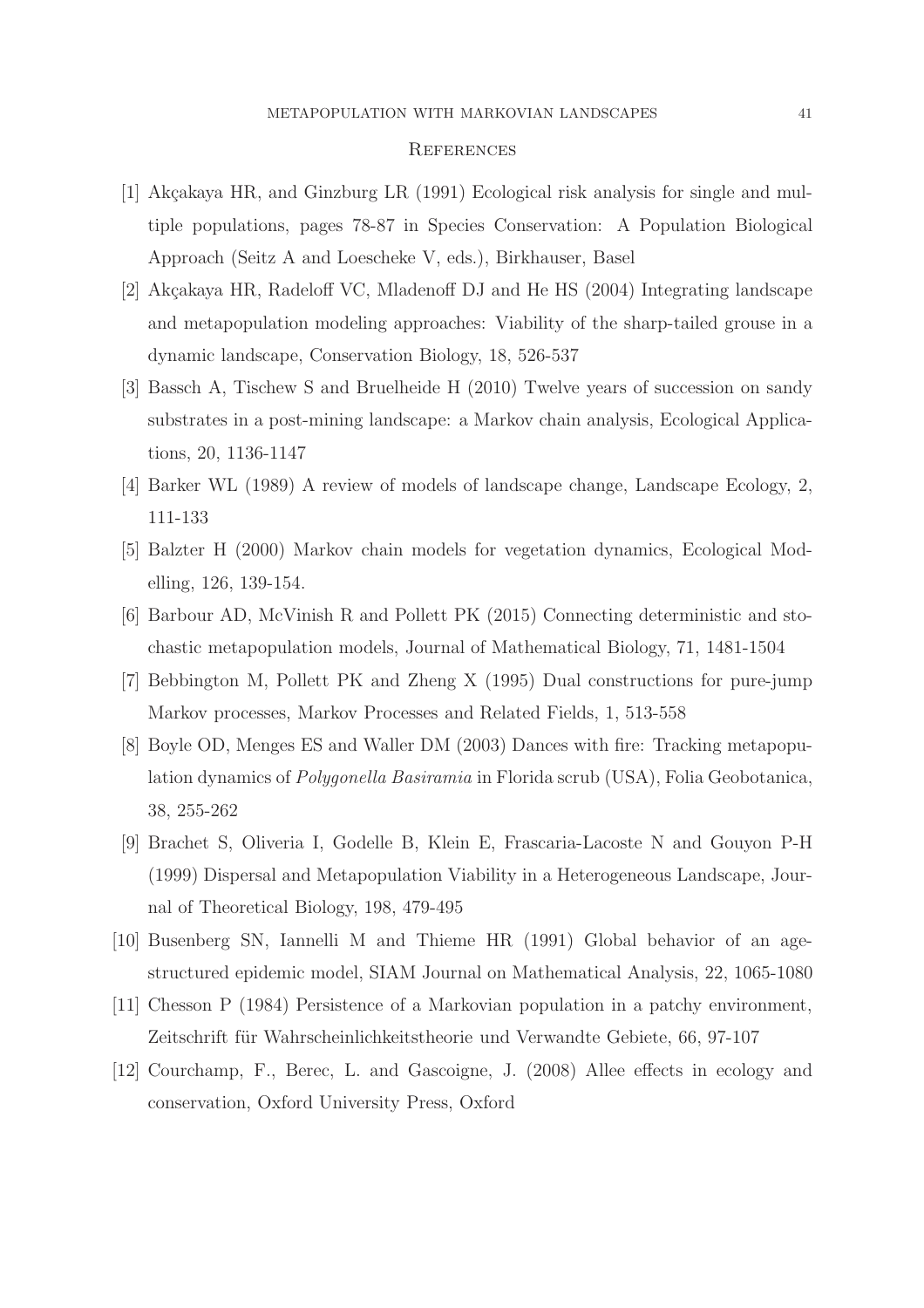#### **REFERENCES**

- <span id="page-40-5"></span>[1] Akçakaya HR, and Ginzburg LR (1991) Ecological risk analysis for single and multiple populations, pages 78-87 in Species Conservation: A Population Biological Approach (Seitz A and Loescheke V, eds.), Birkhauser, Basel
- <span id="page-40-0"></span>[2] Akçakaya HR, Radeloff VC, Mladenoff DJ and He HS (2004) Integrating landscape and metapopulation modeling approaches: Viability of the sharp-tailed grouse in a dynamic landscape, Conservation Biology, 18, 526-537
- <span id="page-40-9"></span>[3] Bassch A, Tischew S and Bruelheide H (2010) Twelve years of succession on sandy substrates in a post-mining landscape: a Markov chain analysis, Ecological Applications, 20, 1136-1147
- <span id="page-40-3"></span>[4] Barker WL (1989) A review of models of landscape change, Landscape Ecology, 2, 111-133
- <span id="page-40-8"></span>[5] Balzter H (2000) Markov chain models for vegetation dynamics, Ecological Modelling, 126, 139-154.
- <span id="page-40-4"></span>[6] Barbour AD, McVinish R and Pollett PK (2015) Connecting deterministic and stochastic metapopulation models, Journal of Mathematical Biology, 71, 1481-1504
- <span id="page-40-10"></span>[7] Bebbington M, Pollett PK and Zheng X (1995) Dual constructions for pure-jump Markov processes, Markov Processes and Related Fields, 1, 513-558
- <span id="page-40-1"></span>[8] Boyle OD, Menges ES and Waller DM (2003) Dances with fire: Tracking metapopulation dynamics of *Polygonella Basiramia* in Florida scrub (USA), Folia Geobotanica, 38, 255-262
- <span id="page-40-2"></span>[9] Brachet S, Oliveria I, Godelle B, Klein E, Frascaria-Lacoste N and Gouyon P-H (1999) Dispersal and Metapopulation Viability in a Heterogeneous Landscape, Journal of Theoretical Biology, 198, 479-495
- <span id="page-40-11"></span>[10] Busenberg SN, Iannelli M and Thieme HR (1991) Global behavior of an agestructured epidemic model, SIAM Journal on Mathematical Analysis, 22, 1065-1080
- <span id="page-40-6"></span>[11] Chesson P (1984) Persistence of a Markovian population in a patchy environment, Zeitschrift für Wahrscheinlichkeitstheorie und Verwandte Gebiete, 66, 97-107
- <span id="page-40-7"></span>[12] Courchamp, F., Berec, L. and Gascoigne, J. (2008) Allee effects in ecology and conservation, Oxford University Press, Oxford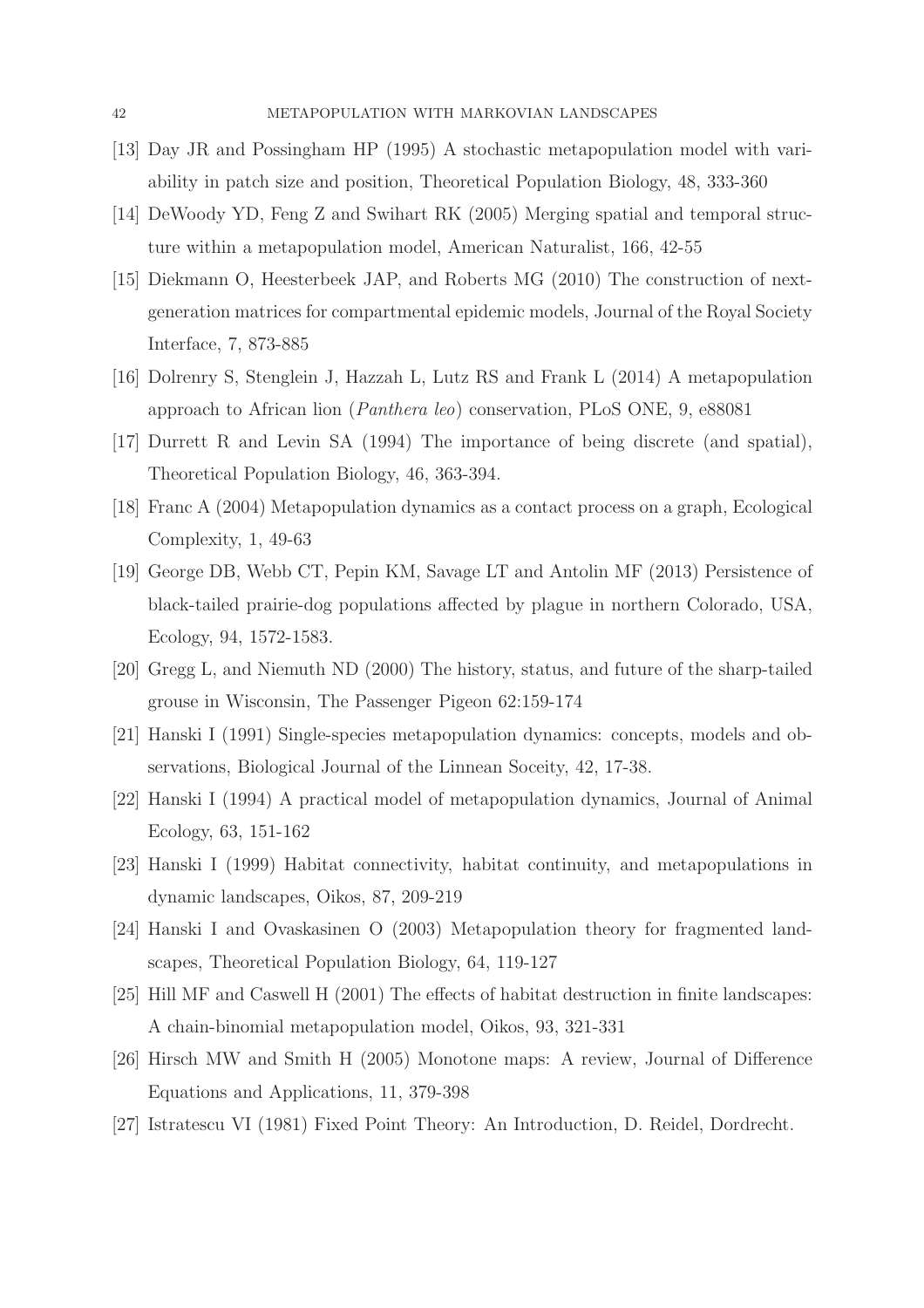- <span id="page-41-10"></span>[13] Day JR and Possingham HP (1995) A stochastic metapopulation model with variability in patch size and position, Theoretical Population Biology, 48, 333-360
- <span id="page-41-9"></span>[14] DeWoody YD, Feng Z and Swihart RK (2005) Merging spatial and temporal structure within a metapopulation model, American Naturalist, 166, 42-55
- <span id="page-41-12"></span>[15] Diekmann O, Heesterbeek JAP, and Roberts MG (2010) The construction of nextgeneration matrices for compartmental epidemic models, Journal of the Royal Society Interface, 7, 873-885
- <span id="page-41-5"></span>[16] Dolrenry S, Stenglein J, Hazzah L, Lutz RS and Frank L (2014) A metapopulation approach to African lion (*Panthera leo*) conservation, PLoS ONE, 9, e88081
- <span id="page-41-3"></span>[17] Durrett R and Levin SA (1994) The importance of being discrete (and spatial), Theoretical Population Biology, 46, 363-394.
- <span id="page-41-4"></span>[18] Franc A (2004) Metapopulation dynamics as a contact process on a graph, Ecological Complexity, 1, 49-63
- <span id="page-41-6"></span>[19] George DB, Webb CT, Pepin KM, Savage LT and Antolin MF (2013) Persistence of black-tailed prairie-dog populations affected by plague in northern Colorado, USA, Ecology, 94, 1572-1583.
- <span id="page-41-8"></span>[20] Gregg L, and Niemuth ND (2000) The history, status, and future of the sharp-tailed grouse in Wisconsin, The Passenger Pigeon 62:159-174
- <span id="page-41-0"></span>[21] Hanski I (1991) Single-species metapopulation dynamics: concepts, models and observations, Biological Journal of the Linnean Soceity, 42, 17-38.
- <span id="page-41-1"></span>[22] Hanski I (1994) A practical model of metapopulation dynamics, Journal of Animal Ecology, 63, 151-162
- <span id="page-41-7"></span>[23] Hanski I (1999) Habitat connectivity, habitat continuity, and metapopulations in dynamic landscapes, Oikos, 87, 209-219
- <span id="page-41-2"></span>[24] Hanski I and Ovaskasinen O (2003) Metapopulation theory for fragmented landscapes, Theoretical Population Biology, 64, 119-127
- <span id="page-41-11"></span>[25] Hill MF and Caswell H (2001) The effects of habitat destruction in finite landscapes: A chain-binomial metapopulation model, Oikos, 93, 321-331
- <span id="page-41-13"></span>[26] Hirsch MW and Smith H (2005) Monotone maps: A review, Journal of Difference Equations and Applications, 11, 379-398
- <span id="page-41-14"></span>[27] Istratescu VI (1981) Fixed Point Theory: An Introduction, D. Reidel, Dordrecht.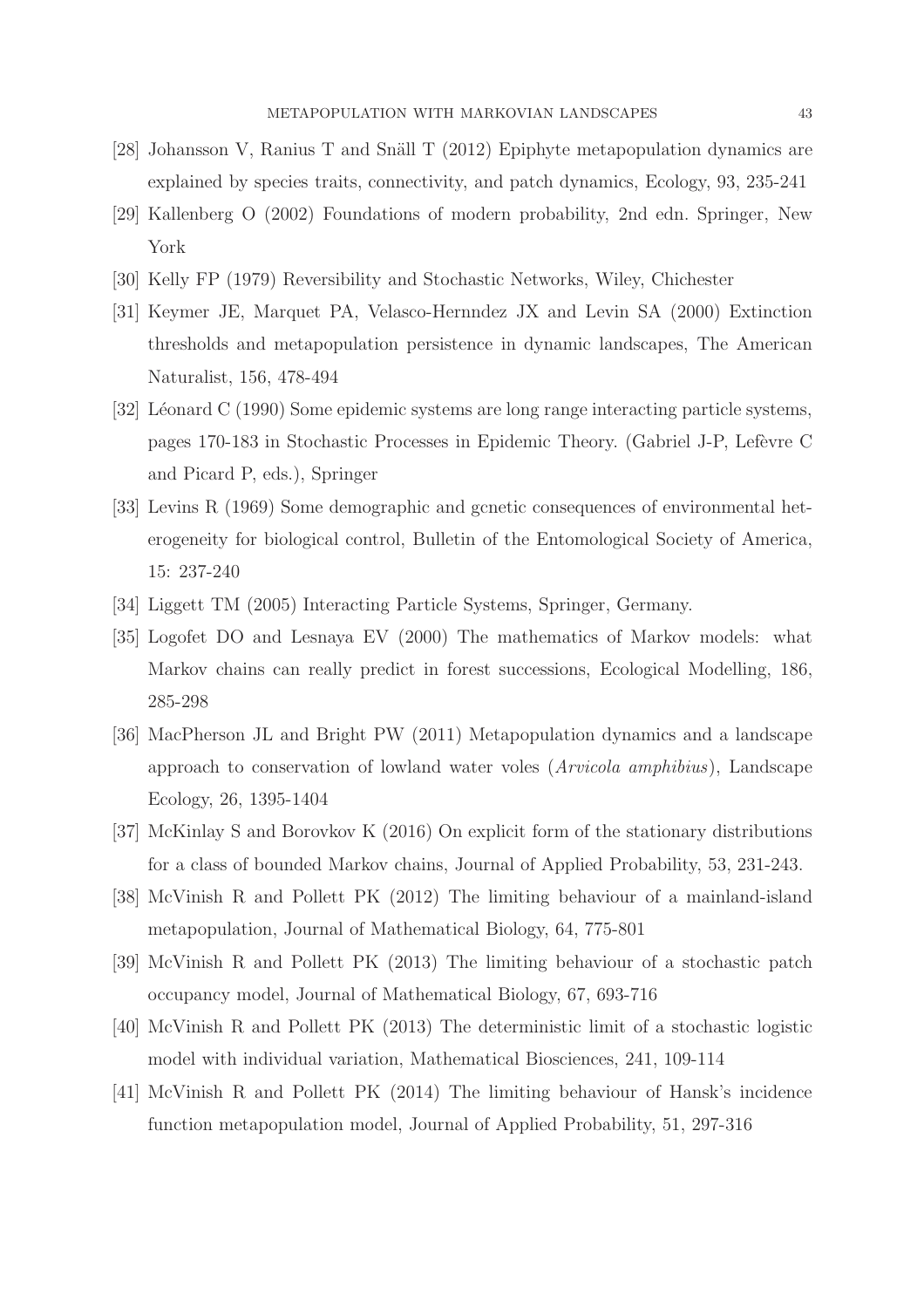- <span id="page-42-3"></span>[28] Johansson V, Ranius T and Snäll T (2012) Epiphyte metapopulation dynamics are explained by species traits, connectivity, and patch dynamics, Ecology, 93, 235-241
- <span id="page-42-12"></span>[29] Kallenberg O (2002) Foundations of modern probability, 2nd edn. Springer, New York
- <span id="page-42-5"></span>[30] Kelly FP (1979) Reversibility and Stochastic Networks, Wiley, Chichester
- <span id="page-42-4"></span>[31] Keymer JE, Marquet PA, Velasco-Hernndez JX and Levin SA (2000) Extinction thresholds and metapopulation persistence in dynamic landscapes, The American Naturalist, 156, 478-494
- <span id="page-42-9"></span>[32] Léonard C (1990) Some epidemic systems are long range interacting particle systems, pages 170-183 in Stochastic Processes in Epidemic Theory. (Gabriel J-P, Lef`evre C and Picard P, eds.), Springer
- <span id="page-42-0"></span>[33] Levins R (1969) Some demographic and gcnetic consequences of environmental heterogeneity for biological control, Bulletin of the Entomological Society of America, 15: 237-240
- <span id="page-42-1"></span>[34] Liggett TM (2005) Interacting Particle Systems, Springer, Germany.
- <span id="page-42-11"></span>[35] Logofet DO and Lesnaya EV (2000) The mathematics of Markov models: what Markov chains can really predict in forest successions, Ecological Modelling, 186, 285-298
- <span id="page-42-2"></span>[36] MacPherson JL and Bright PW (2011) Metapopulation dynamics and a landscape approach to conservation of lowland water voles (*Arvicola amphibius*), Landscape Ecology, 26, 1395-1404
- <span id="page-42-10"></span>[37] McKinlay S and Borovkov K (2016) On explicit form of the stationary distributions for a class of bounded Markov chains, Journal of Applied Probability, 53, 231-243.
- <span id="page-42-6"></span>[38] McVinish R and Pollett PK (2012) The limiting behaviour of a mainland-island metapopulation, Journal of Mathematical Biology, 64, 775-801
- <span id="page-42-7"></span>[39] McVinish R and Pollett PK (2013) The limiting behaviour of a stochastic patch occupancy model, Journal of Mathematical Biology, 67, 693-716
- <span id="page-42-13"></span>[40] McVinish R and Pollett PK (2013) The deterministic limit of a stochastic logistic model with individual variation, Mathematical Biosciences, 241, 109-114
- <span id="page-42-8"></span>[41] McVinish R and Pollett PK (2014) The limiting behaviour of Hansk's incidence function metapopulation model, Journal of Applied Probability, 51, 297-316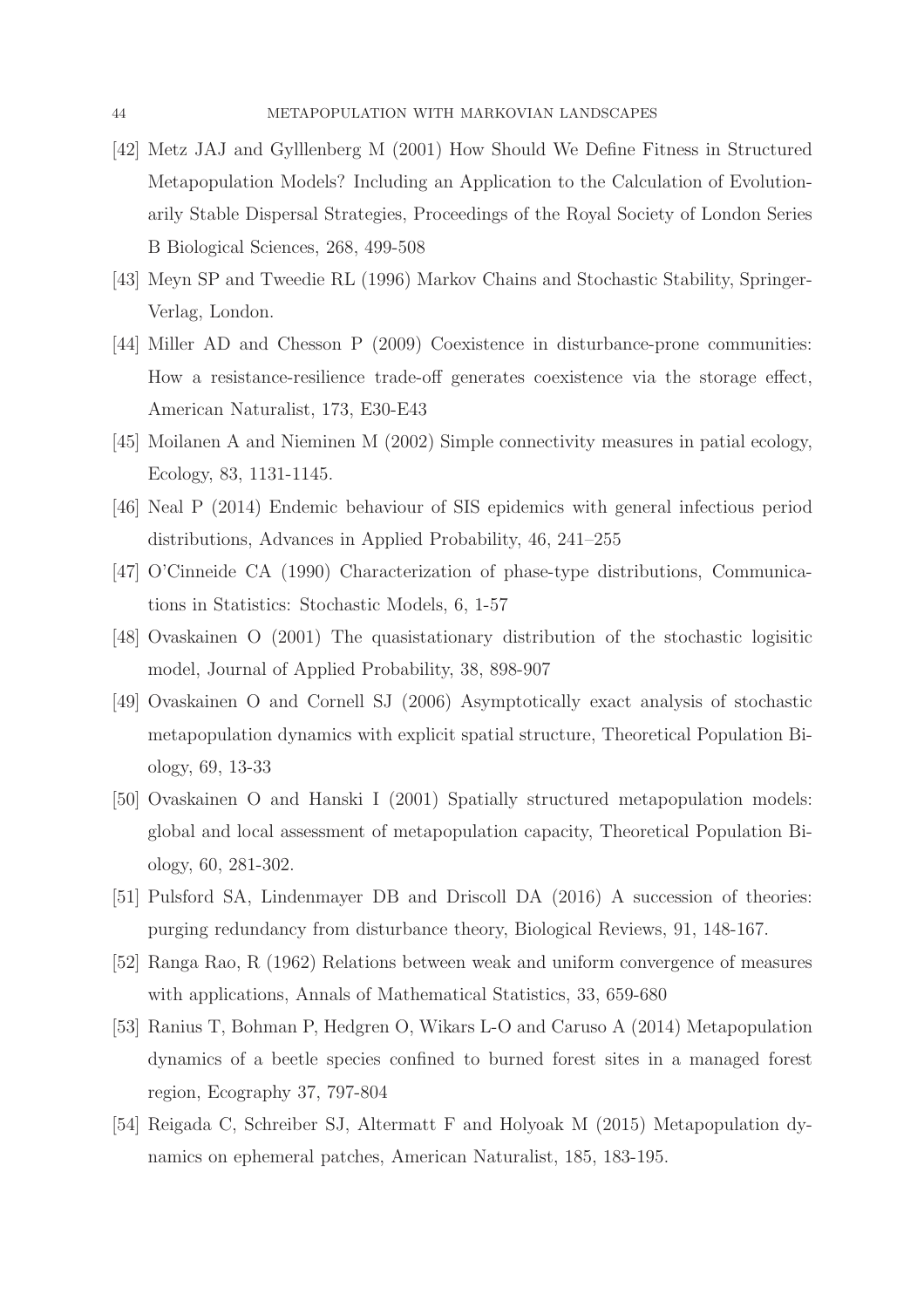- <span id="page-43-6"></span>[42] Metz JAJ and Gylllenberg M (2001) How Should We Define Fitness in Structured Metapopulation Models? Including an Application to the Calculation of Evolutionarily Stable Dispersal Strategies, Proceedings of the Royal Society of London Series B Biological Sciences, 268, 499-508
- <span id="page-43-11"></span>[43] Meyn SP and Tweedie RL (1996) Markov Chains and Stochastic Stability, Springer-Verlag, London.
- <span id="page-43-10"></span>[44] Miller AD and Chesson P (2009) Coexistence in disturbance-prone communities: How a resistance-resilience trade-off generates coexistence via the storage effect, American Naturalist, 173, E30-E43
- <span id="page-43-1"></span>[45] Moilanen A and Nieminen M (2002) Simple connectivity measures in patial ecology, Ecology, 83, 1131-1145.
- <span id="page-43-8"></span>[46] Neal P (2014) Endemic behaviour of SIS epidemics with general infectious period distributions, Advances in Applied Probability, 46, 241–255
- <span id="page-43-7"></span>[47] O'Cinneide CA (1990) Characterization of phase-type distributions, Communications in Statistics: Stochastic Models, 6, 1-57
- <span id="page-43-9"></span>[48] Ovaskainen O (2001) The quasistationary distribution of the stochastic logisitic model, Journal of Applied Probability, 38, 898-907
- <span id="page-43-5"></span>[49] Ovaskainen O and Cornell SJ (2006) Asymptotically exact analysis of stochastic metapopulation dynamics with explicit spatial structure, Theoretical Population Biology, 69, 13-33
- <span id="page-43-0"></span>[50] Ovaskainen O and Hanski I (2001) Spatially structured metapopulation models: global and local assessment of metapopulation capacity, Theoretical Population Biology, 60, 281-302.
- <span id="page-43-4"></span>[51] Pulsford SA, Lindenmayer DB and Driscoll DA (2016) A succession of theories: purging redundancy from disturbance theory, Biological Reviews, 91, 148-167.
- <span id="page-43-12"></span>[52] Ranga Rao, R (1962) Relations between weak and uniform convergence of measures with applications, Annals of Mathematical Statistics, 33, 659-680
- <span id="page-43-2"></span>[53] Ranius T, Bohman P, Hedgren O, Wikars L-O and Caruso A (2014) Metapopulation dynamics of a beetle species confined to burned forest sites in a managed forest region, Ecography 37, 797-804
- <span id="page-43-3"></span>[54] Reigada C, Schreiber SJ, Altermatt F and Holyoak M (2015) Metapopulation dynamics on ephemeral patches, American Naturalist, 185, 183-195.